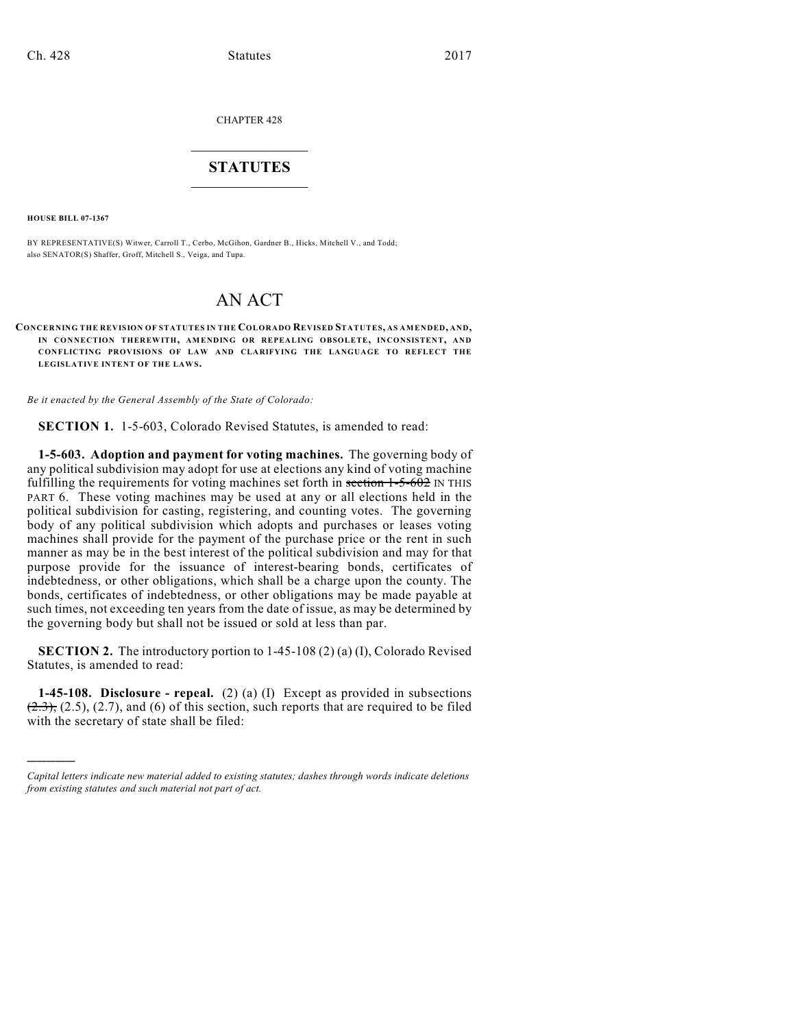CHAPTER 428

## $\overline{\phantom{a}}$  . The set of the set of the set of the set of the set of the set of the set of the set of the set of the set of the set of the set of the set of the set of the set of the set of the set of the set of the set o **STATUTES**  $\_$   $\_$

**HOUSE BILL 07-1367**

)))))

BY REPRESENTATIVE(S) Witwer, Carroll T., Cerbo, McGihon, Gardner B., Hicks, Mitchell V., and Todd; also SENATOR(S) Shaffer, Groff, Mitchell S., Veiga, and Tupa.

# AN ACT

**CONCERNING THE REVISION OF STATUTES IN THE COLORADO REVISED STATUTES, AS AMENDED, AND, IN CONNECTION THEREWITH, AMENDING OR REPEALING OBSOLETE, INCONSISTENT, AND CONFLICTING PROVISIONS OF LAW AND CLARIFYING THE LANGUAGE TO REFLECT THE** LEGISLATIVE INTENT OF THE LAWS.

*Be it enacted by the General Assembly of the State of Colorado:*

**SECTION 1.** 1-5-603, Colorado Revised Statutes, is amended to read:

**1-5-603. Adoption and payment for voting machines.** The governing body of any political subdivision may adopt for use at elections any kind of voting machine fulfilling the requirements for voting machines set forth in section  $1-5-602$  IN THIS PART 6. These voting machines may be used at any or all elections held in the political subdivision for casting, registering, and counting votes. The governing body of any political subdivision which adopts and purchases or leases voting machines shall provide for the payment of the purchase price or the rent in such manner as may be in the best interest of the political subdivision and may for that purpose provide for the issuance of interest-bearing bonds, certificates of indebtedness, or other obligations, which shall be a charge upon the county. The bonds, certificates of indebtedness, or other obligations may be made payable at such times, not exceeding ten years from the date of issue, as may be determined by the governing body but shall not be issued or sold at less than par.

**SECTION 2.** The introductory portion to 1-45-108 (2) (a) (I), Colorado Revised Statutes, is amended to read:

**1-45-108. Disclosure - repeal.** (2) (a) (I) Except as provided in subsections  $(2.3)$ ,  $(2.5)$ ,  $(2.7)$ , and  $(6)$  of this section, such reports that are required to be filed with the secretary of state shall be filed:

*Capital letters indicate new material added to existing statutes; dashes through words indicate deletions from existing statutes and such material not part of act.*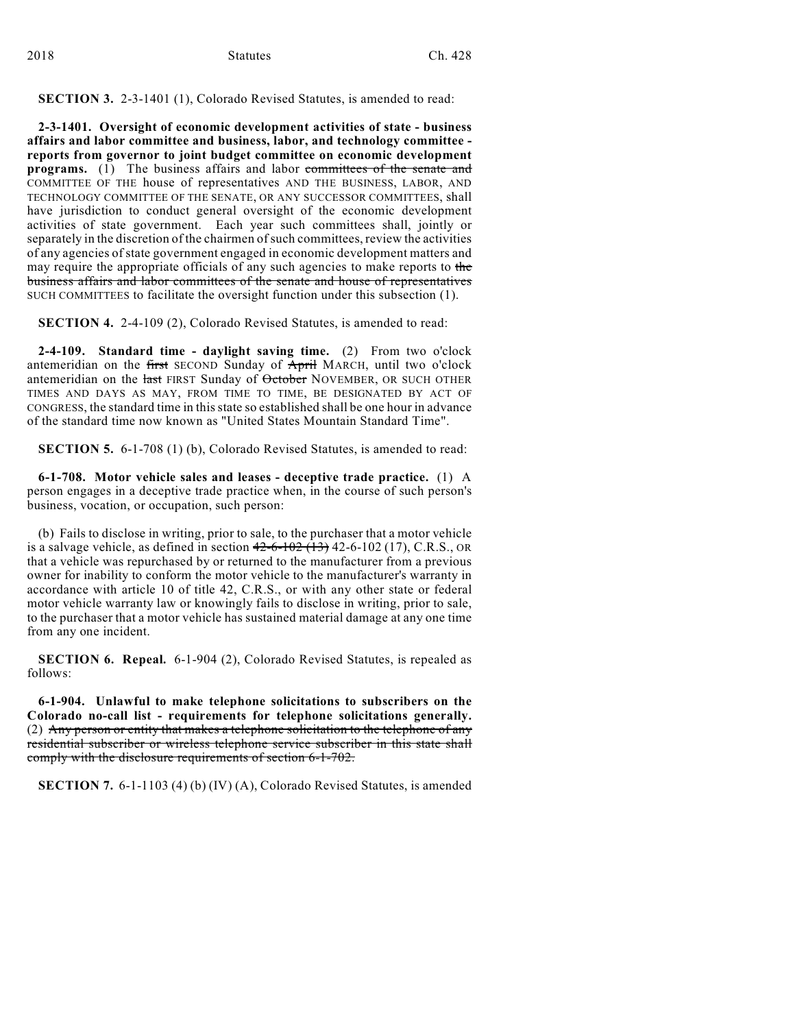#### **SECTION 3.** 2-3-1401 (1), Colorado Revised Statutes, is amended to read:

**2-3-1401. Oversight of economic development activities of state - business affairs and labor committee and business, labor, and technology committee reports from governor to joint budget committee on economic development programs.** (1) The business affairs and labor committees of the senate and COMMITTEE OF THE house of representatives AND THE BUSINESS, LABOR, AND TECHNOLOGY COMMITTEE OF THE SENATE, OR ANY SUCCESSOR COMMITTEES, shall have jurisdiction to conduct general oversight of the economic development activities of state government. Each year such committees shall, jointly or separately in the discretion of the chairmen of such committees, review the activities of any agencies of state government engaged in economic development matters and may require the appropriate officials of any such agencies to make reports to the business affairs and labor committees of the senate and house of representatives SUCH COMMITTEES to facilitate the oversight function under this subsection (1).

**SECTION 4.** 2-4-109 (2), Colorado Revised Statutes, is amended to read:

**2-4-109. Standard time - daylight saving time.** (2) From two o'clock antemeridian on the first SECOND Sunday of April MARCH, until two o'clock antemeridian on the last FIRST Sunday of October NOVEMBER, OR SUCH OTHER TIMES AND DAYS AS MAY, FROM TIME TO TIME, BE DESIGNATED BY ACT OF CONGRESS, the standard time in this state so established shall be one hour in advance of the standard time now known as "United States Mountain Standard Time".

**SECTION 5.** 6-1-708 (1) (b), Colorado Revised Statutes, is amended to read:

**6-1-708. Motor vehicle sales and leases - deceptive trade practice.** (1) A person engages in a deceptive trade practice when, in the course of such person's business, vocation, or occupation, such person:

(b) Fails to disclose in writing, prior to sale, to the purchaser that a motor vehicle is a salvage vehicle, as defined in section  $42-6-102$   $(13)$  42-6-102  $(17)$ , C.R.S., OR that a vehicle was repurchased by or returned to the manufacturer from a previous owner for inability to conform the motor vehicle to the manufacturer's warranty in accordance with article 10 of title 42, C.R.S., or with any other state or federal motor vehicle warranty law or knowingly fails to disclose in writing, prior to sale, to the purchaser that a motor vehicle has sustained material damage at any one time from any one incident.

**SECTION 6. Repeal.** 6-1-904 (2), Colorado Revised Statutes, is repealed as follows:

**6-1-904. Unlawful to make telephone solicitations to subscribers on the Colorado no-call list - requirements for telephone solicitations generally.** (2) Any person or entity that makes a telephone solicitation to the telephone of any residential subscriber or wireless telephone service subscriber in this state shall comply with the disclosure requirements of section 6-1-702.

**SECTION 7.** 6-1-1103 (4) (b) (IV) (A), Colorado Revised Statutes, is amended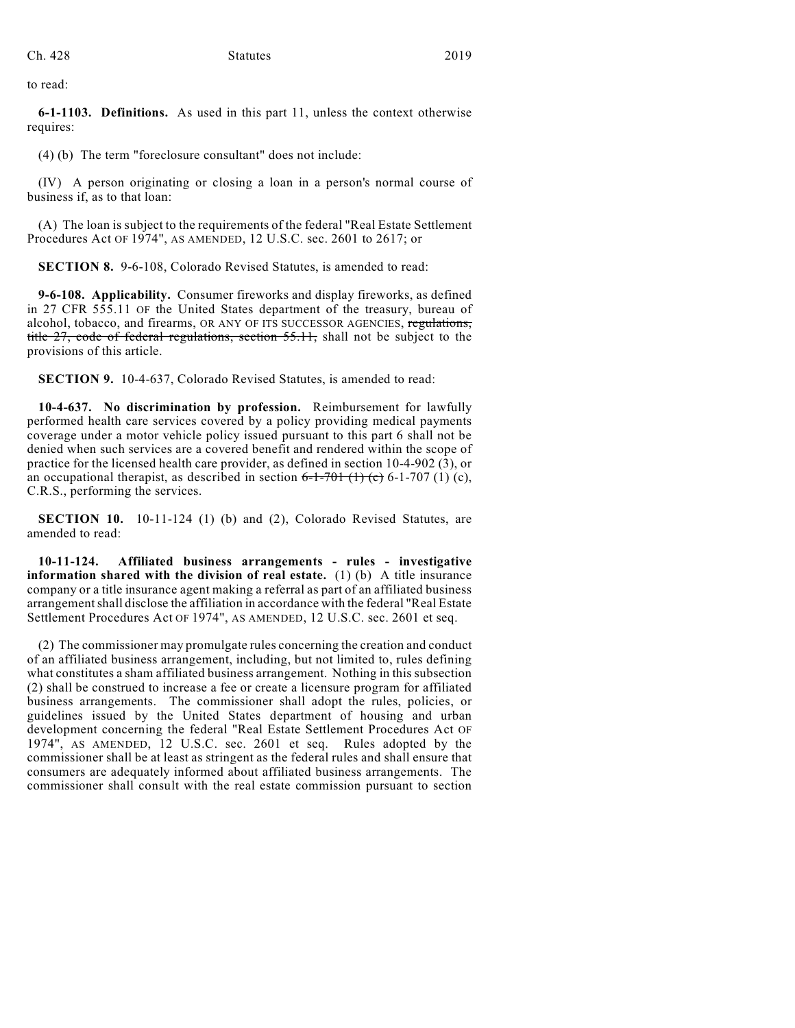to read:

**6-1-1103. Definitions.** As used in this part 11, unless the context otherwise requires:

(4) (b) The term "foreclosure consultant" does not include:

(IV) A person originating or closing a loan in a person's normal course of business if, as to that loan:

(A) The loan is subject to the requirements of the federal "Real Estate Settlement Procedures Act OF 1974", AS AMENDED, 12 U.S.C. sec. 2601 to 2617; or

**SECTION 8.** 9-6-108, Colorado Revised Statutes, is amended to read:

**9-6-108. Applicability.** Consumer fireworks and display fireworks, as defined in 27 CFR 555.11 OF the United States department of the treasury, bureau of alcohol, tobacco, and firearms, OR ANY OF ITS SUCCESSOR AGENCIES, regulations, title 27, code of federal regulations, section 55.11, shall not be subject to the provisions of this article.

**SECTION 9.** 10-4-637, Colorado Revised Statutes, is amended to read:

**10-4-637. No discrimination by profession.** Reimbursement for lawfully performed health care services covered by a policy providing medical payments coverage under a motor vehicle policy issued pursuant to this part 6 shall not be denied when such services are a covered benefit and rendered within the scope of practice for the licensed health care provider, as defined in section 10-4-902 (3), or an occupational therapist, as described in section  $6-1-701$  (1) (c),  $(1)(c)$ , C.R.S., performing the services.

**SECTION 10.** 10-11-124 (1) (b) and (2), Colorado Revised Statutes, are amended to read:

**10-11-124. Affiliated business arrangements - rules - investigative information shared with the division of real estate.** (1) (b) A title insurance company or a title insurance agent making a referral as part of an affiliated business arrangement shall disclose the affiliation in accordance with the federal "Real Estate Settlement Procedures Act OF 1974", AS AMENDED, 12 U.S.C. sec. 2601 et seq.

(2) The commissioner may promulgate rules concerning the creation and conduct of an affiliated business arrangement, including, but not limited to, rules defining what constitutes a sham affiliated business arrangement. Nothing in this subsection (2) shall be construed to increase a fee or create a licensure program for affiliated business arrangements. The commissioner shall adopt the rules, policies, or guidelines issued by the United States department of housing and urban development concerning the federal "Real Estate Settlement Procedures Act OF 1974", AS AMENDED, 12 U.S.C. sec. 2601 et seq. Rules adopted by the commissioner shall be at least as stringent as the federal rules and shall ensure that consumers are adequately informed about affiliated business arrangements. The commissioner shall consult with the real estate commission pursuant to section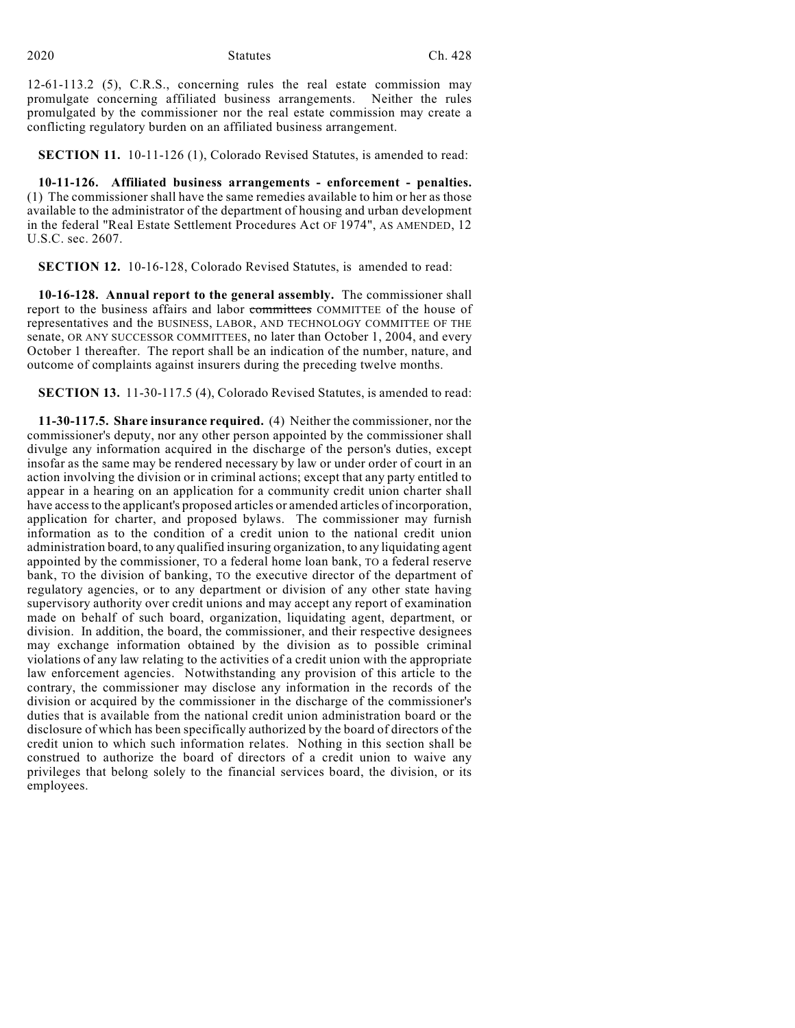12-61-113.2 (5), C.R.S., concerning rules the real estate commission may promulgate concerning affiliated business arrangements. Neither the rules promulgated by the commissioner nor the real estate commission may create a conflicting regulatory burden on an affiliated business arrangement.

**SECTION 11.** 10-11-126 (1), Colorado Revised Statutes, is amended to read:

**10-11-126. Affiliated business arrangements - enforcement - penalties.** (1) The commissioner shall have the same remedies available to him or her as those available to the administrator of the department of housing and urban development in the federal "Real Estate Settlement Procedures Act OF 1974", AS AMENDED, 12 U.S.C. sec. 2607.

**SECTION 12.** 10-16-128, Colorado Revised Statutes, is amended to read:

**10-16-128. Annual report to the general assembly.** The commissioner shall report to the business affairs and labor committees COMMITTEE of the house of representatives and the BUSINESS, LABOR, AND TECHNOLOGY COMMITTEE OF THE senate, OR ANY SUCCESSOR COMMITTEES, no later than October 1, 2004, and every October 1 thereafter. The report shall be an indication of the number, nature, and outcome of complaints against insurers during the preceding twelve months.

**SECTION 13.** 11-30-117.5 (4), Colorado Revised Statutes, is amended to read:

**11-30-117.5. Share insurance required.** (4) Neither the commissioner, nor the commissioner's deputy, nor any other person appointed by the commissioner shall divulge any information acquired in the discharge of the person's duties, except insofar as the same may be rendered necessary by law or under order of court in an action involving the division or in criminal actions; except that any party entitled to appear in a hearing on an application for a community credit union charter shall have access to the applicant's proposed articles or amended articles of incorporation, application for charter, and proposed bylaws. The commissioner may furnish information as to the condition of a credit union to the national credit union administration board, to any qualified insuring organization, to any liquidating agent appointed by the commissioner, TO a federal home loan bank, TO a federal reserve bank, TO the division of banking, TO the executive director of the department of regulatory agencies, or to any department or division of any other state having supervisory authority over credit unions and may accept any report of examination made on behalf of such board, organization, liquidating agent, department, or division. In addition, the board, the commissioner, and their respective designees may exchange information obtained by the division as to possible criminal violations of any law relating to the activities of a credit union with the appropriate law enforcement agencies. Notwithstanding any provision of this article to the contrary, the commissioner may disclose any information in the records of the division or acquired by the commissioner in the discharge of the commissioner's duties that is available from the national credit union administration board or the disclosure of which has been specifically authorized by the board of directors of the credit union to which such information relates. Nothing in this section shall be construed to authorize the board of directors of a credit union to waive any privileges that belong solely to the financial services board, the division, or its employees.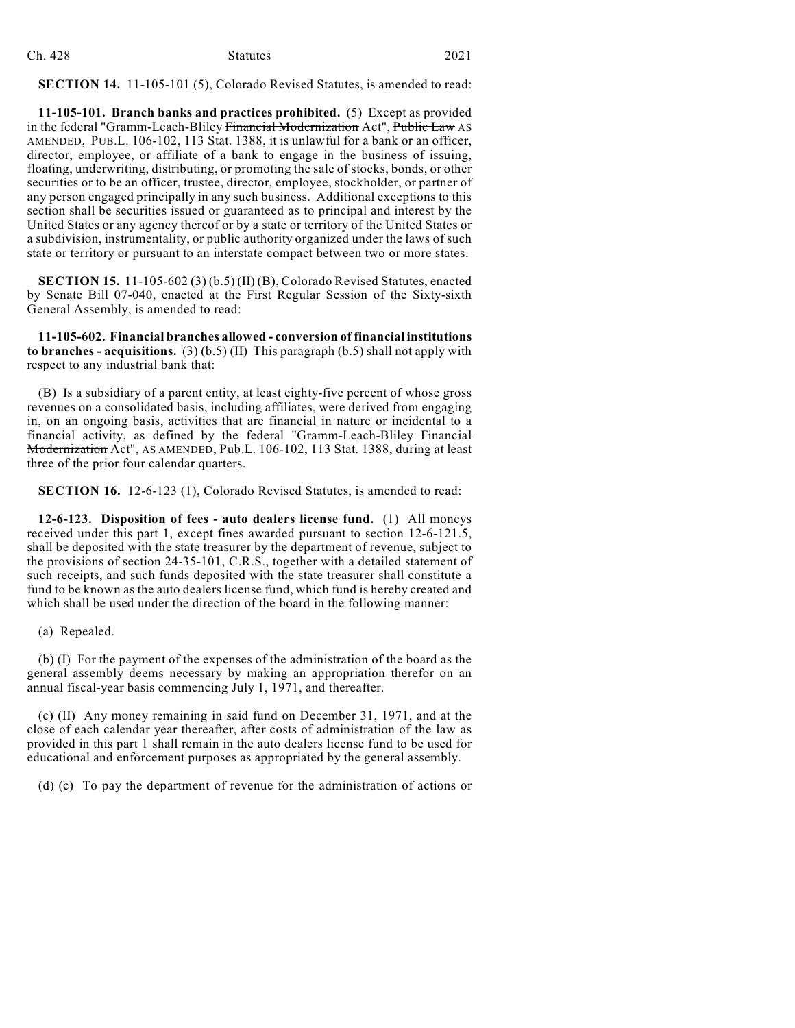| Ch. 428 | <b>Statutes</b> | 2021 |
|---------|-----------------|------|
|         |                 |      |

**SECTION 14.** 11-105-101 (5), Colorado Revised Statutes, is amended to read:

**11-105-101. Branch banks and practices prohibited.** (5) Except as provided in the federal "Gramm-Leach-Bliley Financial Modernization Act", Public Law AS AMENDED, PUB.L. 106-102, 113 Stat. 1388, it is unlawful for a bank or an officer, director, employee, or affiliate of a bank to engage in the business of issuing, floating, underwriting, distributing, or promoting the sale of stocks, bonds, or other securities or to be an officer, trustee, director, employee, stockholder, or partner of any person engaged principally in any such business. Additional exceptions to this section shall be securities issued or guaranteed as to principal and interest by the United States or any agency thereof or by a state or territory of the United States or a subdivision, instrumentality, or public authority organized under the laws of such state or territory or pursuant to an interstate compact between two or more states.

**SECTION 15.** 11-105-602 (3) (b.5) (II) (B), Colorado Revised Statutes, enacted by Senate Bill 07-040, enacted at the First Regular Session of the Sixty-sixth General Assembly, is amended to read:

**11-105-602. Financial branches allowed - conversion of financial institutions to branches - acquisitions.** (3) (b.5) (II) This paragraph (b.5) shall not apply with respect to any industrial bank that:

(B) Is a subsidiary of a parent entity, at least eighty-five percent of whose gross revenues on a consolidated basis, including affiliates, were derived from engaging in, on an ongoing basis, activities that are financial in nature or incidental to a financial activity, as defined by the federal "Gramm-Leach-Bliley Financial Modernization Act", AS AMENDED, Pub.L. 106-102, 113 Stat. 1388, during at least three of the prior four calendar quarters.

**SECTION 16.** 12-6-123 (1), Colorado Revised Statutes, is amended to read:

**12-6-123. Disposition of fees - auto dealers license fund.** (1) All moneys received under this part 1, except fines awarded pursuant to section 12-6-121.5, shall be deposited with the state treasurer by the department of revenue, subject to the provisions of section 24-35-101, C.R.S., together with a detailed statement of such receipts, and such funds deposited with the state treasurer shall constitute a fund to be known as the auto dealers license fund, which fund is hereby created and which shall be used under the direction of the board in the following manner:

(a) Repealed.

(b) (I) For the payment of the expenses of the administration of the board as the general assembly deems necessary by making an appropriation therefor on an annual fiscal-year basis commencing July 1, 1971, and thereafter.

 $\overrightarrow{c}$  (II) Any money remaining in said fund on December 31, 1971, and at the close of each calendar year thereafter, after costs of administration of the law as provided in this part 1 shall remain in the auto dealers license fund to be used for educational and enforcement purposes as appropriated by the general assembly.

 $(d)$  (c) To pay the department of revenue for the administration of actions or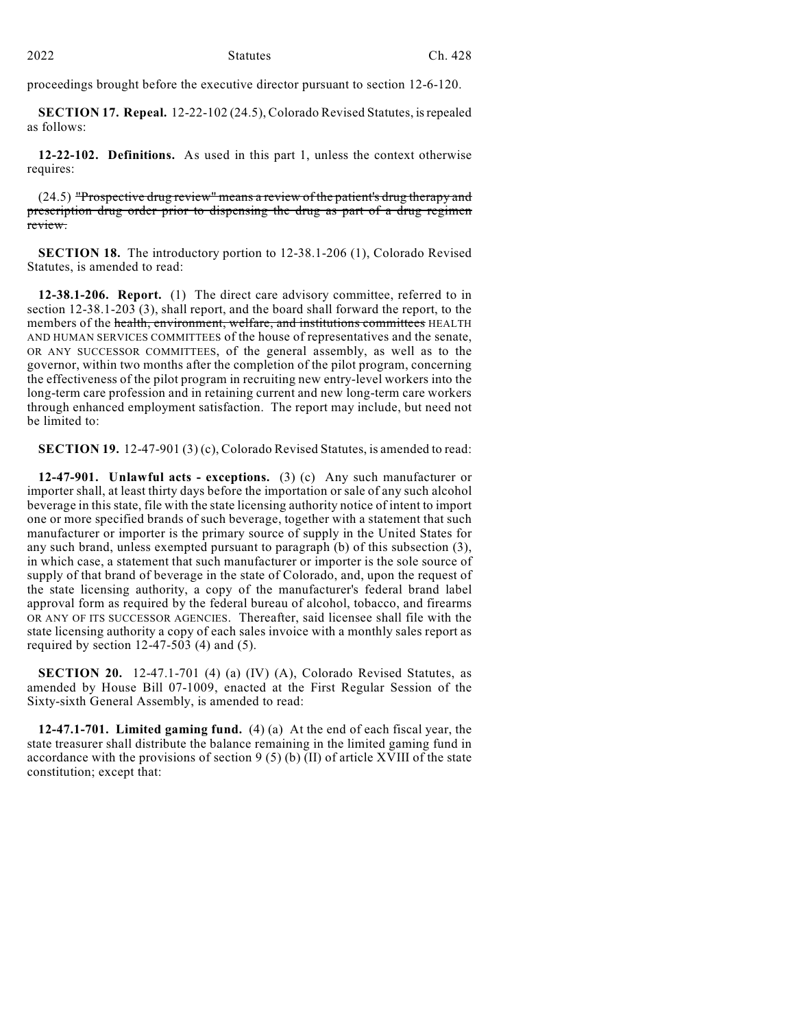proceedings brought before the executive director pursuant to section 12-6-120.

**SECTION 17. Repeal.** 12-22-102 (24.5), Colorado Revised Statutes, is repealed as follows:

**12-22-102. Definitions.** As used in this part 1, unless the context otherwise requires:

(24.5) "Prospective drug review" means a review of the patient's drug therapy and prescription drug order prior to dispensing the drug as part of a drug regimen review.

**SECTION 18.** The introductory portion to 12-38.1-206 (1), Colorado Revised Statutes, is amended to read:

**12-38.1-206. Report.** (1) The direct care advisory committee, referred to in section 12-38.1-203 (3), shall report, and the board shall forward the report, to the members of the health, environment, welfare, and institutions committees HEALTH AND HUMAN SERVICES COMMITTEES of the house of representatives and the senate, OR ANY SUCCESSOR COMMITTEES, of the general assembly, as well as to the governor, within two months after the completion of the pilot program, concerning the effectiveness of the pilot program in recruiting new entry-level workers into the long-term care profession and in retaining current and new long-term care workers through enhanced employment satisfaction. The report may include, but need not be limited to:

**SECTION 19.** 12-47-901 (3) (c), Colorado Revised Statutes, is amended to read:

**12-47-901. Unlawful acts - exceptions.** (3) (c) Any such manufacturer or importer shall, at least thirty days before the importation or sale of any such alcohol beverage in this state, file with the state licensing authority notice of intent to import one or more specified brands of such beverage, together with a statement that such manufacturer or importer is the primary source of supply in the United States for any such brand, unless exempted pursuant to paragraph (b) of this subsection (3), in which case, a statement that such manufacturer or importer is the sole source of supply of that brand of beverage in the state of Colorado, and, upon the request of the state licensing authority, a copy of the manufacturer's federal brand label approval form as required by the federal bureau of alcohol, tobacco, and firearms OR ANY OF ITS SUCCESSOR AGENCIES. Thereafter, said licensee shall file with the state licensing authority a copy of each sales invoice with a monthly sales report as required by section  $12-47-503$  (4) and (5).

**SECTION 20.** 12-47.1-701 (4) (a) (IV) (A), Colorado Revised Statutes, as amended by House Bill 07-1009, enacted at the First Regular Session of the Sixty-sixth General Assembly, is amended to read:

**12-47.1-701. Limited gaming fund.** (4) (a) At the end of each fiscal year, the state treasurer shall distribute the balance remaining in the limited gaming fund in accordance with the provisions of section  $9(5)$  (b) (II) of article XVIII of the state constitution; except that: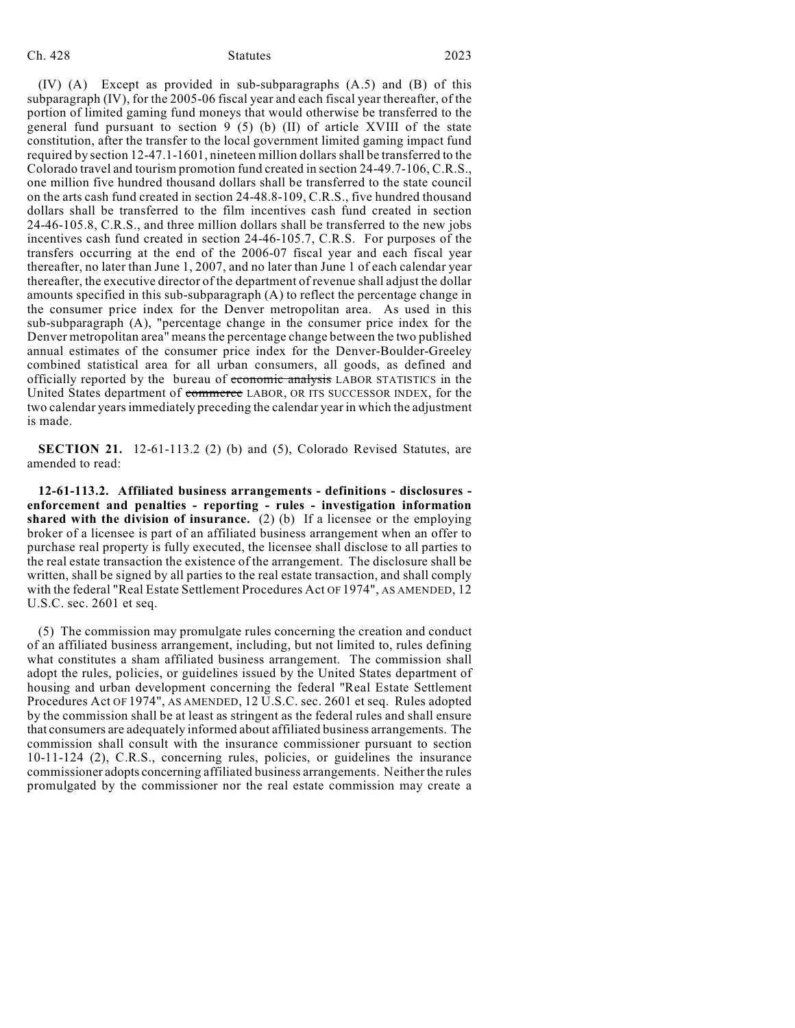#### Ch. 428 Statutes 2023

(IV) (A) Except as provided in sub-subparagraphs (A.5) and (B) of this subparagraph (IV), for the 2005-06 fiscal year and each fiscal year thereafter, of the portion of limited gaming fund moneys that would otherwise be transferred to the general fund pursuant to section 9 (5) (b) (II) of article XVIII of the state constitution, after the transfer to the local government limited gaming impact fund required by section 12-47.1-1601, nineteen million dollars shall be transferred to the Colorado travel and tourism promotion fund created in section 24-49.7-106, C.R.S., one million five hundred thousand dollars shall be transferred to the state council on the arts cash fund created in section 24-48.8-109, C.R.S., five hundred thousand dollars shall be transferred to the film incentives cash fund created in section 24-46-105.8, C.R.S., and three million dollars shall be transferred to the new jobs incentives cash fund created in section 24-46-105.7, C.R.S. For purposes of the transfers occurring at the end of the 2006-07 fiscal year and each fiscal year thereafter, no later than June 1, 2007, and no later than June 1 of each calendar year thereafter, the executive director of the department of revenue shall adjust the dollar amounts specified in this sub-subparagraph (A) to reflect the percentage change in the consumer price index for the Denver metropolitan area. As used in this sub-subparagraph (A), "percentage change in the consumer price index for the Denver metropolitan area" means the percentage change between the two published annual estimates of the consumer price index for the Denver-Boulder-Greeley combined statistical area for all urban consumers, all goods, as defined and officially reported by the bureau of economic analysis LABOR STATISTICS in the United States department of commerce LABOR, OR ITS SUCCESSOR INDEX, for the two calendar years immediately preceding the calendar year in which the adjustment is made.

**SECTION 21.** 12-61-113.2 (2) (b) and (5), Colorado Revised Statutes, are amended to read:

**12-61-113.2. Affiliated business arrangements - definitions - disclosures enforcement and penalties - reporting - rules - investigation information shared with the division of insurance.** (2) (b) If a licensee or the employing broker of a licensee is part of an affiliated business arrangement when an offer to purchase real property is fully executed, the licensee shall disclose to all parties to the real estate transaction the existence of the arrangement. The disclosure shall be written, shall be signed by all parties to the real estate transaction, and shall comply with the federal "Real Estate Settlement Procedures Act OF 1974", AS AMENDED, 12 U.S.C. sec. 2601 et seq.

(5) The commission may promulgate rules concerning the creation and conduct of an affiliated business arrangement, including, but not limited to, rules defining what constitutes a sham affiliated business arrangement. The commission shall adopt the rules, policies, or guidelines issued by the United States department of housing and urban development concerning the federal "Real Estate Settlement Procedures Act OF 1974", AS AMENDED, 12 U.S.C. sec. 2601 et seq. Rules adopted by the commission shall be at least as stringent as the federal rules and shall ensure that consumers are adequately informed about affiliated business arrangements. The commission shall consult with the insurance commissioner pursuant to section 10-11-124 (2), C.R.S., concerning rules, policies, or guidelines the insurance commissioner adopts concerning affiliated business arrangements. Neither the rules promulgated by the commissioner nor the real estate commission may create a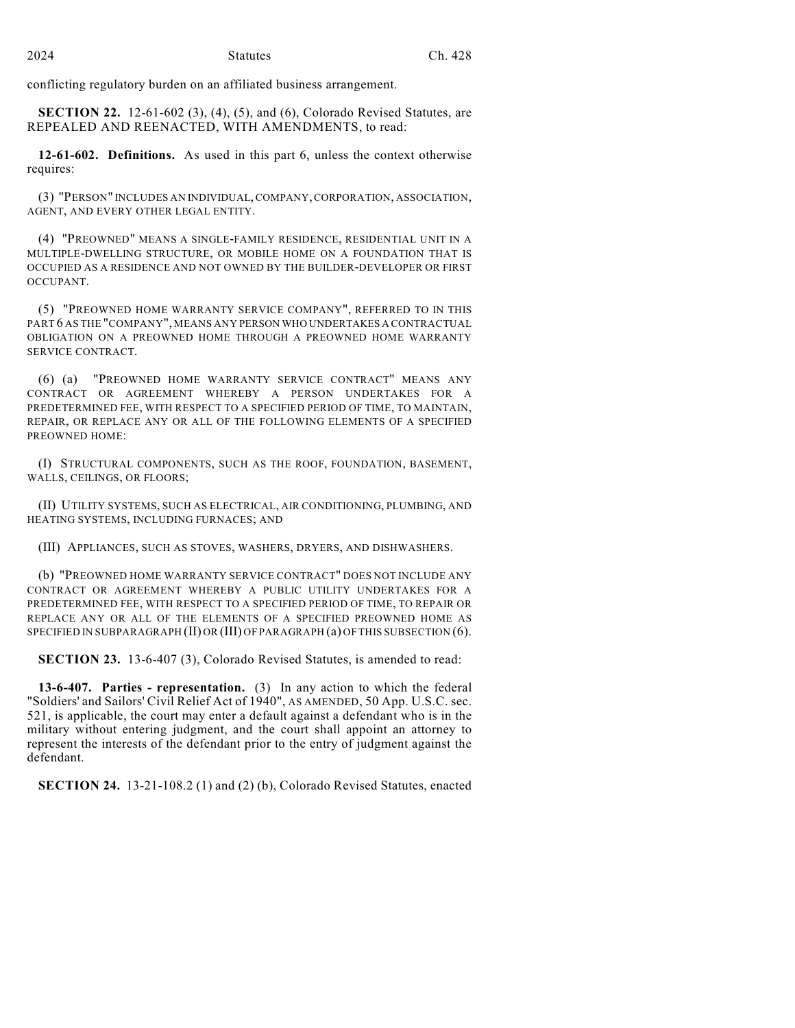conflicting regulatory burden on an affiliated business arrangement.

**SECTION 22.** 12-61-602 (3), (4), (5), and (6), Colorado Revised Statutes, are REPEALED AND REENACTED, WITH AMENDMENTS, to read:

**12-61-602. Definitions.** As used in this part 6, unless the context otherwise requires:

(3) "PERSON" INCLUDES AN INDIVIDUAL, COMPANY, CORPORATION, ASSOCIATION, AGENT, AND EVERY OTHER LEGAL ENTITY.

(4) "PREOWNED" MEANS A SINGLE-FAMILY RESIDENCE, RESIDENTIAL UNIT IN A MULTIPLE-DWELLING STRUCTURE, OR MOBILE HOME ON A FOUNDATION THAT IS OCCUPIED AS A RESIDENCE AND NOT OWNED BY THE BUILDER-DEVELOPER OR FIRST OCCUPANT.

(5) "PREOWNED HOME WARRANTY SERVICE COMPANY", REFERRED TO IN THIS PART 6 AS THE "COMPANY", MEANS ANY PERSON WHO UNDERTAKES A CONTRACTUAL OBLIGATION ON A PREOWNED HOME THROUGH A PREOWNED HOME WARRANTY SERVICE CONTRACT.

(6) (a) "PREOWNED HOME WARRANTY SERVICE CONTRACT" MEANS ANY CONTRACT OR AGREEMENT WHEREBY A PERSON UNDERTAKES FOR A PREDETERMINED FEE, WITH RESPECT TO A SPECIFIED PERIOD OF TIME, TO MAINTAIN, REPAIR, OR REPLACE ANY OR ALL OF THE FOLLOWING ELEMENTS OF A SPECIFIED PREOWNED HOME:

(I) STRUCTURAL COMPONENTS, SUCH AS THE ROOF, FOUNDATION, BASEMENT, WALLS, CEILINGS, OR FLOORS;

(II) UTILITY SYSTEMS, SUCH AS ELECTRICAL, AIR CONDITIONING, PLUMBING, AND HEATING SYSTEMS, INCLUDING FURNACES; AND

(III) APPLIANCES, SUCH AS STOVES, WASHERS, DRYERS, AND DISHWASHERS.

(b) "PREOWNED HOME WARRANTY SERVICE CONTRACT" DOES NOT INCLUDE ANY CONTRACT OR AGREEMENT WHEREBY A PUBLIC UTILITY UNDERTAKES FOR A PREDETERMINED FEE, WITH RESPECT TO A SPECIFIED PERIOD OF TIME, TO REPAIR OR REPLACE ANY OR ALL OF THE ELEMENTS OF A SPECIFIED PREOWNED HOME AS SPECIFIED IN SUBPARAGRAPH (II) OR (III) OF PARAGRAPH (a) OF THIS SUBSECTION (6).

**SECTION 23.** 13-6-407 (3), Colorado Revised Statutes, is amended to read:

**13-6-407. Parties - representation.** (3) In any action to which the federal "Soldiers' and Sailors' Civil Relief Act of 1940", AS AMENDED, 50 App. U.S.C. sec. 521, is applicable, the court may enter a default against a defendant who is in the military without entering judgment, and the court shall appoint an attorney to represent the interests of the defendant prior to the entry of judgment against the defendant.

**SECTION 24.** 13-21-108.2 (1) and (2) (b), Colorado Revised Statutes, enacted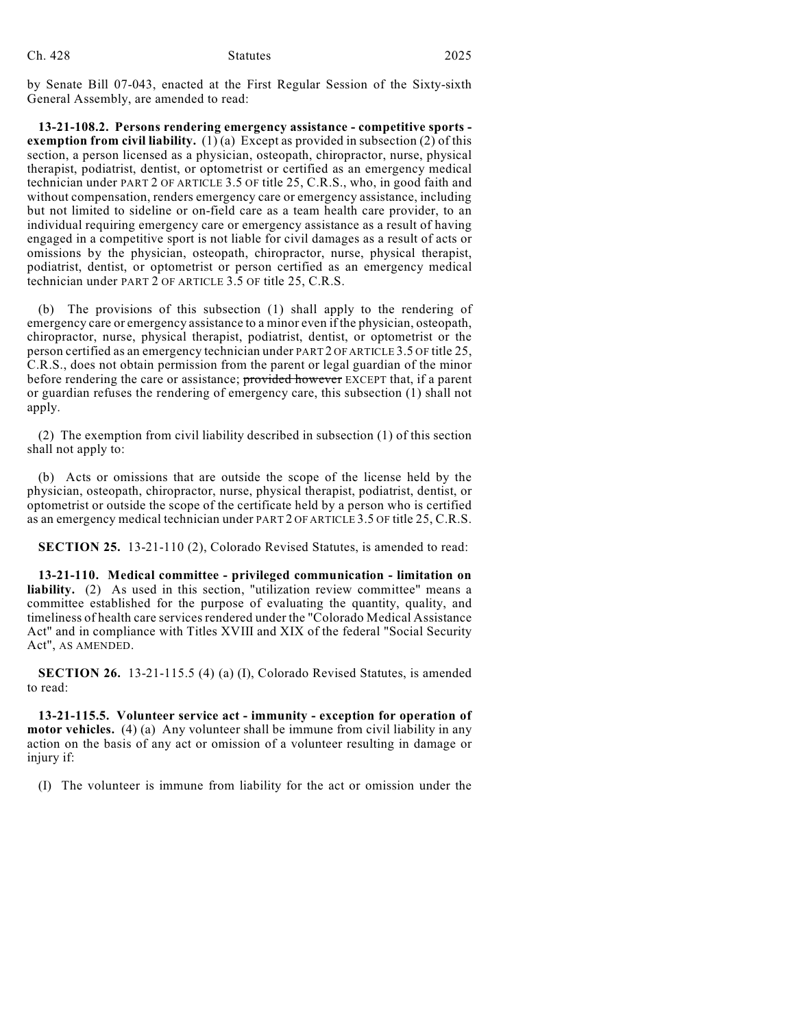| Ch. 428 | <b>Statutes</b> | 2025 |
|---------|-----------------|------|
|         |                 |      |

by Senate Bill 07-043, enacted at the First Regular Session of the Sixty-sixth General Assembly, are amended to read:

**13-21-108.2. Persons rendering emergency assistance - competitive sports exemption from civil liability.** (1) (a) Except as provided in subsection (2) of this section, a person licensed as a physician, osteopath, chiropractor, nurse, physical therapist, podiatrist, dentist, or optometrist or certified as an emergency medical technician under PART 2 OF ARTICLE 3.5 OF title 25, C.R.S., who, in good faith and without compensation, renders emergency care or emergency assistance, including but not limited to sideline or on-field care as a team health care provider, to an individual requiring emergency care or emergency assistance as a result of having engaged in a competitive sport is not liable for civil damages as a result of acts or omissions by the physician, osteopath, chiropractor, nurse, physical therapist, podiatrist, dentist, or optometrist or person certified as an emergency medical technician under PART 2 OF ARTICLE 3.5 OF title 25, C.R.S.

(b) The provisions of this subsection (1) shall apply to the rendering of emergency care or emergency assistance to a minor even if the physician, osteopath, chiropractor, nurse, physical therapist, podiatrist, dentist, or optometrist or the person certified as an emergency technician under PART 2 OF ARTICLE 3.5 OF title 25, C.R.S., does not obtain permission from the parent or legal guardian of the minor before rendering the care or assistance; provided however EXCEPT that, if a parent or guardian refuses the rendering of emergency care, this subsection (1) shall not apply.

(2) The exemption from civil liability described in subsection (1) of this section shall not apply to:

(b) Acts or omissions that are outside the scope of the license held by the physician, osteopath, chiropractor, nurse, physical therapist, podiatrist, dentist, or optometrist or outside the scope of the certificate held by a person who is certified as an emergency medical technician under PART 2 OF ARTICLE 3.5 OF title 25, C.R.S.

**SECTION 25.** 13-21-110 (2), Colorado Revised Statutes, is amended to read:

**13-21-110. Medical committee - privileged communication - limitation on liability.** (2) As used in this section, "utilization review committee" means a committee established for the purpose of evaluating the quantity, quality, and timeliness of health care services rendered under the "Colorado Medical Assistance Act" and in compliance with Titles XVIII and XIX of the federal "Social Security Act", AS AMENDED.

**SECTION 26.** 13-21-115.5 (4) (a) (I), Colorado Revised Statutes, is amended to read:

**13-21-115.5. Volunteer service act - immunity - exception for operation of motor vehicles.** (4) (a) Any volunteer shall be immune from civil liability in any action on the basis of any act or omission of a volunteer resulting in damage or injury if:

(I) The volunteer is immune from liability for the act or omission under the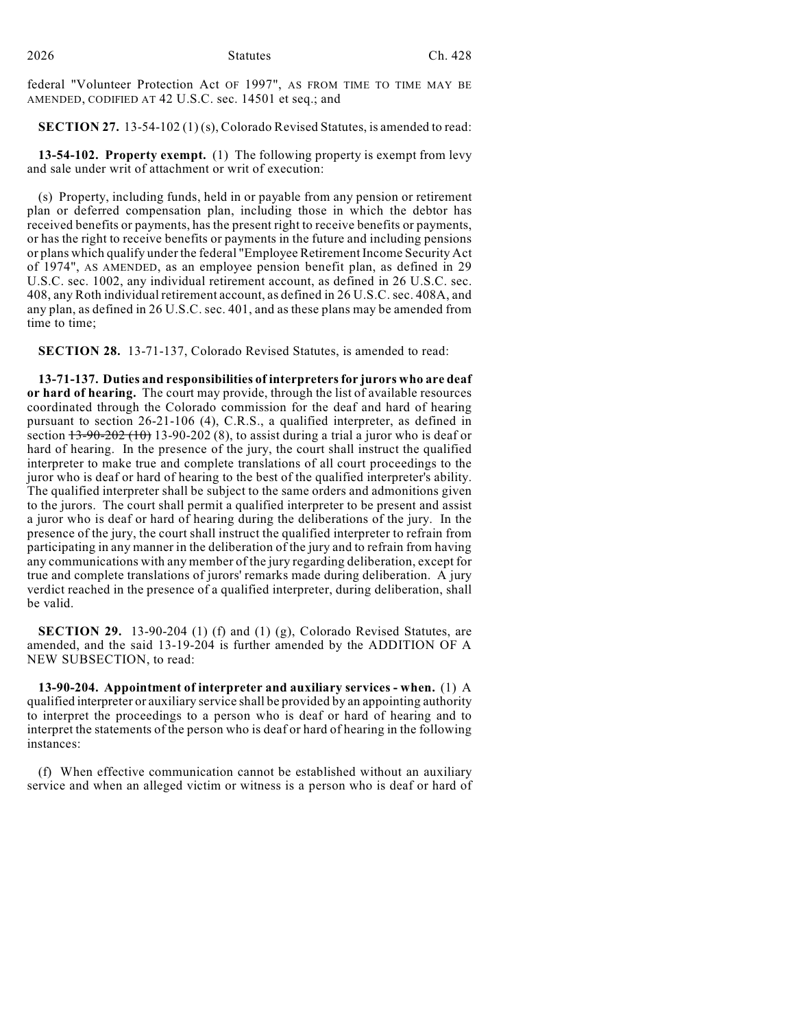federal "Volunteer Protection Act OF 1997", AS FROM TIME TO TIME MAY BE AMENDED, CODIFIED AT 42 U.S.C. sec. 14501 et seq.; and

**SECTION 27.** 13-54-102 (1)(s), Colorado Revised Statutes, is amended to read:

**13-54-102. Property exempt.** (1) The following property is exempt from levy and sale under writ of attachment or writ of execution:

(s) Property, including funds, held in or payable from any pension or retirement plan or deferred compensation plan, including those in which the debtor has received benefits or payments, has the present right to receive benefits or payments, or has the right to receive benefits or payments in the future and including pensions or plans which qualify under the federal "Employee Retirement Income Security Act of 1974", AS AMENDED, as an employee pension benefit plan, as defined in 29 U.S.C. sec. 1002, any individual retirement account, as defined in 26 U.S.C. sec. 408, any Roth individual retirement account, as defined in 26 U.S.C. sec. 408A, and any plan, as defined in 26 U.S.C. sec. 401, and as these plans may be amended from time to time;

**SECTION 28.** 13-71-137, Colorado Revised Statutes, is amended to read:

**13-71-137. Duties and responsibilities of interpreters for jurors who are deaf or hard of hearing.** The court may provide, through the list of available resources coordinated through the Colorado commission for the deaf and hard of hearing pursuant to section 26-21-106 (4), C.R.S., a qualified interpreter, as defined in section  $13-90-202$  (10) 13-90-202 (8), to assist during a trial a juror who is deaf or hard of hearing. In the presence of the jury, the court shall instruct the qualified interpreter to make true and complete translations of all court proceedings to the juror who is deaf or hard of hearing to the best of the qualified interpreter's ability. The qualified interpreter shall be subject to the same orders and admonitions given to the jurors. The court shall permit a qualified interpreter to be present and assist a juror who is deaf or hard of hearing during the deliberations of the jury. In the presence of the jury, the court shall instruct the qualified interpreter to refrain from participating in any manner in the deliberation of the jury and to refrain from having any communications with any member of the jury regarding deliberation, except for true and complete translations of jurors' remarks made during deliberation. A jury verdict reached in the presence of a qualified interpreter, during deliberation, shall be valid.

**SECTION 29.** 13-90-204 (1) (f) and (1) (g), Colorado Revised Statutes, are amended, and the said 13-19-204 is further amended by the ADDITION OF A NEW SUBSECTION, to read:

**13-90-204. Appointment of interpreter and auxiliary services - when.** (1) A qualified interpreter or auxiliary service shall be provided by an appointing authority to interpret the proceedings to a person who is deaf or hard of hearing and to interpret the statements of the person who is deaf or hard of hearing in the following instances:

(f) When effective communication cannot be established without an auxiliary service and when an alleged victim or witness is a person who is deaf or hard of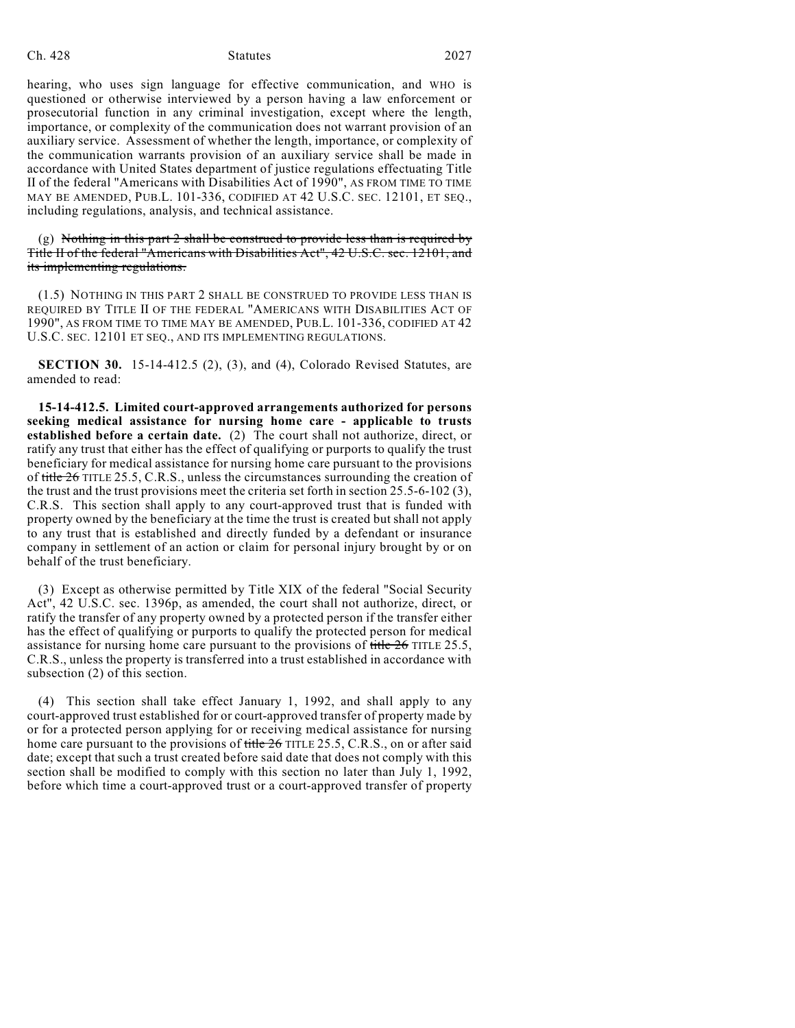#### Ch. 428 Statutes 2027

hearing, who uses sign language for effective communication, and WHO is questioned or otherwise interviewed by a person having a law enforcement or prosecutorial function in any criminal investigation, except where the length, importance, or complexity of the communication does not warrant provision of an auxiliary service. Assessment of whether the length, importance, or complexity of the communication warrants provision of an auxiliary service shall be made in accordance with United States department of justice regulations effectuating Title II of the federal "Americans with Disabilities Act of 1990", AS FROM TIME TO TIME MAY BE AMENDED, PUB.L. 101-336, CODIFIED AT 42 U.S.C. SEC. 12101, ET SEQ., including regulations, analysis, and technical assistance.

 $(g)$  Nothing in this part 2 shall be construed to provide less than is required by Title II of the federal "Americans with Disabilities Act", 42 U.S.C. sec. 12101, and its implementing regulations.

(1.5) NOTHING IN THIS PART 2 SHALL BE CONSTRUED TO PROVIDE LESS THAN IS REQUIRED BY TITLE II OF THE FEDERAL "AMERICANS WITH DISABILITIES ACT OF 1990", AS FROM TIME TO TIME MAY BE AMENDED, PUB.L. 101-336, CODIFIED AT 42 U.S.C. SEC. 12101 ET SEQ., AND ITS IMPLEMENTING REGULATIONS.

**SECTION 30.** 15-14-412.5 (2), (3), and (4), Colorado Revised Statutes, are amended to read:

**15-14-412.5. Limited court-approved arrangements authorized for persons seeking medical assistance for nursing home care - applicable to trusts established before a certain date.** (2) The court shall not authorize, direct, or ratify any trust that either has the effect of qualifying or purports to qualify the trust beneficiary for medical assistance for nursing home care pursuant to the provisions of title 26 TITLE 25.5, C.R.S., unless the circumstances surrounding the creation of the trust and the trust provisions meet the criteria set forth in section 25.5-6-102 (3), C.R.S. This section shall apply to any court-approved trust that is funded with property owned by the beneficiary at the time the trust is created but shall not apply to any trust that is established and directly funded by a defendant or insurance company in settlement of an action or claim for personal injury brought by or on behalf of the trust beneficiary.

(3) Except as otherwise permitted by Title XIX of the federal "Social Security Act", 42 U.S.C. sec. 1396p, as amended, the court shall not authorize, direct, or ratify the transfer of any property owned by a protected person if the transfer either has the effect of qualifying or purports to qualify the protected person for medical assistance for nursing home care pursuant to the provisions of title 26 TITLE 25.5, C.R.S., unless the property is transferred into a trust established in accordance with subsection (2) of this section.

(4) This section shall take effect January 1, 1992, and shall apply to any court-approved trust established for or court-approved transfer of property made by or for a protected person applying for or receiving medical assistance for nursing home care pursuant to the provisions of title 26 TITLE 25.5, C.R.S., on or after said date; except that such a trust created before said date that does not comply with this section shall be modified to comply with this section no later than July 1, 1992, before which time a court-approved trust or a court-approved transfer of property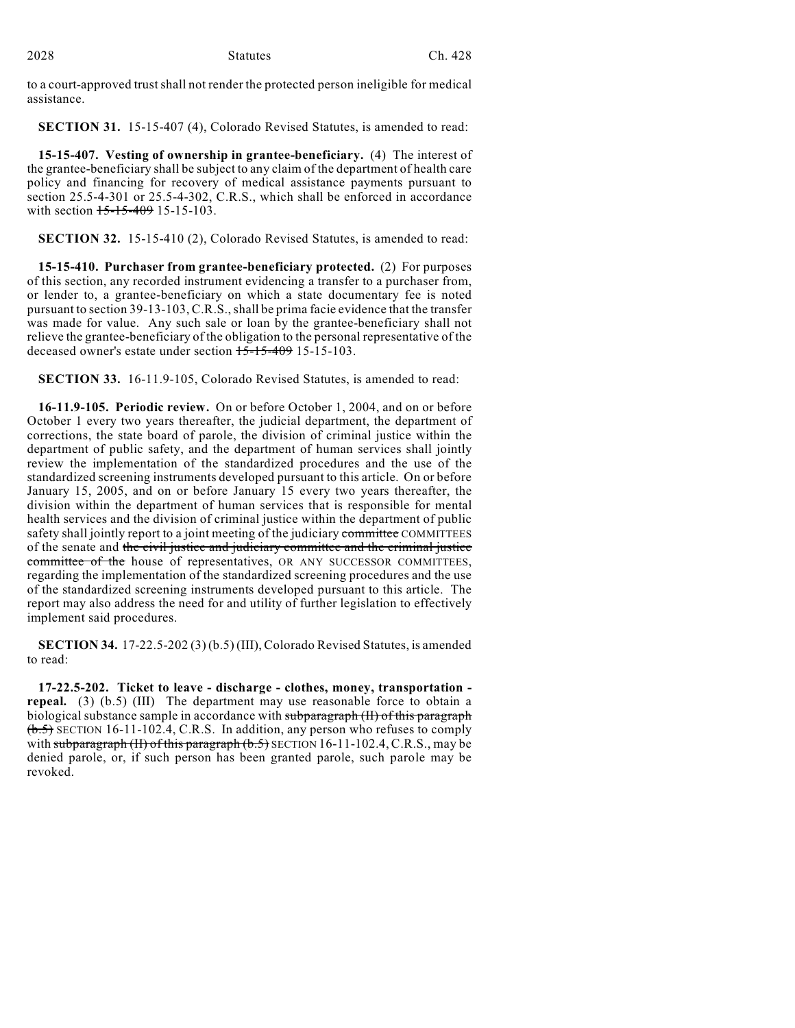2028 Statutes Ch. 428

to a court-approved trustshall not render the protected person ineligible for medical assistance.

**SECTION 31.** 15-15-407 (4), Colorado Revised Statutes, is amended to read:

**15-15-407. Vesting of ownership in grantee-beneficiary.** (4) The interest of the grantee-beneficiary shall be subject to any claim of the department of health care policy and financing for recovery of medical assistance payments pursuant to section 25.5-4-301 or 25.5-4-302, C.R.S., which shall be enforced in accordance with section 15-15-409 15-15-103.

**SECTION 32.** 15-15-410 (2), Colorado Revised Statutes, is amended to read:

**15-15-410. Purchaser from grantee-beneficiary protected.** (2) For purposes of this section, any recorded instrument evidencing a transfer to a purchaser from, or lender to, a grantee-beneficiary on which a state documentary fee is noted pursuant to section 39-13-103, C.R.S., shall be prima facie evidence that the transfer was made for value. Any such sale or loan by the grantee-beneficiary shall not relieve the grantee-beneficiary of the obligation to the personal representative of the deceased owner's estate under section 15-15-409 15-15-103.

**SECTION 33.** 16-11.9-105, Colorado Revised Statutes, is amended to read:

**16-11.9-105. Periodic review.** On or before October 1, 2004, and on or before October 1 every two years thereafter, the judicial department, the department of corrections, the state board of parole, the division of criminal justice within the department of public safety, and the department of human services shall jointly review the implementation of the standardized procedures and the use of the standardized screening instruments developed pursuant to this article. On or before January 15, 2005, and on or before January 15 every two years thereafter, the division within the department of human services that is responsible for mental health services and the division of criminal justice within the department of public safety shall jointly report to a joint meeting of the judiciary committee COMMITTEES of the senate and the civil justice and judiciary committee and the criminal justice committee of the house of representatives, OR ANY SUCCESSOR COMMITTEES, regarding the implementation of the standardized screening procedures and the use of the standardized screening instruments developed pursuant to this article. The report may also address the need for and utility of further legislation to effectively implement said procedures.

**SECTION 34.** 17-22.5-202 (3) (b.5) (III), Colorado Revised Statutes, is amended to read:

**17-22.5-202. Ticket to leave - discharge - clothes, money, transportation repeal.** (3) (b.5) (III) The department may use reasonable force to obtain a biological substance sample in accordance with subparagraph (II) of this paragraph  $(b.5)$  SECTION 16-11-102.4, C.R.S. In addition, any person who refuses to comply with subparagraph  $(H)$  of this paragraph  $(b.5)$  SECTION 16-11-102.4, C.R.S., may be denied parole, or, if such person has been granted parole, such parole may be revoked.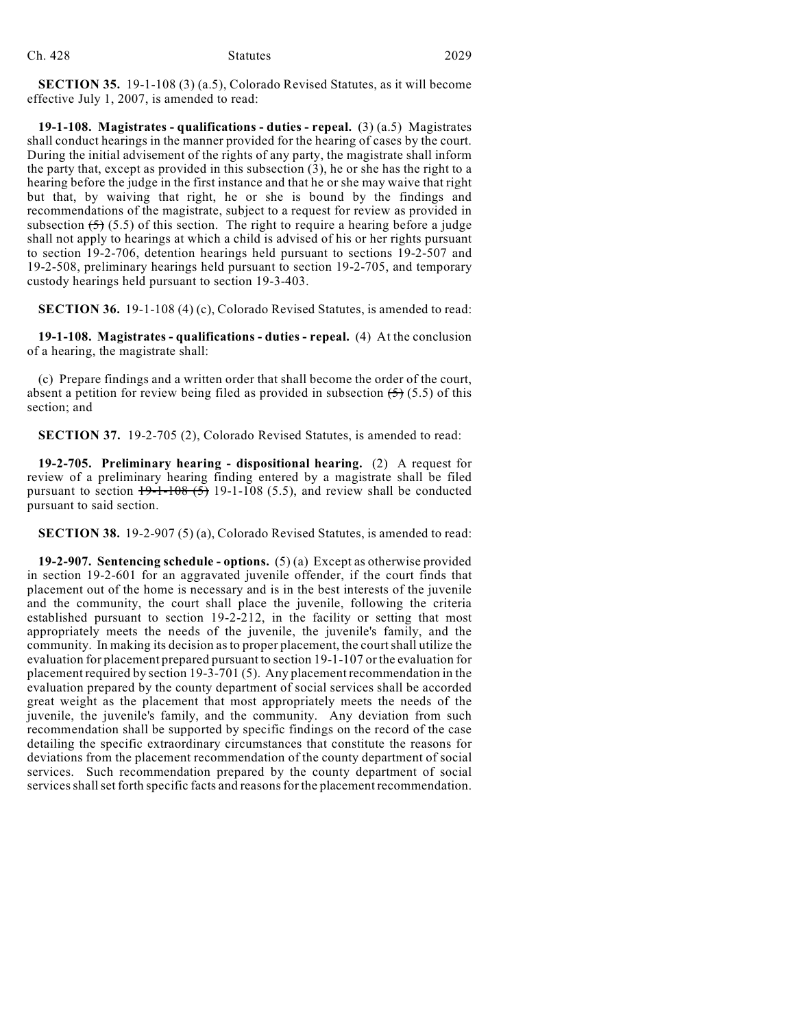**SECTION 35.** 19-1-108 (3) (a.5), Colorado Revised Statutes, as it will become effective July 1, 2007, is amended to read:

**19-1-108. Magistrates - qualifications - duties - repeal.** (3) (a.5) Magistrates shall conduct hearings in the manner provided for the hearing of cases by the court. During the initial advisement of the rights of any party, the magistrate shall inform the party that, except as provided in this subsection (3), he or she has the right to a hearing before the judge in the first instance and that he or she may waive that right but that, by waiving that right, he or she is bound by the findings and recommendations of the magistrate, subject to a request for review as provided in subsection  $(5)$  (5.5) of this section. The right to require a hearing before a judge shall not apply to hearings at which a child is advised of his or her rights pursuant to section 19-2-706, detention hearings held pursuant to sections 19-2-507 and 19-2-508, preliminary hearings held pursuant to section 19-2-705, and temporary custody hearings held pursuant to section 19-3-403.

**SECTION 36.** 19-1-108 (4) (c), Colorado Revised Statutes, is amended to read:

**19-1-108. Magistrates - qualifications - duties - repeal.** (4) At the conclusion of a hearing, the magistrate shall:

(c) Prepare findings and a written order that shall become the order of the court, absent a petition for review being filed as provided in subsection  $(5)$  (5.5) of this section; and

**SECTION 37.** 19-2-705 (2), Colorado Revised Statutes, is amended to read:

**19-2-705. Preliminary hearing - dispositional hearing.** (2) A request for review of a preliminary hearing finding entered by a magistrate shall be filed pursuant to section  $19-1-108(5)$  19-1-108 (5.5), and review shall be conducted pursuant to said section.

**SECTION 38.** 19-2-907 (5) (a), Colorado Revised Statutes, is amended to read:

**19-2-907. Sentencing schedule - options.** (5) (a) Except as otherwise provided in section 19-2-601 for an aggravated juvenile offender, if the court finds that placement out of the home is necessary and is in the best interests of the juvenile and the community, the court shall place the juvenile, following the criteria established pursuant to section 19-2-212, in the facility or setting that most appropriately meets the needs of the juvenile, the juvenile's family, and the community. In making its decision asto proper placement, the courtshall utilize the evaluation for placement prepared pursuant to section 19-1-107 or the evaluation for placement required by section 19-3-701 (5). Any placement recommendation in the evaluation prepared by the county department of social services shall be accorded great weight as the placement that most appropriately meets the needs of the juvenile, the juvenile's family, and the community. Any deviation from such recommendation shall be supported by specific findings on the record of the case detailing the specific extraordinary circumstances that constitute the reasons for deviations from the placement recommendation of the county department of social services. Such recommendation prepared by the county department of social services shall set forth specific facts and reasons for the placement recommendation.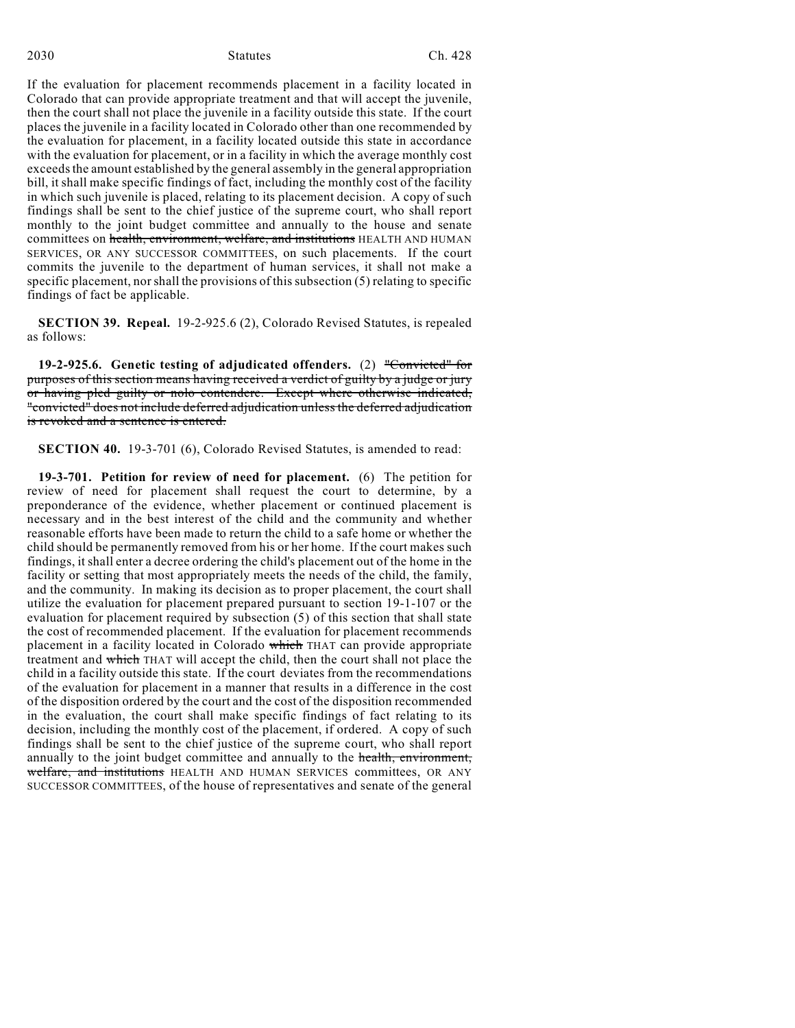If the evaluation for placement recommends placement in a facility located in Colorado that can provide appropriate treatment and that will accept the juvenile, then the court shall not place the juvenile in a facility outside this state. If the court places the juvenile in a facility located in Colorado other than one recommended by the evaluation for placement, in a facility located outside this state in accordance with the evaluation for placement, or in a facility in which the average monthly cost exceeds the amount established by the general assembly in the general appropriation bill, it shall make specific findings of fact, including the monthly cost of the facility in which such juvenile is placed, relating to its placement decision. A copy of such findings shall be sent to the chief justice of the supreme court, who shall report monthly to the joint budget committee and annually to the house and senate committees on health, environment, welfare, and institutions HEALTH AND HUMAN SERVICES, OR ANY SUCCESSOR COMMITTEES, on such placements. If the court commits the juvenile to the department of human services, it shall not make a specific placement, nor shall the provisions of this subsection (5) relating to specific findings of fact be applicable.

**SECTION 39. Repeal.** 19-2-925.6 (2), Colorado Revised Statutes, is repealed as follows:

**19-2-925.6. Genetic testing of adjudicated offenders.** (2) "Convicted" for purposes of this section means having received a verdict of guilty by a judge or jury or having pled guilty or nolo contendere. Except where otherwise indicated, "convicted" does not include deferred adjudication unless the deferred adjudication is revoked and a sentence is entered.

**SECTION 40.** 19-3-701 (6), Colorado Revised Statutes, is amended to read:

**19-3-701. Petition for review of need for placement.** (6) The petition for review of need for placement shall request the court to determine, by a preponderance of the evidence, whether placement or continued placement is necessary and in the best interest of the child and the community and whether reasonable efforts have been made to return the child to a safe home or whether the child should be permanently removed from his or her home. If the court makes such findings, it shall enter a decree ordering the child's placement out of the home in the facility or setting that most appropriately meets the needs of the child, the family, and the community. In making its decision as to proper placement, the court shall utilize the evaluation for placement prepared pursuant to section 19-1-107 or the evaluation for placement required by subsection (5) of this section that shall state the cost of recommended placement. If the evaluation for placement recommends placement in a facility located in Colorado which THAT can provide appropriate treatment and which THAT will accept the child, then the court shall not place the child in a facility outside this state. If the court deviates from the recommendations of the evaluation for placement in a manner that results in a difference in the cost of the disposition ordered by the court and the cost of the disposition recommended in the evaluation, the court shall make specific findings of fact relating to its decision, including the monthly cost of the placement, if ordered. A copy of such findings shall be sent to the chief justice of the supreme court, who shall report annually to the joint budget committee and annually to the health, environment, welfare, and institutions HEALTH AND HUMAN SERVICES committees, OR ANY SUCCESSOR COMMITTEES, of the house of representatives and senate of the general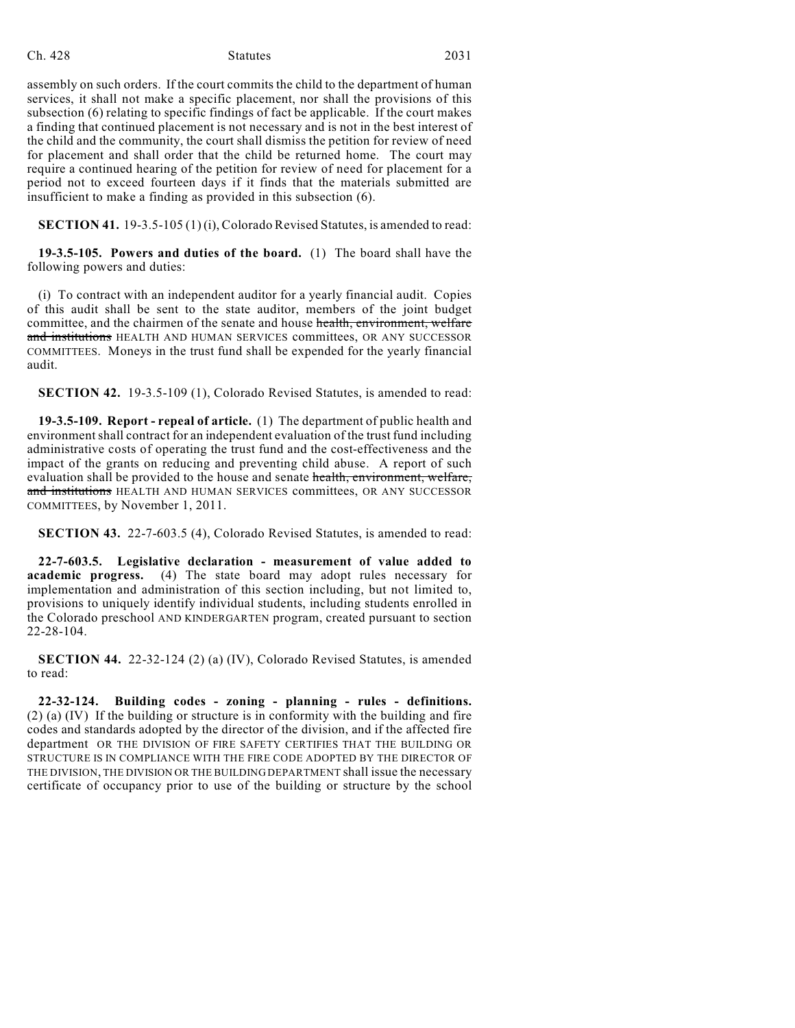#### Ch. 428 Statutes 2031

assembly on such orders. If the court commits the child to the department of human services, it shall not make a specific placement, nor shall the provisions of this subsection (6) relating to specific findings of fact be applicable. If the court makes a finding that continued placement is not necessary and is not in the best interest of the child and the community, the court shall dismiss the petition for review of need for placement and shall order that the child be returned home. The court may require a continued hearing of the petition for review of need for placement for a period not to exceed fourteen days if it finds that the materials submitted are insufficient to make a finding as provided in this subsection (6).

**SECTION 41.** 19-3.5-105 (1) (i), Colorado Revised Statutes, is amended to read:

**19-3.5-105. Powers and duties of the board.** (1) The board shall have the following powers and duties:

(i) To contract with an independent auditor for a yearly financial audit. Copies of this audit shall be sent to the state auditor, members of the joint budget committee, and the chairmen of the senate and house health, environment, welfare and institutions HEALTH AND HUMAN SERVICES committees, OR ANY SUCCESSOR COMMITTEES. Moneys in the trust fund shall be expended for the yearly financial audit.

**SECTION 42.** 19-3.5-109 (1), Colorado Revised Statutes, is amended to read:

**19-3.5-109. Report - repeal of article.** (1) The department of public health and environment shall contract for an independent evaluation of the trust fund including administrative costs of operating the trust fund and the cost-effectiveness and the impact of the grants on reducing and preventing child abuse. A report of such evaluation shall be provided to the house and senate health, environment, welfare, and institutions HEALTH AND HUMAN SERVICES committees, OR ANY SUCCESSOR COMMITTEES, by November 1, 2011.

**SECTION 43.** 22-7-603.5 (4), Colorado Revised Statutes, is amended to read:

**22-7-603.5. Legislative declaration - measurement of value added to academic progress.** (4) The state board may adopt rules necessary for implementation and administration of this section including, but not limited to, provisions to uniquely identify individual students, including students enrolled in the Colorado preschool AND KINDERGARTEN program, created pursuant to section 22-28-104.

**SECTION 44.** 22-32-124 (2) (a) (IV), Colorado Revised Statutes, is amended to read:

**22-32-124. Building codes - zoning - planning - rules - definitions.**  $(2)$  (a)  $(IV)$  If the building or structure is in conformity with the building and fire codes and standards adopted by the director of the division, and if the affected fire department OR THE DIVISION OF FIRE SAFETY CERTIFIES THAT THE BUILDING OR STRUCTURE IS IN COMPLIANCE WITH THE FIRE CODE ADOPTED BY THE DIRECTOR OF THE DIVISION, THE DIVISION OR THE BUILDING DEPARTMENT shall issue the necessary certificate of occupancy prior to use of the building or structure by the school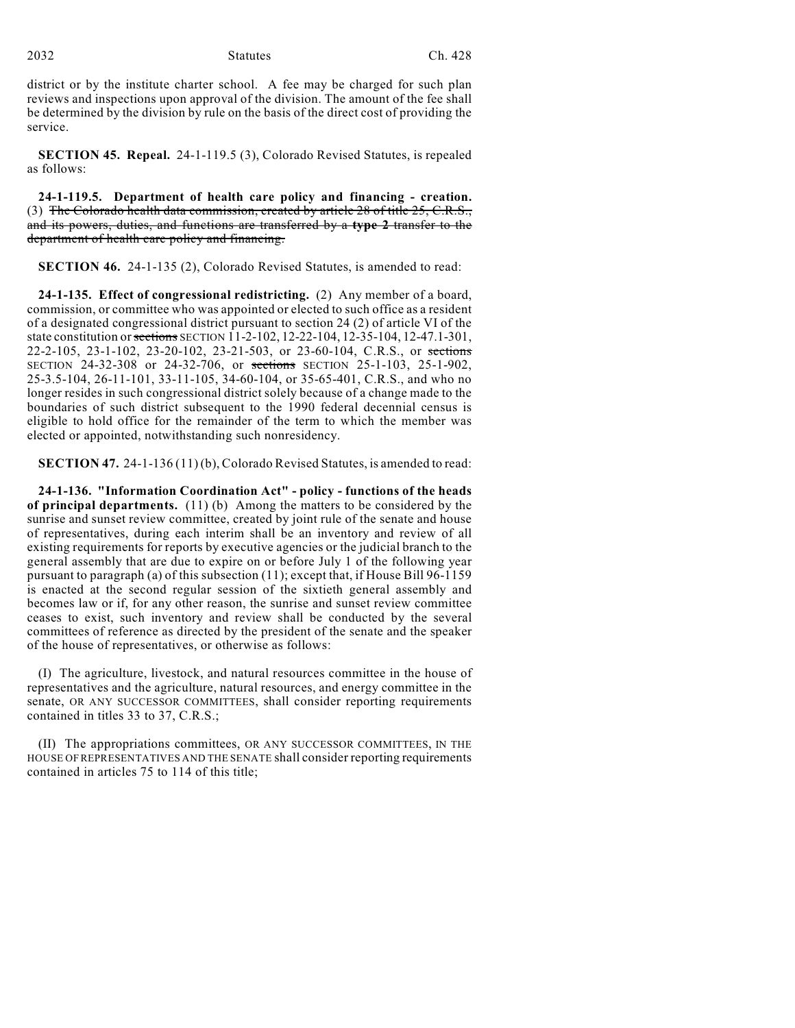district or by the institute charter school. A fee may be charged for such plan reviews and inspections upon approval of the division. The amount of the fee shall be determined by the division by rule on the basis of the direct cost of providing the service.

**SECTION 45. Repeal.** 24-1-119.5 (3), Colorado Revised Statutes, is repealed as follows:

**24-1-119.5. Department of health care policy and financing - creation.** (3) The Colorado health data commission, created by article 28 of title 25, C.R.S., and its powers, duties, and functions are transferred by a **type 2** transfer to the department of health care policy and financing.

**SECTION 46.** 24-1-135 (2), Colorado Revised Statutes, is amended to read:

**24-1-135. Effect of congressional redistricting.** (2) Any member of a board, commission, or committee who was appointed or elected to such office as a resident of a designated congressional district pursuant to section 24 (2) of article VI of the state constitution or sections SECTION 11-2-102, 12-22-104, 12-35-104, 12-47.1-301, 22-2-105, 23-1-102, 23-20-102, 23-21-503, or 23-60-104, C.R.S., or sections SECTION 24-32-308 or 24-32-706, or sections SECTION 25-1-103, 25-1-902, 25-3.5-104, 26-11-101, 33-11-105, 34-60-104, or 35-65-401, C.R.S., and who no longer resides in such congressional district solely because of a change made to the boundaries of such district subsequent to the 1990 federal decennial census is eligible to hold office for the remainder of the term to which the member was elected or appointed, notwithstanding such nonresidency.

**SECTION 47.** 24-1-136 (11) (b), Colorado Revised Statutes, is amended to read:

**24-1-136. "Information Coordination Act" - policy - functions of the heads of principal departments.** (11) (b) Among the matters to be considered by the sunrise and sunset review committee, created by joint rule of the senate and house of representatives, during each interim shall be an inventory and review of all existing requirements for reports by executive agencies or the judicial branch to the general assembly that are due to expire on or before July 1 of the following year pursuant to paragraph (a) of this subsection (11); except that, if House Bill 96-1159 is enacted at the second regular session of the sixtieth general assembly and becomes law or if, for any other reason, the sunrise and sunset review committee ceases to exist, such inventory and review shall be conducted by the several committees of reference as directed by the president of the senate and the speaker of the house of representatives, or otherwise as follows:

(I) The agriculture, livestock, and natural resources committee in the house of representatives and the agriculture, natural resources, and energy committee in the senate, OR ANY SUCCESSOR COMMITTEES, shall consider reporting requirements contained in titles 33 to 37, C.R.S.;

(II) The appropriations committees, OR ANY SUCCESSOR COMMITTEES, IN THE HOUSE OF REPRESENTATIVES AND THE SENATE shall consider reporting requirements contained in articles 75 to 114 of this title;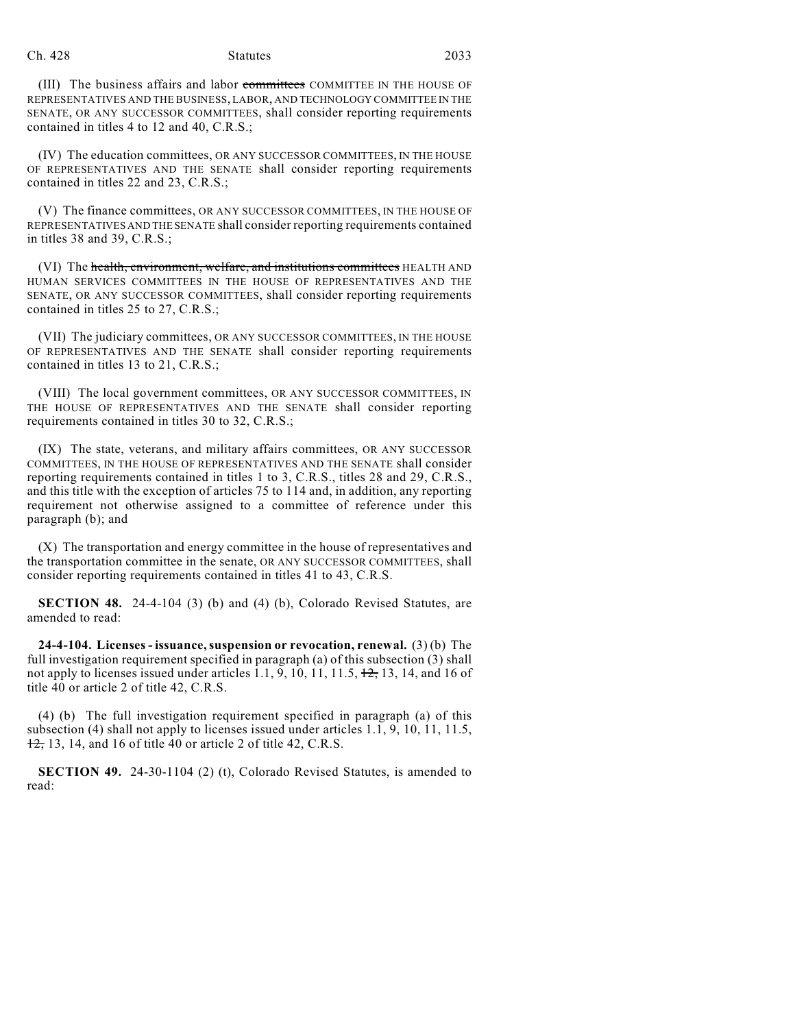#### Ch. 428 Statutes 2033

(III) The business affairs and labor committees COMMITTEE IN THE HOUSE OF REPRESENTATIVES AND THE BUSINESS, LABOR, AND TECHNOLOGY COMMITTEE IN THE SENATE, OR ANY SUCCESSOR COMMITTEES, shall consider reporting requirements contained in titles 4 to 12 and 40, C.R.S.;

(IV) The education committees, OR ANY SUCCESSOR COMMITTEES, IN THE HOUSE OF REPRESENTATIVES AND THE SENATE shall consider reporting requirements contained in titles 22 and 23, C.R.S.;

(V) The finance committees, OR ANY SUCCESSOR COMMITTEES, IN THE HOUSE OF REPRESENTATIVES AND THE SENATE shall consider reporting requirements contained in titles 38 and 39, C.R.S.;

(VI) The health, environment, welfare, and institutions committees HEALTH AND HUMAN SERVICES COMMITTEES IN THE HOUSE OF REPRESENTATIVES AND THE SENATE, OR ANY SUCCESSOR COMMITTEES, shall consider reporting requirements contained in titles 25 to 27, C.R.S.;

(VII) The judiciary committees, OR ANY SUCCESSOR COMMITTEES, IN THE HOUSE OF REPRESENTATIVES AND THE SENATE shall consider reporting requirements contained in titles 13 to 21, C.R.S.;

(VIII) The local government committees, OR ANY SUCCESSOR COMMITTEES, IN THE HOUSE OF REPRESENTATIVES AND THE SENATE shall consider reporting requirements contained in titles 30 to 32, C.R.S.;

(IX) The state, veterans, and military affairs committees, OR ANY SUCCESSOR COMMITTEES, IN THE HOUSE OF REPRESENTATIVES AND THE SENATE shall consider reporting requirements contained in titles 1 to 3, C.R.S., titles 28 and 29, C.R.S., and this title with the exception of articles 75 to 114 and, in addition, any reporting requirement not otherwise assigned to a committee of reference under this paragraph (b); and

(X) The transportation and energy committee in the house of representatives and the transportation committee in the senate, OR ANY SUCCESSOR COMMITTEES, shall consider reporting requirements contained in titles 41 to 43, C.R.S.

**SECTION 48.** 24-4-104 (3) (b) and (4) (b), Colorado Revised Statutes, are amended to read:

**24-4-104. Licenses - issuance, suspension or revocation, renewal.** (3) (b) The full investigation requirement specified in paragraph (a) of this subsection (3) shall not apply to licenses issued under articles 1.1, 9, 10, 11, 11.5,  $\frac{12}{12}$ , 13, 14, and 16 of title 40 or article 2 of title 42, C.R.S.

(4) (b) The full investigation requirement specified in paragraph (a) of this subsection (4) shall not apply to licenses issued under articles 1.1, 9, 10, 11, 11.5,  $12$ , 13, 14, and 16 of title 40 or article 2 of title 42, C.R.S.

**SECTION 49.** 24-30-1104 (2) (t), Colorado Revised Statutes, is amended to read: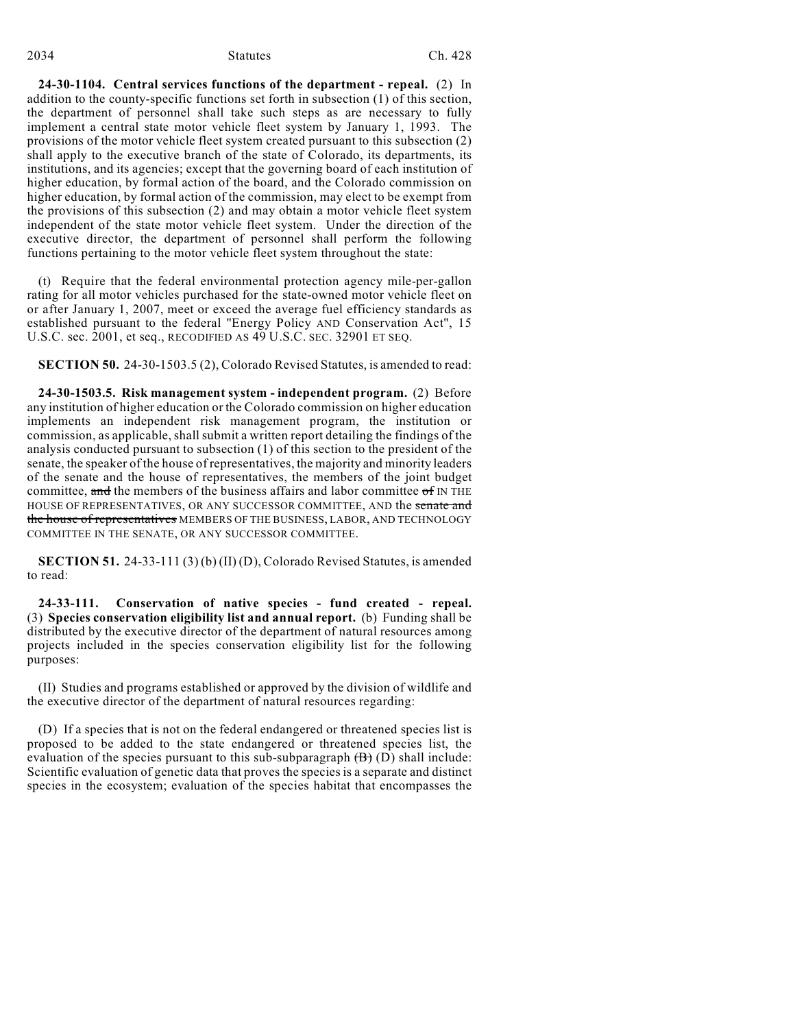#### 2034 Statutes Ch. 428

**24-30-1104. Central services functions of the department - repeal.** (2) In addition to the county-specific functions set forth in subsection (1) of this section, the department of personnel shall take such steps as are necessary to fully implement a central state motor vehicle fleet system by January 1, 1993. The provisions of the motor vehicle fleet system created pursuant to this subsection (2) shall apply to the executive branch of the state of Colorado, its departments, its institutions, and its agencies; except that the governing board of each institution of higher education, by formal action of the board, and the Colorado commission on higher education, by formal action of the commission, may elect to be exempt from the provisions of this subsection (2) and may obtain a motor vehicle fleet system independent of the state motor vehicle fleet system. Under the direction of the executive director, the department of personnel shall perform the following functions pertaining to the motor vehicle fleet system throughout the state:

(t) Require that the federal environmental protection agency mile-per-gallon rating for all motor vehicles purchased for the state-owned motor vehicle fleet on or after January 1, 2007, meet or exceed the average fuel efficiency standards as established pursuant to the federal "Energy Policy AND Conservation Act", 15 U.S.C. sec. 2001, et seq., RECODIFIED AS 49 U.S.C. SEC. 32901 ET SEQ.

**SECTION 50.** 24-30-1503.5 (2), Colorado Revised Statutes, is amended to read:

**24-30-1503.5. Risk management system - independent program.** (2) Before any institution of higher education or the Colorado commission on higher education implements an independent risk management program, the institution or commission, as applicable, shall submit a written report detailing the findings of the analysis conducted pursuant to subsection (1) of this section to the president of the senate, the speaker of the house of representatives, the majority and minority leaders of the senate and the house of representatives, the members of the joint budget committee, and the members of the business affairs and labor committee  $\sigma$ f IN THE HOUSE OF REPRESENTATIVES, OR ANY SUCCESSOR COMMITTEE, AND the senate and the house of representatives MEMBERS OF THE BUSINESS, LABOR, AND TECHNOLOGY COMMITTEE IN THE SENATE, OR ANY SUCCESSOR COMMITTEE.

**SECTION 51.** 24-33-111 (3) (b) (II) (D), Colorado Revised Statutes, is amended to read:

**24-33-111. Conservation of native species - fund created - repeal.** (3) **Species conservation eligibility list and annual report.** (b) Funding shall be distributed by the executive director of the department of natural resources among projects included in the species conservation eligibility list for the following purposes:

(II) Studies and programs established or approved by the division of wildlife and the executive director of the department of natural resources regarding:

(D) If a species that is not on the federal endangered or threatened species list is proposed to be added to the state endangered or threatened species list, the evaluation of the species pursuant to this sub-subparagraph  $(\overline{B})$  (D) shall include: Scientific evaluation of genetic data that proves the species is a separate and distinct species in the ecosystem; evaluation of the species habitat that encompasses the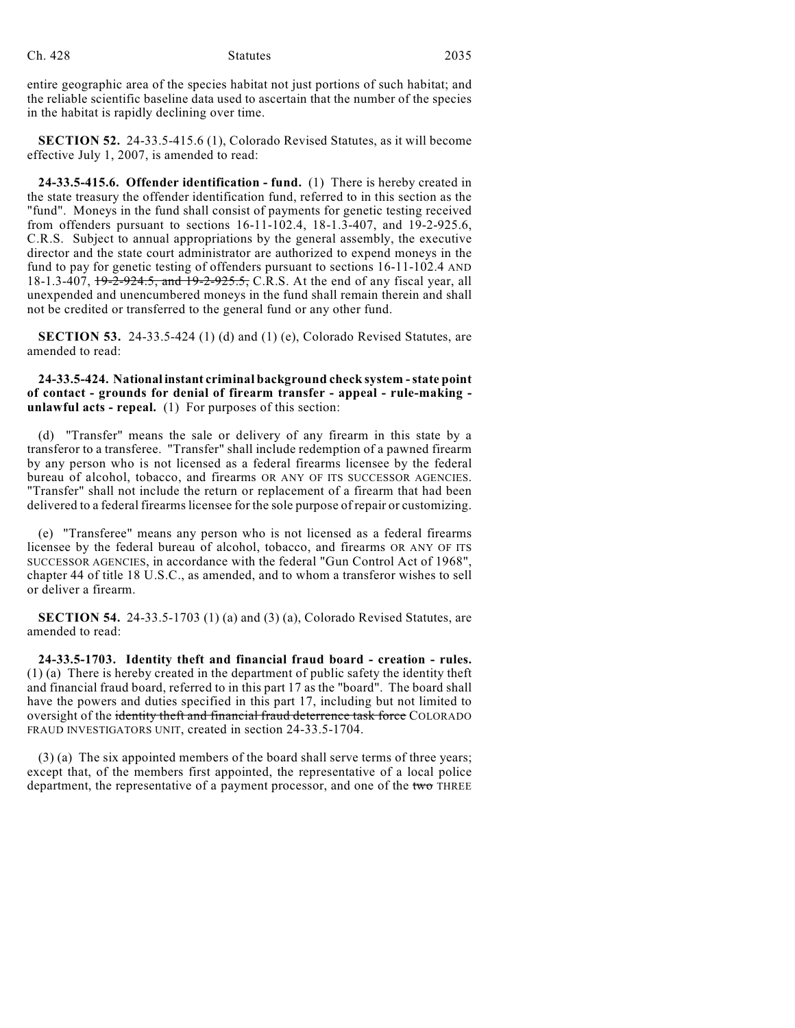entire geographic area of the species habitat not just portions of such habitat; and the reliable scientific baseline data used to ascertain that the number of the species in the habitat is rapidly declining over time.

**SECTION 52.** 24-33.5-415.6 (1), Colorado Revised Statutes, as it will become effective July 1, 2007, is amended to read:

**24-33.5-415.6. Offender identification - fund.** (1) There is hereby created in the state treasury the offender identification fund, referred to in this section as the "fund". Moneys in the fund shall consist of payments for genetic testing received from offenders pursuant to sections 16-11-102.4, 18-1.3-407, and 19-2-925.6, C.R.S. Subject to annual appropriations by the general assembly, the executive director and the state court administrator are authorized to expend moneys in the fund to pay for genetic testing of offenders pursuant to sections 16-11-102.4 AND 18-1.3-407, 19-2-924.5, and 19-2-925.5, C.R.S. At the end of any fiscal year, all unexpended and unencumbered moneys in the fund shall remain therein and shall not be credited or transferred to the general fund or any other fund.

**SECTION 53.** 24-33.5-424 (1) (d) and (1) (e), Colorado Revised Statutes, are amended to read:

**24-33.5-424. National instant criminal background check system - state point of contact - grounds for denial of firearm transfer - appeal - rule-making unlawful acts - repeal.** (1) For purposes of this section:

(d) "Transfer" means the sale or delivery of any firearm in this state by a transferor to a transferee. "Transfer" shall include redemption of a pawned firearm by any person who is not licensed as a federal firearms licensee by the federal bureau of alcohol, tobacco, and firearms OR ANY OF ITS SUCCESSOR AGENCIES. "Transfer" shall not include the return or replacement of a firearm that had been delivered to a federal firearms licensee for the sole purpose of repair or customizing.

(e) "Transferee" means any person who is not licensed as a federal firearms licensee by the federal bureau of alcohol, tobacco, and firearms OR ANY OF ITS SUCCESSOR AGENCIES, in accordance with the federal "Gun Control Act of 1968", chapter 44 of title 18 U.S.C., as amended, and to whom a transferor wishes to sell or deliver a firearm.

**SECTION 54.** 24-33.5-1703 (1) (a) and (3) (a), Colorado Revised Statutes, are amended to read:

**24-33.5-1703. Identity theft and financial fraud board - creation - rules.** (1) (a) There is hereby created in the department of public safety the identity theft and financial fraud board, referred to in this part 17 as the "board". The board shall have the powers and duties specified in this part 17, including but not limited to oversight of the identity theft and financial fraud deterrence task force COLORADO FRAUD INVESTIGATORS UNIT, created in section 24-33.5-1704.

(3) (a) The six appointed members of the board shall serve terms of three years; except that, of the members first appointed, the representative of a local police department, the representative of a payment processor, and one of the two THREE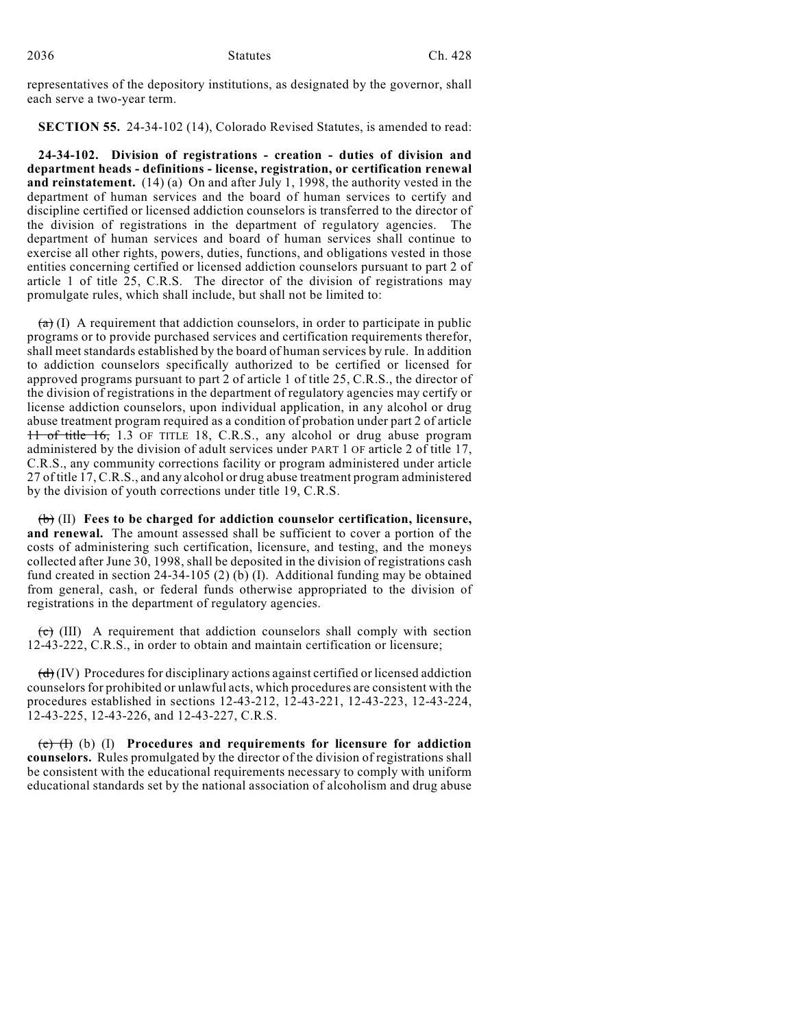representatives of the depository institutions, as designated by the governor, shall each serve a two-year term.

**SECTION 55.** 24-34-102 (14), Colorado Revised Statutes, is amended to read:

**24-34-102. Division of registrations - creation - duties of division and department heads - definitions - license, registration, or certification renewal and reinstatement.** (14) (a) On and after July 1, 1998, the authority vested in the department of human services and the board of human services to certify and discipline certified or licensed addiction counselors is transferred to the director of the division of registrations in the department of regulatory agencies. The department of human services and board of human services shall continue to exercise all other rights, powers, duties, functions, and obligations vested in those entities concerning certified or licensed addiction counselors pursuant to part 2 of article 1 of title 25, C.R.S. The director of the division of registrations may promulgate rules, which shall include, but shall not be limited to:

 $(a)$  (I) A requirement that addiction counselors, in order to participate in public programs or to provide purchased services and certification requirements therefor, shall meet standards established by the board of human services by rule. In addition to addiction counselors specifically authorized to be certified or licensed for approved programs pursuant to part 2 of article 1 of title 25, C.R.S., the director of the division of registrations in the department of regulatory agencies may certify or license addiction counselors, upon individual application, in any alcohol or drug abuse treatment program required as a condition of probation under part 2 of article 11 of title 16, 1.3 OF TITLE 18, C.R.S., any alcohol or drug abuse program administered by the division of adult services under PART 1 OF article 2 of title 17, C.R.S., any community corrections facility or program administered under article 27 of title 17, C.R.S., and any alcohol or drug abuse treatment program administered by the division of youth corrections under title 19, C.R.S.

(b) (II) **Fees to be charged for addiction counselor certification, licensure, and renewal.** The amount assessed shall be sufficient to cover a portion of the costs of administering such certification, licensure, and testing, and the moneys collected after June 30, 1998, shall be deposited in the division of registrations cash fund created in section  $24-34-105$  (2) (b) (I). Additional funding may be obtained from general, cash, or federal funds otherwise appropriated to the division of registrations in the department of regulatory agencies.

 $(c)$  (III) A requirement that addiction counselors shall comply with section 12-43-222, C.R.S., in order to obtain and maintain certification or licensure;

 $\left(\frac{d}{d}\right)$  (IV) Procedures for disciplinary actions against certified or licensed addiction counselors for prohibited or unlawful acts, which procedures are consistent with the procedures established in sections 12-43-212, 12-43-221, 12-43-223, 12-43-224, 12-43-225, 12-43-226, and 12-43-227, C.R.S.

(e) (I) (b) (I) **Procedures and requirements for licensure for addiction counselors.** Rules promulgated by the director of the division of registrations shall be consistent with the educational requirements necessary to comply with uniform educational standards set by the national association of alcoholism and drug abuse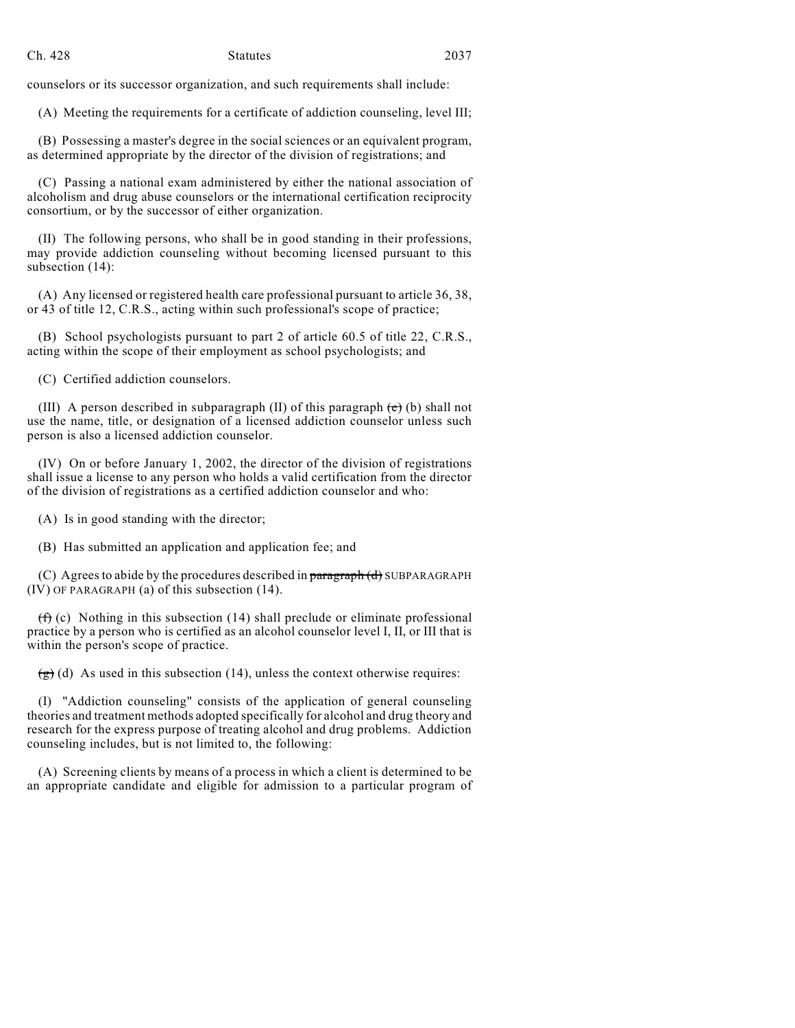counselors or its successor organization, and such requirements shall include:

(A) Meeting the requirements for a certificate of addiction counseling, level III;

(B) Possessing a master's degree in the social sciences or an equivalent program, as determined appropriate by the director of the division of registrations; and

(C) Passing a national exam administered by either the national association of alcoholism and drug abuse counselors or the international certification reciprocity consortium, or by the successor of either organization.

(II) The following persons, who shall be in good standing in their professions, may provide addiction counseling without becoming licensed pursuant to this subsection (14):

(A) Any licensed or registered health care professional pursuant to article 36, 38, or 43 of title 12, C.R.S., acting within such professional's scope of practice;

(B) School psychologists pursuant to part 2 of article 60.5 of title 22, C.R.S., acting within the scope of their employment as school psychologists; and

(C) Certified addiction counselors.

(III) A person described in subparagraph (II) of this paragraph  $(e)$  (b) shall not use the name, title, or designation of a licensed addiction counselor unless such person is also a licensed addiction counselor.

(IV) On or before January 1, 2002, the director of the division of registrations shall issue a license to any person who holds a valid certification from the director of the division of registrations as a certified addiction counselor and who:

(A) Is in good standing with the director;

(B) Has submitted an application and application fee; and

(C) Agrees to abide by the procedures described in paragraph (d) SUBPARAGRAPH (IV) OF PARAGRAPH (a) of this subsection (14).

 $(f)$  (c) Nothing in this subsection (14) shall preclude or eliminate professional practice by a person who is certified as an alcohol counselor level I, II, or III that is within the person's scope of practice.

 $\left(\frac{g}{g}\right)$  (d) As used in this subsection (14), unless the context otherwise requires:

(I) "Addiction counseling" consists of the application of general counseling theories and treatment methods adopted specifically for alcohol and drug theory and research for the express purpose of treating alcohol and drug problems. Addiction counseling includes, but is not limited to, the following:

(A) Screening clients by means of a process in which a client is determined to be an appropriate candidate and eligible for admission to a particular program of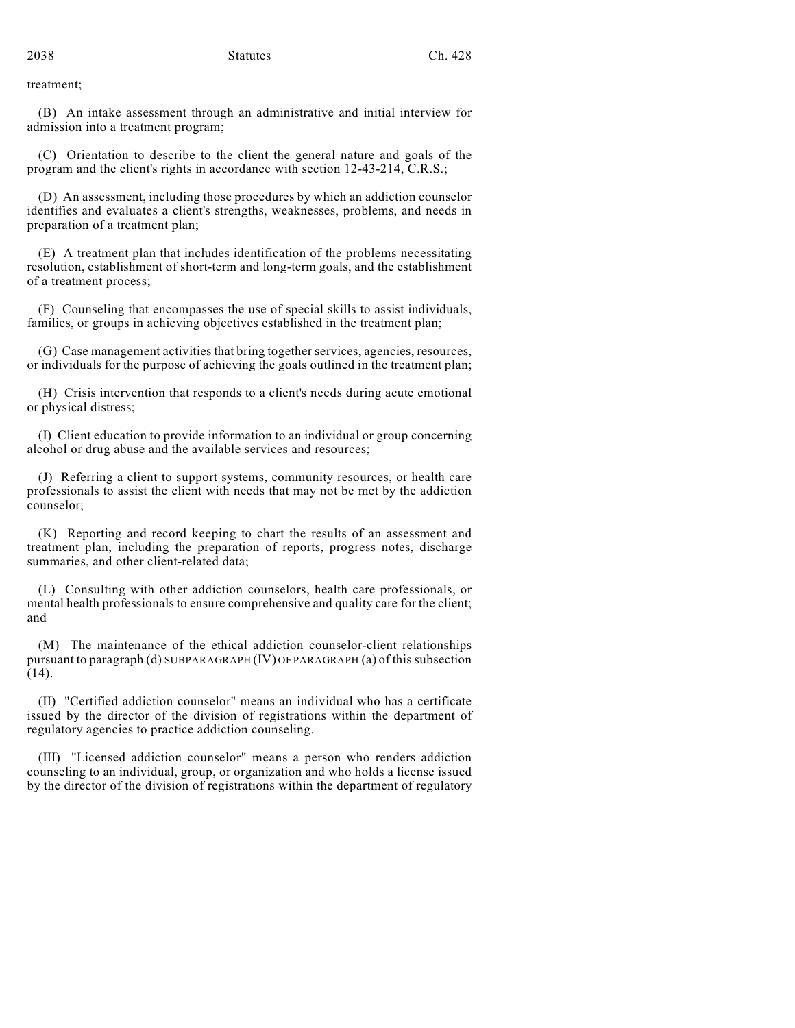treatment;

(B) An intake assessment through an administrative and initial interview for admission into a treatment program;

(C) Orientation to describe to the client the general nature and goals of the program and the client's rights in accordance with section 12-43-214, C.R.S.;

(D) An assessment, including those procedures by which an addiction counselor identifies and evaluates a client's strengths, weaknesses, problems, and needs in preparation of a treatment plan;

(E) A treatment plan that includes identification of the problems necessitating resolution, establishment of short-term and long-term goals, and the establishment of a treatment process;

(F) Counseling that encompasses the use of special skills to assist individuals, families, or groups in achieving objectives established in the treatment plan;

(G) Case management activities that bring together services, agencies, resources, or individuals for the purpose of achieving the goals outlined in the treatment plan;

(H) Crisis intervention that responds to a client's needs during acute emotional or physical distress;

(I) Client education to provide information to an individual or group concerning alcohol or drug abuse and the available services and resources;

(J) Referring a client to support systems, community resources, or health care professionals to assist the client with needs that may not be met by the addiction counselor;

(K) Reporting and record keeping to chart the results of an assessment and treatment plan, including the preparation of reports, progress notes, discharge summaries, and other client-related data;

(L) Consulting with other addiction counselors, health care professionals, or mental health professionals to ensure comprehensive and quality care for the client; and

(M) The maintenance of the ethical addiction counselor-client relationships pursuant to paragraph (d) SUBPARAGRAPH (IV) OF PARAGRAPH (a) of this subsection (14).

(II) "Certified addiction counselor" means an individual who has a certificate issued by the director of the division of registrations within the department of regulatory agencies to practice addiction counseling.

(III) "Licensed addiction counselor" means a person who renders addiction counseling to an individual, group, or organization and who holds a license issued by the director of the division of registrations within the department of regulatory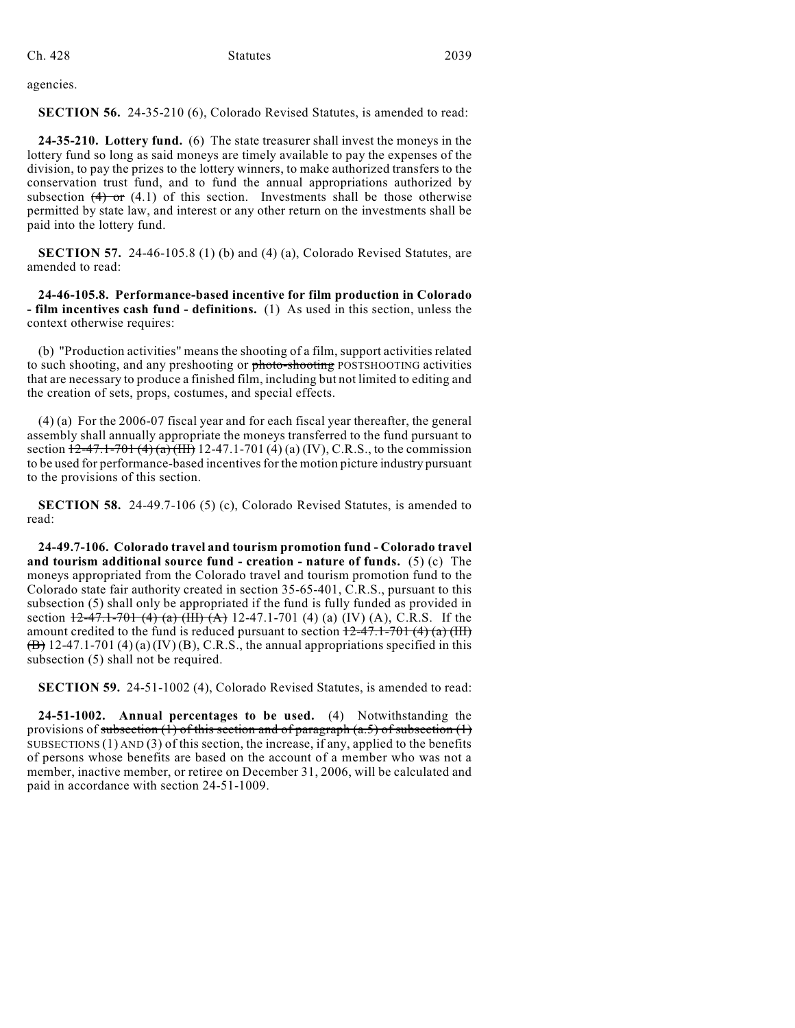Ch. 428 Statutes 2039

agencies.

**SECTION 56.** 24-35-210 (6), Colorado Revised Statutes, is amended to read:

**24-35-210. Lottery fund.** (6) The state treasurer shall invest the moneys in the lottery fund so long as said moneys are timely available to pay the expenses of the division, to pay the prizes to the lottery winners, to make authorized transfers to the conservation trust fund, and to fund the annual appropriations authorized by subsection  $(4)$  or  $(4.1)$  of this section. Investments shall be those otherwise permitted by state law, and interest or any other return on the investments shall be paid into the lottery fund.

**SECTION 57.** 24-46-105.8 (1) (b) and (4) (a), Colorado Revised Statutes, are amended to read:

**24-46-105.8. Performance-based incentive for film production in Colorado - film incentives cash fund - definitions.** (1) As used in this section, unless the context otherwise requires:

(b) "Production activities" means the shooting of a film, support activities related to such shooting, and any preshooting or photo-shooting POSTSHOOTING activities that are necessary to produce a finished film, including but not limited to editing and the creation of sets, props, costumes, and special effects.

(4) (a) For the 2006-07 fiscal year and for each fiscal year thereafter, the general assembly shall annually appropriate the moneys transferred to the fund pursuant to section  $\frac{12-47.1-701}{4}(4)(a)$  (HI) 12-47.1-701 (4) (a) (IV), C.R.S., to the commission to be used for performance-based incentives for the motion picture industry pursuant to the provisions of this section.

**SECTION 58.** 24-49.7-106 (5) (c), Colorado Revised Statutes, is amended to read:

**24-49.7-106. Colorado travel and tourism promotion fund - Colorado travel and tourism additional source fund - creation - nature of funds.** (5) (c) The moneys appropriated from the Colorado travel and tourism promotion fund to the Colorado state fair authority created in section 35-65-401, C.R.S., pursuant to this subsection (5) shall only be appropriated if the fund is fully funded as provided in section  $\frac{12-47.1-701}{4}$  (a)  $\frac{(III)(A)}{(A)}$  12-47.1-701 (4) (a) (IV) (A), C.R.S. If the amount credited to the fund is reduced pursuant to section  $12-47.1-701(4)(a)$  (III)  $(\overline{B})$  12-47.1-701 (4) (a) (IV) (B), C.R.S., the annual appropriations specified in this subsection (5) shall not be required.

**SECTION 59.** 24-51-1002 (4), Colorado Revised Statutes, is amended to read:

**24-51-1002. Annual percentages to be used.** (4) Notwithstanding the provisions of subsection (1) of this section and of paragraph  $(a.5)$  of subsection (1) SUBSECTIONS (1) AND (3) of this section, the increase, if any, applied to the benefits of persons whose benefits are based on the account of a member who was not a member, inactive member, or retiree on December 31, 2006, will be calculated and paid in accordance with section 24-51-1009.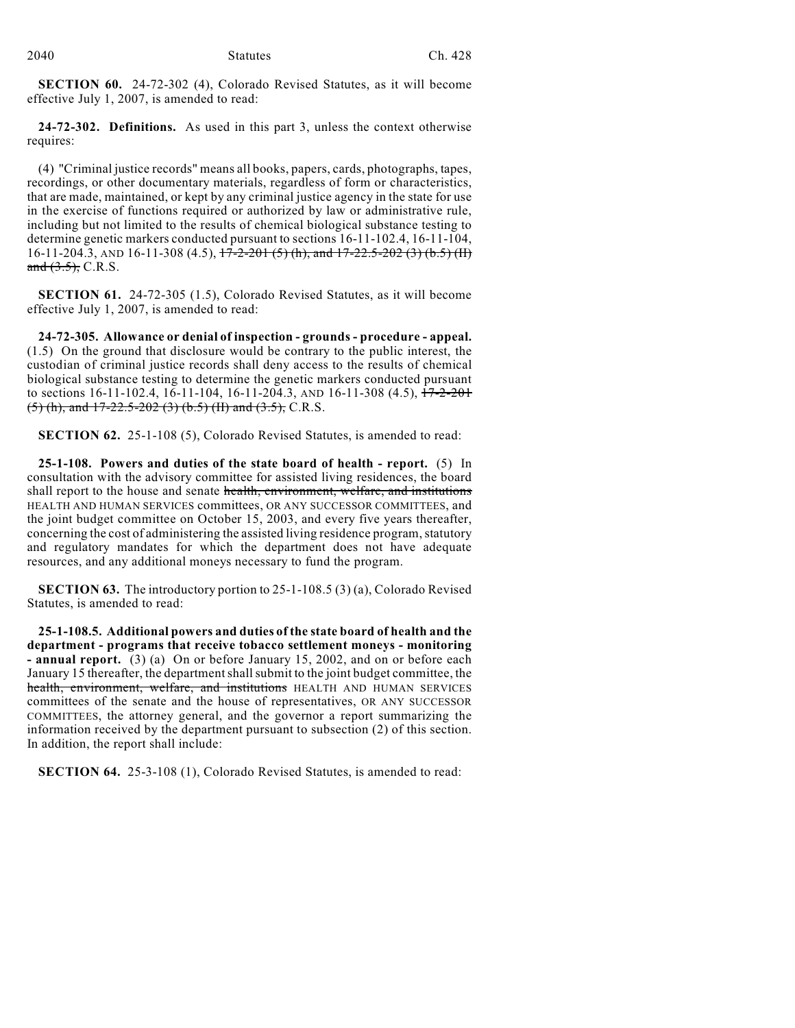**SECTION 60.** 24-72-302 (4), Colorado Revised Statutes, as it will become effective July 1, 2007, is amended to read:

**24-72-302. Definitions.** As used in this part 3, unless the context otherwise requires:

(4) "Criminal justice records" means all books, papers, cards, photographs, tapes, recordings, or other documentary materials, regardless of form or characteristics, that are made, maintained, or kept by any criminal justice agency in the state for use in the exercise of functions required or authorized by law or administrative rule, including but not limited to the results of chemical biological substance testing to determine genetic markers conducted pursuant to sections 16-11-102.4, 16-11-104, 16-11-204.3, AND 16-11-308 (4.5),  $17-2-201$  (5) (h), and  $17-22.5-202$  (3) (b.5) (H) and  $(3.5)$ , C.R.S.

**SECTION 61.** 24-72-305 (1.5), Colorado Revised Statutes, as it will become effective July 1, 2007, is amended to read:

**24-72-305. Allowance or denial of inspection - grounds - procedure - appeal.** (1.5) On the ground that disclosure would be contrary to the public interest, the custodian of criminal justice records shall deny access to the results of chemical biological substance testing to determine the genetic markers conducted pursuant to sections 16-11-102.4, 16-11-104, 16-11-204.3, AND 16-11-308 (4.5),  $17-2-201$  $(5)$  (h), and 17-22.5-202 (3) (b.5) (II) and (3.5), C.R.S.

**SECTION 62.** 25-1-108 (5), Colorado Revised Statutes, is amended to read:

**25-1-108. Powers and duties of the state board of health - report.** (5) In consultation with the advisory committee for assisted living residences, the board shall report to the house and senate health, environment, welfare, and institutions HEALTH AND HUMAN SERVICES committees, OR ANY SUCCESSOR COMMITTEES, and the joint budget committee on October 15, 2003, and every five years thereafter, concerning the cost of administering the assisted living residence program, statutory and regulatory mandates for which the department does not have adequate resources, and any additional moneys necessary to fund the program.

**SECTION 63.** The introductory portion to 25-1-108.5 (3) (a), Colorado Revised Statutes, is amended to read:

**25-1-108.5. Additional powers and duties of the state board of health and the department - programs that receive tobacco settlement moneys - monitoring - annual report.** (3) (a) On or before January 15, 2002, and on or before each January 15 thereafter, the department shall submit to the joint budget committee, the health, environment, welfare, and institutions HEALTH AND HUMAN SERVICES committees of the senate and the house of representatives, OR ANY SUCCESSOR COMMITTEES, the attorney general, and the governor a report summarizing the information received by the department pursuant to subsection (2) of this section. In addition, the report shall include:

**SECTION 64.** 25-3-108 (1), Colorado Revised Statutes, is amended to read: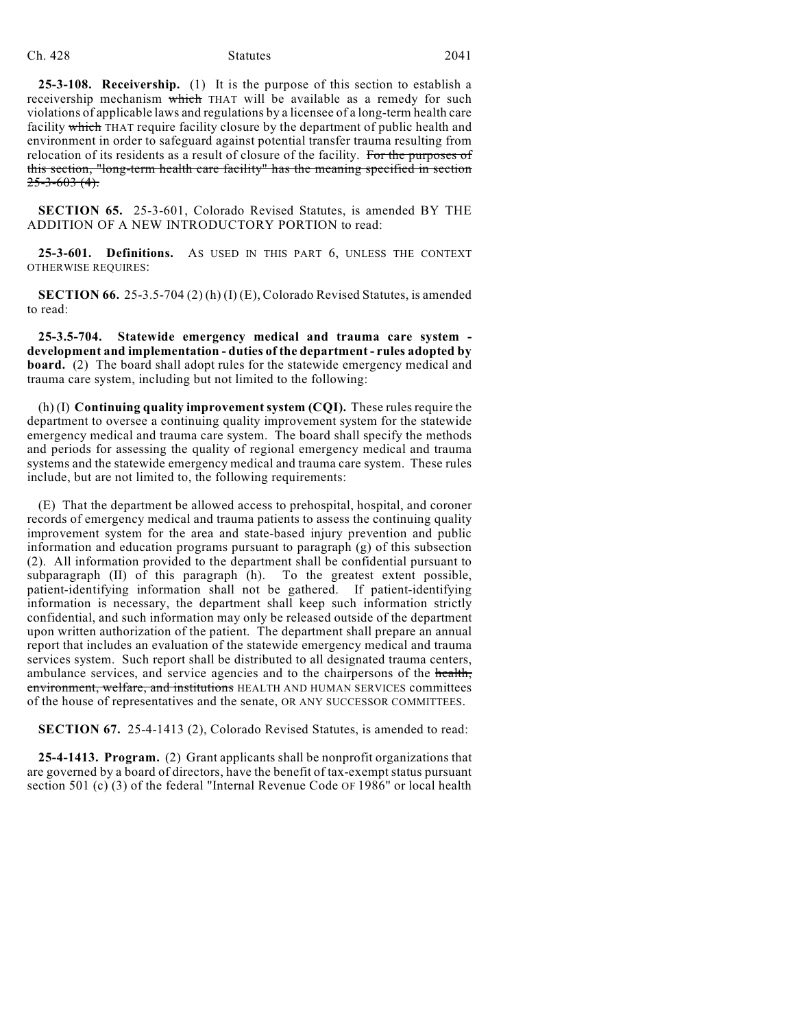#### Ch. 428 Statutes 2041

**25-3-108. Receivership.** (1) It is the purpose of this section to establish a receivership mechanism which THAT will be available as a remedy for such violations of applicable laws and regulations by a licensee of a long-term health care facility which THAT require facility closure by the department of public health and environment in order to safeguard against potential transfer trauma resulting from relocation of its residents as a result of closure of the facility. For the purposes of this section, "long-term health care facility" has the meaning specified in section  $25 - 3 - 603(4)$ .

**SECTION 65.** 25-3-601, Colorado Revised Statutes, is amended BY THE ADDITION OF A NEW INTRODUCTORY PORTION to read:

**25-3-601. Definitions.** AS USED IN THIS PART 6, UNLESS THE CONTEXT OTHERWISE REQUIRES:

**SECTION 66.** 25-3.5-704 (2) (h) (I) (E), Colorado Revised Statutes, is amended to read:

**25-3.5-704. Statewide emergency medical and trauma care system development and implementation - duties of the department - rules adopted by board.** (2) The board shall adopt rules for the statewide emergency medical and trauma care system, including but not limited to the following:

(h) (I) **Continuing quality improvement system (CQI).** These rules require the department to oversee a continuing quality improvement system for the statewide emergency medical and trauma care system. The board shall specify the methods and periods for assessing the quality of regional emergency medical and trauma systems and the statewide emergency medical and trauma care system. These rules include, but are not limited to, the following requirements:

(E) That the department be allowed access to prehospital, hospital, and coroner records of emergency medical and trauma patients to assess the continuing quality improvement system for the area and state-based injury prevention and public information and education programs pursuant to paragraph (g) of this subsection (2). All information provided to the department shall be confidential pursuant to subparagraph (II) of this paragraph (h). To the greatest extent possible, patient-identifying information shall not be gathered. If patient-identifying information is necessary, the department shall keep such information strictly confidential, and such information may only be released outside of the department upon written authorization of the patient. The department shall prepare an annual report that includes an evaluation of the statewide emergency medical and trauma services system. Such report shall be distributed to all designated trauma centers, ambulance services, and service agencies and to the chairpersons of the health, environment, welfare, and institutions HEALTH AND HUMAN SERVICES committees of the house of representatives and the senate, OR ANY SUCCESSOR COMMITTEES.

**SECTION 67.** 25-4-1413 (2), Colorado Revised Statutes, is amended to read:

**25-4-1413. Program.** (2) Grant applicants shall be nonprofit organizations that are governed by a board of directors, have the benefit of tax-exempt status pursuant section 501 (c) (3) of the federal "Internal Revenue Code OF 1986" or local health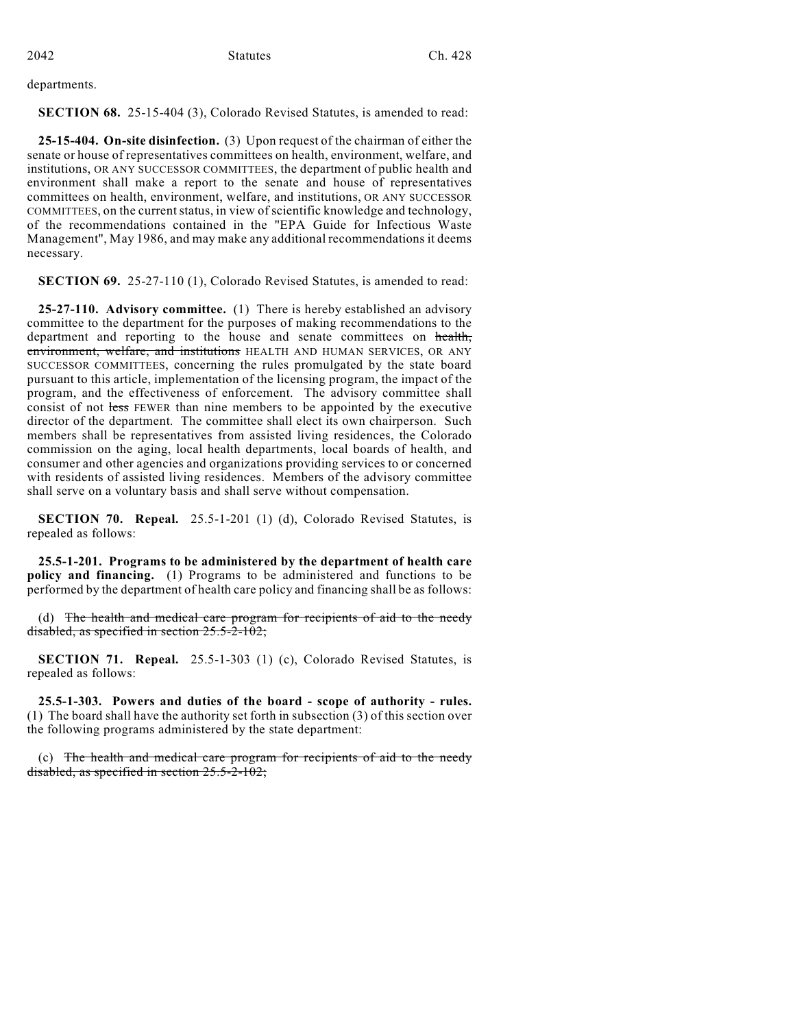departments.

**SECTION 68.** 25-15-404 (3), Colorado Revised Statutes, is amended to read:

**25-15-404. On-site disinfection.** (3) Upon request of the chairman of either the senate or house of representatives committees on health, environment, welfare, and institutions, OR ANY SUCCESSOR COMMITTEES, the department of public health and environment shall make a report to the senate and house of representatives committees on health, environment, welfare, and institutions, OR ANY SUCCESSOR COMMITTEES, on the current status, in view of scientific knowledge and technology, of the recommendations contained in the "EPA Guide for Infectious Waste Management", May 1986, and may make any additional recommendations it deems necessary.

**SECTION 69.** 25-27-110 (1), Colorado Revised Statutes, is amended to read:

**25-27-110. Advisory committee.** (1) There is hereby established an advisory committee to the department for the purposes of making recommendations to the department and reporting to the house and senate committees on health, environment, welfare, and institutions HEALTH AND HUMAN SERVICES, OR ANY SUCCESSOR COMMITTEES, concerning the rules promulgated by the state board pursuant to this article, implementation of the licensing program, the impact of the program, and the effectiveness of enforcement. The advisory committee shall consist of not less FEWER than nine members to be appointed by the executive director of the department. The committee shall elect its own chairperson. Such members shall be representatives from assisted living residences, the Colorado commission on the aging, local health departments, local boards of health, and consumer and other agencies and organizations providing services to or concerned with residents of assisted living residences. Members of the advisory committee shall serve on a voluntary basis and shall serve without compensation.

**SECTION 70. Repeal.** 25.5-1-201 (1) (d), Colorado Revised Statutes, is repealed as follows:

**25.5-1-201. Programs to be administered by the department of health care policy and financing.** (1) Programs to be administered and functions to be performed by the department of health care policy and financing shall be as follows:

(d) The health and medical care program for recipients of aid to the needy disabled, as specified in section 25.5-2-102;

**SECTION 71. Repeal.** 25.5-1-303 (1) (c), Colorado Revised Statutes, is repealed as follows:

**25.5-1-303. Powers and duties of the board - scope of authority - rules.** (1) The board shall have the authority set forth in subsection (3) of this section over the following programs administered by the state department:

(c) The health and medical care program for recipients of aid to the needy disabled, as specified in section 25.5-2-102;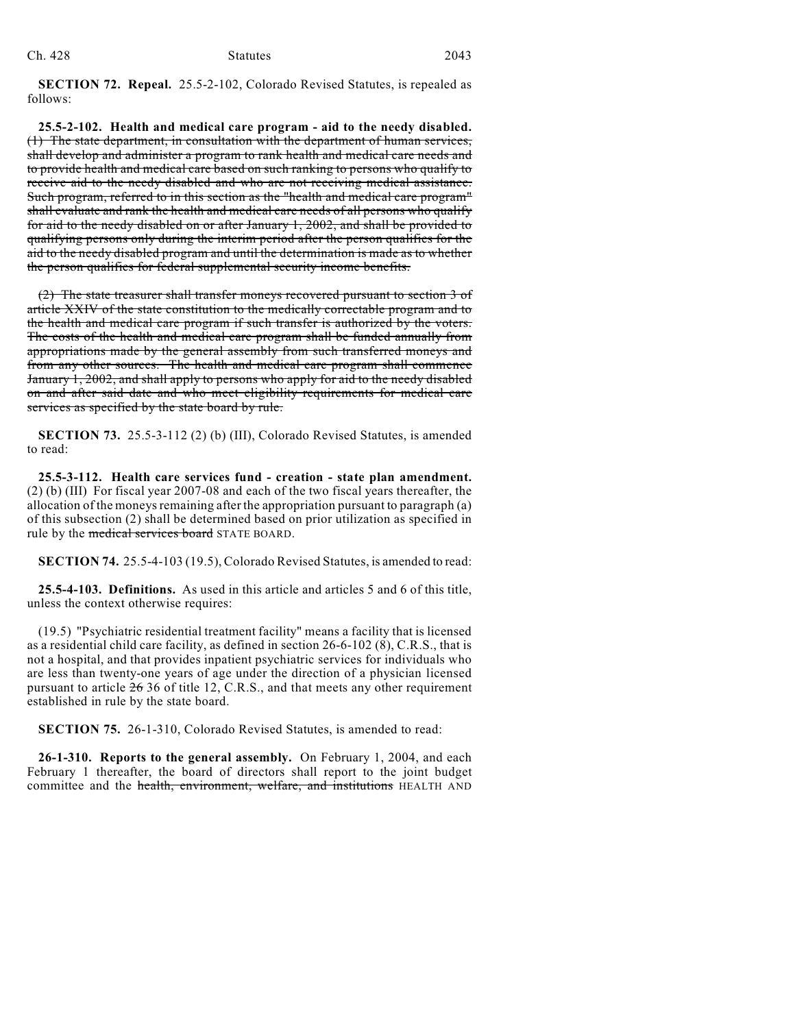**SECTION 72. Repeal.** 25.5-2-102, Colorado Revised Statutes, is repealed as follows:

**25.5-2-102. Health and medical care program - aid to the needy disabled.** (1) The state department, in consultation with the department of human services, shall develop and administer a program to rank health and medical care needs and to provide health and medical care based on such ranking to persons who qualify to receive aid to the needy disabled and who are not receiving medical assistance. Such program, referred to in this section as the "health and medical care program" shall evaluate and rank the health and medical care needs of all persons who qualify for aid to the needy disabled on or after January 1, 2002, and shall be provided to qualifying persons only during the interim period after the person qualifies for the aid to the needy disabled program and until the determination is made as to whether the person qualifies for federal supplemental security income benefits.

(2) The state treasurer shall transfer moneys recovered pursuant to section 3 of article XXIV of the state constitution to the medically correctable program and to the health and medical care program if such transfer is authorized by the voters. The costs of the health and medical care program shall be funded annually from appropriations made by the general assembly from such transferred moneys and from any other sources. The health and medical care program shall commence January 1, 2002, and shall apply to persons who apply for aid to the needy disabled on and after said date and who meet eligibility requirements for medical care services as specified by the state board by rule.

**SECTION 73.** 25.5-3-112 (2) (b) (III), Colorado Revised Statutes, is amended to read:

**25.5-3-112. Health care services fund - creation - state plan amendment.** (2) (b) (III) For fiscal year 2007-08 and each of the two fiscal years thereafter, the allocation of the moneys remaining after the appropriation pursuant to paragraph (a) of this subsection (2) shall be determined based on prior utilization as specified in rule by the medical services board STATE BOARD.

**SECTION 74.** 25.5-4-103 (19.5), Colorado Revised Statutes, is amended to read:

**25.5-4-103. Definitions.** As used in this article and articles 5 and 6 of this title, unless the context otherwise requires:

(19.5) "Psychiatric residential treatment facility" means a facility that is licensed as a residential child care facility, as defined in section 26-6-102 (8), C.R.S., that is not a hospital, and that provides inpatient psychiatric services for individuals who are less than twenty-one years of age under the direction of a physician licensed pursuant to article 26 36 of title 12, C.R.S., and that meets any other requirement established in rule by the state board.

**SECTION 75.** 26-1-310, Colorado Revised Statutes, is amended to read:

**26-1-310. Reports to the general assembly.** On February 1, 2004, and each February 1 thereafter, the board of directors shall report to the joint budget committee and the health, environment, welfare, and institutions HEALTH AND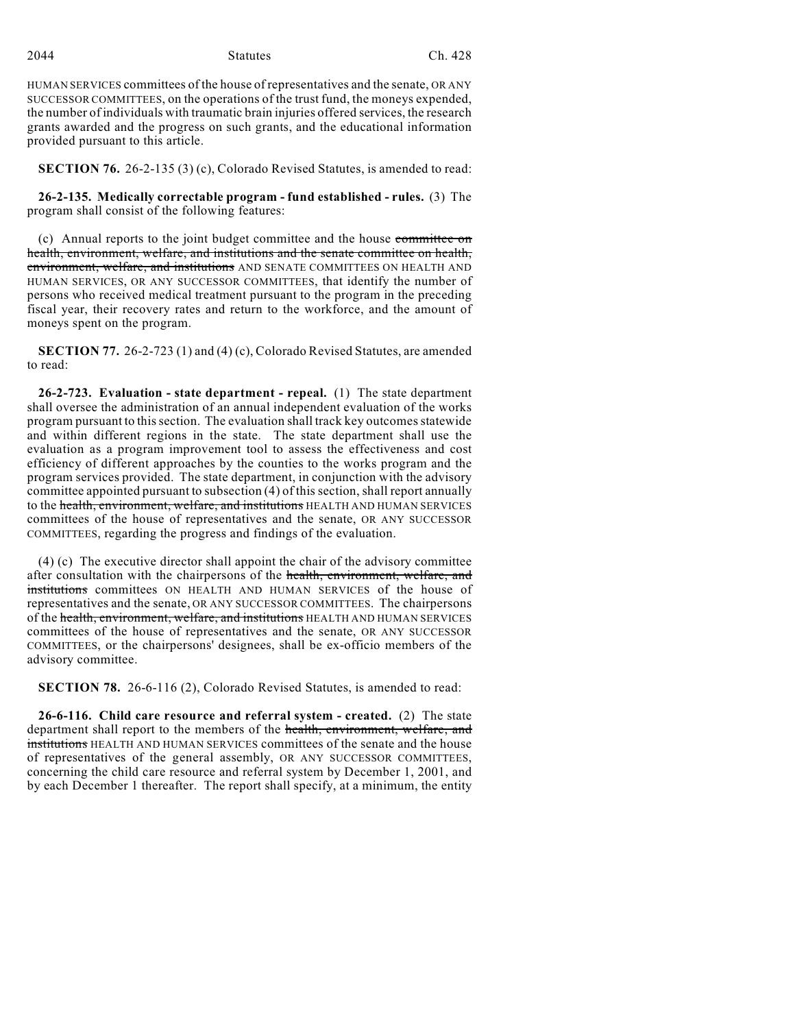2044 Statutes Ch. 428

HUMAN SERVICES committees of the house of representatives and the senate, OR ANY SUCCESSOR COMMITTEES, on the operations of the trust fund, the moneys expended, the number of individuals with traumatic brain injuries offered services, the research grants awarded and the progress on such grants, and the educational information provided pursuant to this article.

**SECTION 76.** 26-2-135 (3) (c), Colorado Revised Statutes, is amended to read:

**26-2-135. Medically correctable program - fund established - rules.** (3) The program shall consist of the following features:

(c) Annual reports to the joint budget committee and the house committee on health, environment, welfare, and institutions and the senate committee on health, environment, welfare, and institutions AND SENATE COMMITTEES ON HEALTH AND HUMAN SERVICES, OR ANY SUCCESSOR COMMITTEES, that identify the number of persons who received medical treatment pursuant to the program in the preceding fiscal year, their recovery rates and return to the workforce, and the amount of moneys spent on the program.

**SECTION 77.** 26-2-723 (1) and (4) (c), Colorado Revised Statutes, are amended to read:

**26-2-723. Evaluation - state department - repeal.** (1) The state department shall oversee the administration of an annual independent evaluation of the works program pursuant to this section. The evaluation shall track key outcomes statewide and within different regions in the state. The state department shall use the evaluation as a program improvement tool to assess the effectiveness and cost efficiency of different approaches by the counties to the works program and the program services provided. The state department, in conjunction with the advisory committee appointed pursuant to subsection (4) of this section, shall report annually to the health, environment, welfare, and institutions HEALTH AND HUMAN SERVICES committees of the house of representatives and the senate, OR ANY SUCCESSOR COMMITTEES, regarding the progress and findings of the evaluation.

(4) (c) The executive director shall appoint the chair of the advisory committee after consultation with the chairpersons of the health, environment, welfare, and institutions committees ON HEALTH AND HUMAN SERVICES of the house of representatives and the senate, OR ANY SUCCESSOR COMMITTEES. The chairpersons of the health, environment, welfare, and institutions HEALTH AND HUMAN SERVICES committees of the house of representatives and the senate, OR ANY SUCCESSOR COMMITTEES, or the chairpersons' designees, shall be ex-officio members of the advisory committee.

**SECTION 78.** 26-6-116 (2), Colorado Revised Statutes, is amended to read:

**26-6-116. Child care resource and referral system - created.** (2) The state department shall report to the members of the health, environment, welfare, and institutions HEALTH AND HUMAN SERVICES committees of the senate and the house of representatives of the general assembly, OR ANY SUCCESSOR COMMITTEES, concerning the child care resource and referral system by December 1, 2001, and by each December 1 thereafter. The report shall specify, at a minimum, the entity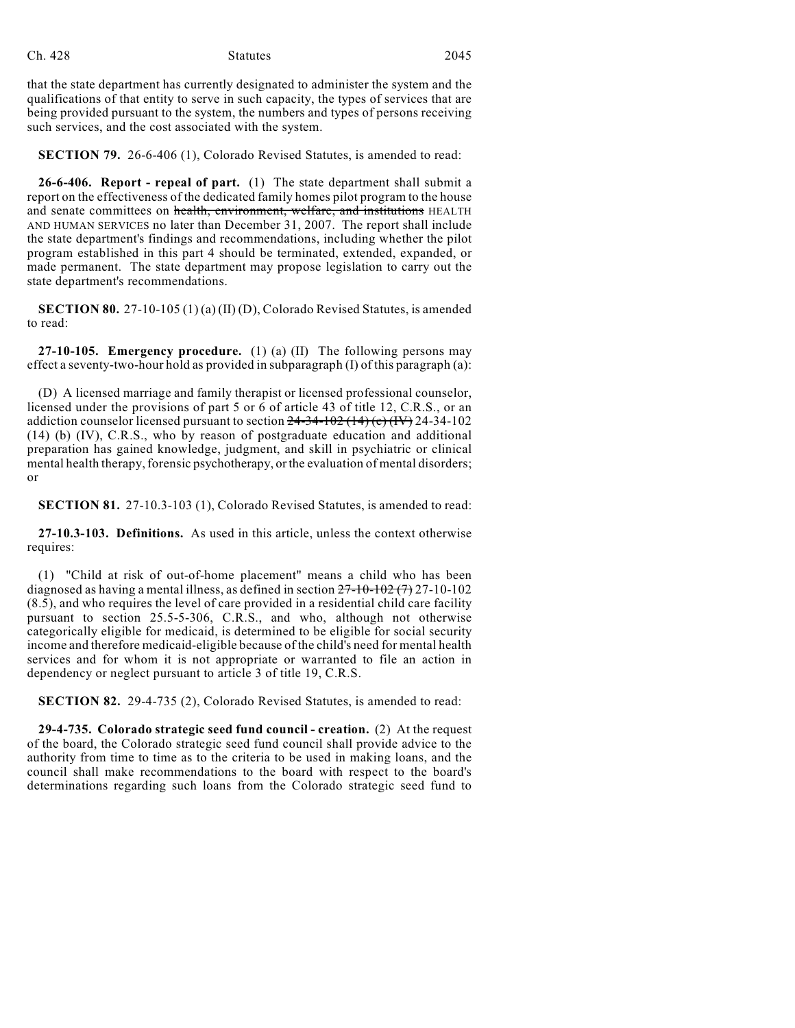that the state department has currently designated to administer the system and the qualifications of that entity to serve in such capacity, the types of services that are being provided pursuant to the system, the numbers and types of persons receiving such services, and the cost associated with the system.

**SECTION 79.** 26-6-406 (1), Colorado Revised Statutes, is amended to read:

**26-6-406. Report - repeal of part.** (1) The state department shall submit a report on the effectiveness of the dedicated family homes pilot program to the house and senate committees on health, environment, welfare, and institutions HEALTH AND HUMAN SERVICES no later than December 31, 2007. The report shall include the state department's findings and recommendations, including whether the pilot program established in this part 4 should be terminated, extended, expanded, or made permanent. The state department may propose legislation to carry out the state department's recommendations.

**SECTION 80.** 27-10-105 (1) (a) (II) (D), Colorado Revised Statutes, is amended to read:

**27-10-105. Emergency procedure.** (1) (a) (II) The following persons may effect a seventy-two-hour hold as provided in subparagraph (I) of this paragraph (a):

(D) A licensed marriage and family therapist or licensed professional counselor, licensed under the provisions of part 5 or 6 of article 43 of title 12, C.R.S., or an addiction counselor licensed pursuant to section  $24-34-102$  ( $14$ ) (e)  $(W)$  24-34-102 (14) (b) (IV), C.R.S., who by reason of postgraduate education and additional preparation has gained knowledge, judgment, and skill in psychiatric or clinical mental health therapy, forensic psychotherapy, or the evaluation of mental disorders; or

**SECTION 81.** 27-10.3-103 (1), Colorado Revised Statutes, is amended to read:

**27-10.3-103. Definitions.** As used in this article, unless the context otherwise requires:

(1) "Child at risk of out-of-home placement" means a child who has been diagnosed as having a mental illness, as defined in section  $27-10-102$   $(7)$  27-10-102 (8.5), and who requires the level of care provided in a residential child care facility pursuant to section 25.5-5-306, C.R.S., and who, although not otherwise categorically eligible for medicaid, is determined to be eligible for social security income and therefore medicaid-eligible because of the child's need for mental health services and for whom it is not appropriate or warranted to file an action in dependency or neglect pursuant to article 3 of title 19, C.R.S.

**SECTION 82.** 29-4-735 (2), Colorado Revised Statutes, is amended to read:

**29-4-735. Colorado strategic seed fund council - creation.** (2) At the request of the board, the Colorado strategic seed fund council shall provide advice to the authority from time to time as to the criteria to be used in making loans, and the council shall make recommendations to the board with respect to the board's determinations regarding such loans from the Colorado strategic seed fund to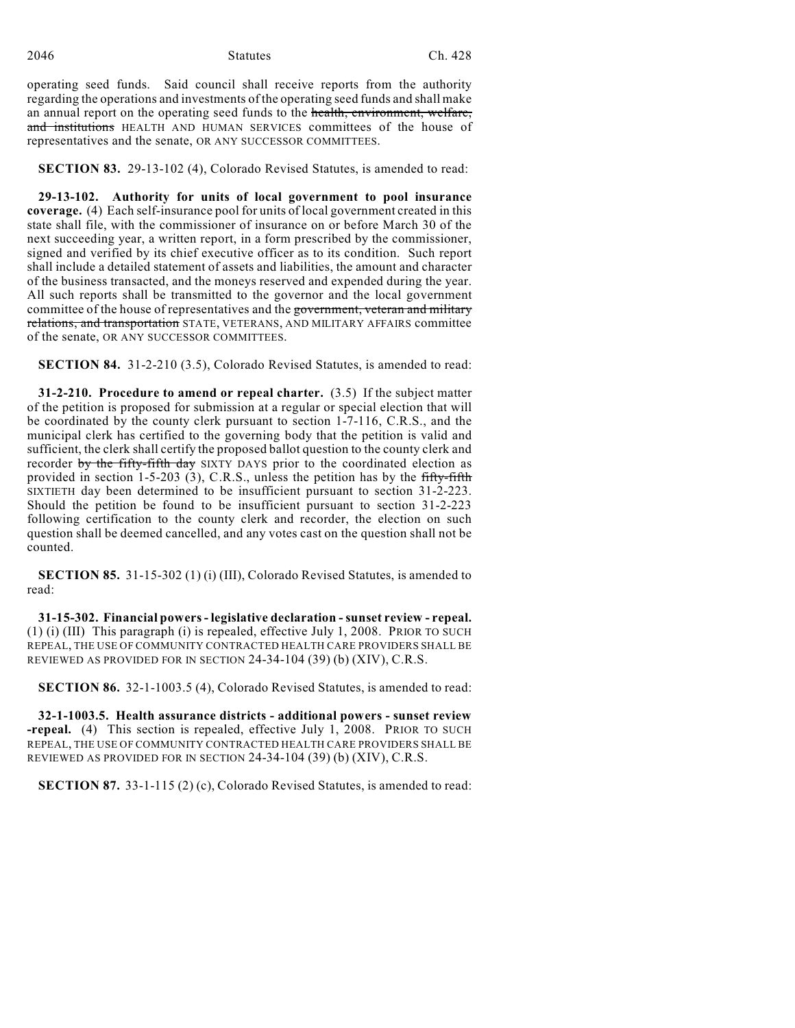operating seed funds. Said council shall receive reports from the authority regarding the operations and investments of the operating seed funds and shall make an annual report on the operating seed funds to the health, environment, welfare, and institutions HEALTH AND HUMAN SERVICES committees of the house of representatives and the senate, OR ANY SUCCESSOR COMMITTEES.

**SECTION 83.** 29-13-102 (4), Colorado Revised Statutes, is amended to read:

**29-13-102. Authority for units of local government to pool insurance coverage.** (4) Each self-insurance pool for units of local government created in this state shall file, with the commissioner of insurance on or before March 30 of the next succeeding year, a written report, in a form prescribed by the commissioner, signed and verified by its chief executive officer as to its condition. Such report shall include a detailed statement of assets and liabilities, the amount and character of the business transacted, and the moneys reserved and expended during the year. All such reports shall be transmitted to the governor and the local government committee of the house of representatives and the government, veteran and military relations, and transportation STATE, VETERANS, AND MILITARY AFFAIRS committee of the senate, OR ANY SUCCESSOR COMMITTEES.

**SECTION 84.** 31-2-210 (3.5), Colorado Revised Statutes, is amended to read:

**31-2-210. Procedure to amend or repeal charter.** (3.5) If the subject matter of the petition is proposed for submission at a regular or special election that will be coordinated by the county clerk pursuant to section 1-7-116, C.R.S., and the municipal clerk has certified to the governing body that the petition is valid and sufficient, the clerk shall certify the proposed ballot question to the county clerk and recorder by the fifty-fifth day SIXTY DAYS prior to the coordinated election as provided in section 1-5-203 (3), C.R.S., unless the petition has by the fifty-fifth SIXTIETH day been determined to be insufficient pursuant to section 31-2-223. Should the petition be found to be insufficient pursuant to section 31-2-223 following certification to the county clerk and recorder, the election on such question shall be deemed cancelled, and any votes cast on the question shall not be counted.

**SECTION 85.** 31-15-302 (1) (i) (III), Colorado Revised Statutes, is amended to read:

**31-15-302. Financial powers - legislative declaration - sunset review - repeal.** (1) (i) (III) This paragraph (i) is repealed, effective July 1, 2008. PRIOR TO SUCH REPEAL, THE USE OF COMMUNITY CONTRACTED HEALTH CARE PROVIDERS SHALL BE REVIEWED AS PROVIDED FOR IN SECTION 24-34-104 (39) (b) (XIV), C.R.S.

**SECTION 86.** 32-1-1003.5 (4), Colorado Revised Statutes, is amended to read:

**32-1-1003.5. Health assurance districts - additional powers - sunset review -repeal.** (4) This section is repealed, effective July 1, 2008. PRIOR TO SUCH REPEAL, THE USE OF COMMUNITY CONTRACTED HEALTH CARE PROVIDERS SHALL BE REVIEWED AS PROVIDED FOR IN SECTION 24-34-104 (39) (b) (XIV), C.R.S.

**SECTION 87.** 33-1-115 (2) (c), Colorado Revised Statutes, is amended to read: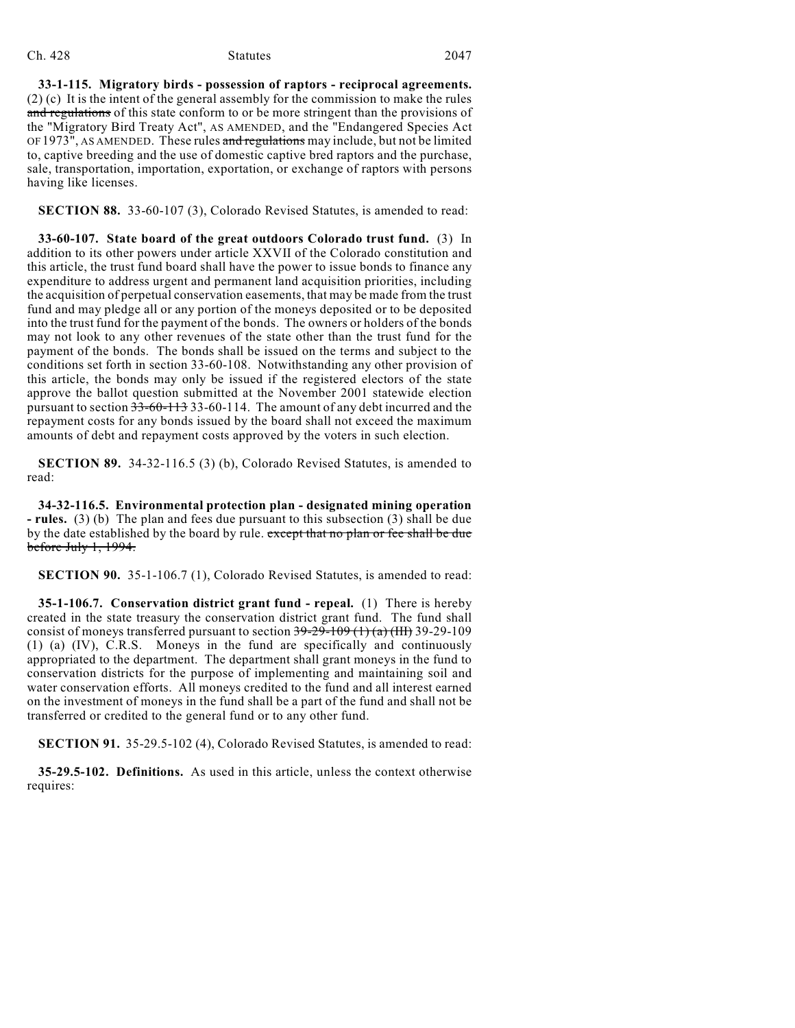### Ch. 428 Statutes 2047

**33-1-115. Migratory birds - possession of raptors - reciprocal agreements.** (2) (c) It is the intent of the general assembly for the commission to make the rules and regulations of this state conform to or be more stringent than the provisions of the "Migratory Bird Treaty Act", AS AMENDED, and the "Endangered Species Act OF 1973", AS AMENDED. These rules and regulations may include, but not be limited to, captive breeding and the use of domestic captive bred raptors and the purchase, sale, transportation, importation, exportation, or exchange of raptors with persons having like licenses.

**SECTION 88.** 33-60-107 (3), Colorado Revised Statutes, is amended to read:

**33-60-107. State board of the great outdoors Colorado trust fund.** (3) In addition to its other powers under article XXVII of the Colorado constitution and this article, the trust fund board shall have the power to issue bonds to finance any expenditure to address urgent and permanent land acquisition priorities, including the acquisition of perpetual conservation easements, that may be made from the trust fund and may pledge all or any portion of the moneys deposited or to be deposited into the trust fund for the payment of the bonds. The owners or holders of the bonds may not look to any other revenues of the state other than the trust fund for the payment of the bonds. The bonds shall be issued on the terms and subject to the conditions set forth in section 33-60-108. Notwithstanding any other provision of this article, the bonds may only be issued if the registered electors of the state approve the ballot question submitted at the November 2001 statewide election pursuant to section 33-60-113 33-60-114. The amount of any debt incurred and the repayment costs for any bonds issued by the board shall not exceed the maximum amounts of debt and repayment costs approved by the voters in such election.

**SECTION 89.** 34-32-116.5 (3) (b), Colorado Revised Statutes, is amended to read:

**34-32-116.5. Environmental protection plan - designated mining operation - rules.** (3) (b) The plan and fees due pursuant to this subsection (3) shall be due by the date established by the board by rule. except that no plan or fee shall be due before July 1, 1994.

**SECTION 90.** 35-1-106.7 (1), Colorado Revised Statutes, is amended to read:

**35-1-106.7. Conservation district grant fund - repeal.** (1) There is hereby created in the state treasury the conservation district grant fund. The fund shall consist of moneys transferred pursuant to section  $39-29-109$  (1) (a) (III) 39-29-109 (1) (a) (IV), C.R.S. Moneys in the fund are specifically and continuously appropriated to the department. The department shall grant moneys in the fund to conservation districts for the purpose of implementing and maintaining soil and water conservation efforts. All moneys credited to the fund and all interest earned on the investment of moneys in the fund shall be a part of the fund and shall not be transferred or credited to the general fund or to any other fund.

**SECTION 91.** 35-29.5-102 (4), Colorado Revised Statutes, is amended to read:

**35-29.5-102. Definitions.** As used in this article, unless the context otherwise requires: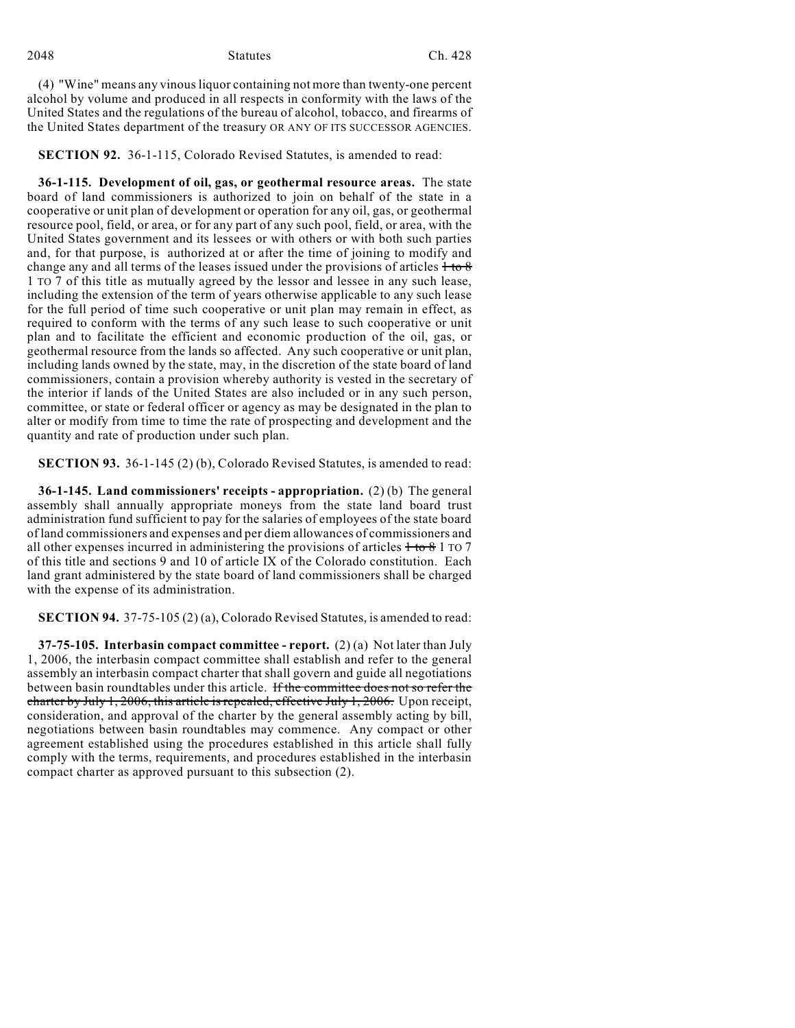(4) "Wine" means any vinous liquor containing not more than twenty-one percent alcohol by volume and produced in all respects in conformity with the laws of the United States and the regulations of the bureau of alcohol, tobacco, and firearms of the United States department of the treasury OR ANY OF ITS SUCCESSOR AGENCIES.

**SECTION 92.** 36-1-115, Colorado Revised Statutes, is amended to read:

**36-1-115. Development of oil, gas, or geothermal resource areas.** The state board of land commissioners is authorized to join on behalf of the state in a cooperative or unit plan of development or operation for any oil, gas, or geothermal resource pool, field, or area, or for any part of any such pool, field, or area, with the United States government and its lessees or with others or with both such parties and, for that purpose, is authorized at or after the time of joining to modify and change any and all terms of the leases issued under the provisions of articles  $+$  to  $8$ 1 TO 7 of this title as mutually agreed by the lessor and lessee in any such lease, including the extension of the term of years otherwise applicable to any such lease for the full period of time such cooperative or unit plan may remain in effect, as required to conform with the terms of any such lease to such cooperative or unit plan and to facilitate the efficient and economic production of the oil, gas, or geothermal resource from the lands so affected. Any such cooperative or unit plan, including lands owned by the state, may, in the discretion of the state board of land commissioners, contain a provision whereby authority is vested in the secretary of the interior if lands of the United States are also included or in any such person, committee, or state or federal officer or agency as may be designated in the plan to alter or modify from time to time the rate of prospecting and development and the quantity and rate of production under such plan.

**SECTION 93.** 36-1-145 (2) (b), Colorado Revised Statutes, is amended to read:

**36-1-145. Land commissioners' receipts - appropriation.** (2) (b) The general assembly shall annually appropriate moneys from the state land board trust administration fund sufficient to pay for the salaries of employees of the state board of land commissioners and expenses and per diem allowances of commissioners and all other expenses incurred in administering the provisions of articles  $1\text{ to } 8$  1 TO 7 of this title and sections 9 and 10 of article IX of the Colorado constitution. Each land grant administered by the state board of land commissioners shall be charged with the expense of its administration.

**SECTION 94.** 37-75-105 (2) (a), Colorado Revised Statutes, is amended to read:

**37-75-105. Interbasin compact committee - report.** (2) (a) Not later than July 1, 2006, the interbasin compact committee shall establish and refer to the general assembly an interbasin compact charter that shall govern and guide all negotiations between basin roundtables under this article. If the committee does not so refer the charter by July 1, 2006, this article is repealed, effective July 1, 2006. Upon receipt, consideration, and approval of the charter by the general assembly acting by bill, negotiations between basin roundtables may commence. Any compact or other agreement established using the procedures established in this article shall fully comply with the terms, requirements, and procedures established in the interbasin compact charter as approved pursuant to this subsection (2).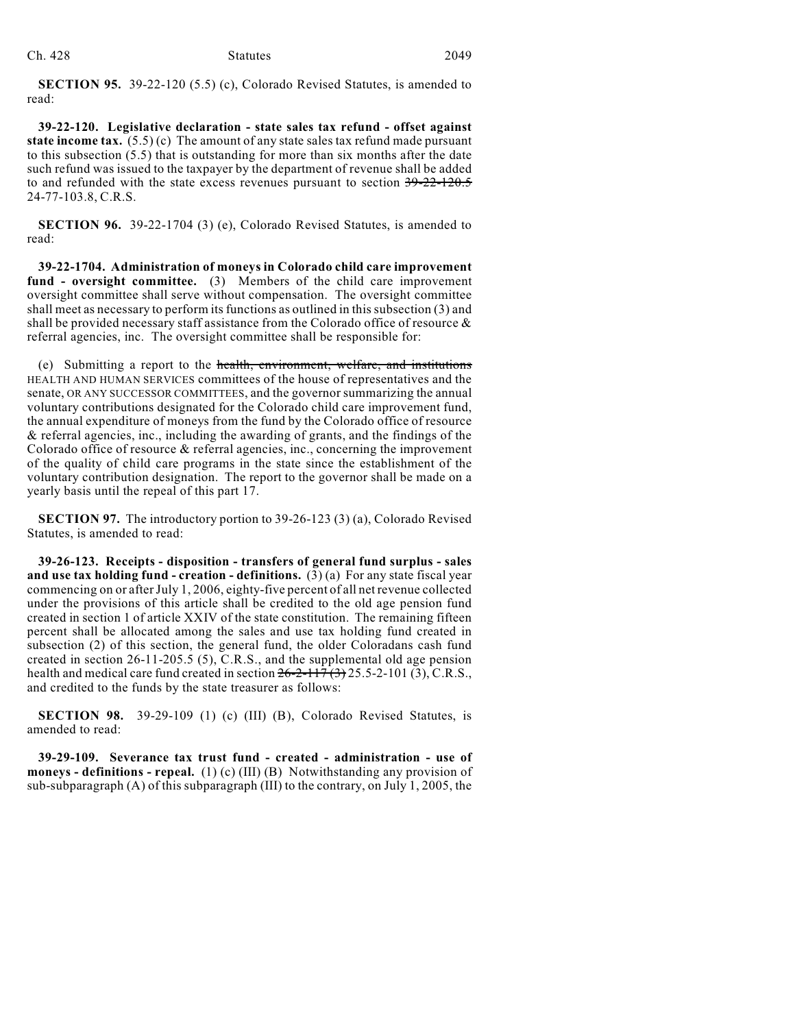**SECTION 95.** 39-22-120 (5.5) (c), Colorado Revised Statutes, is amended to read:

**39-22-120. Legislative declaration - state sales tax refund - offset against state income tax.** (5.5) (c) The amount of any state sales tax refund made pursuant to this subsection (5.5) that is outstanding for more than six months after the date such refund was issued to the taxpayer by the department of revenue shall be added to and refunded with the state excess revenues pursuant to section 39-22-120.5 24-77-103.8, C.R.S.

**SECTION 96.** 39-22-1704 (3) (e), Colorado Revised Statutes, is amended to read:

**39-22-1704. Administration of moneys in Colorado child care improvement fund - oversight committee.** (3) Members of the child care improvement oversight committee shall serve without compensation. The oversight committee shall meet as necessary to perform its functions as outlined in this subsection (3) and shall be provided necessary staff assistance from the Colorado office of resource & referral agencies, inc. The oversight committee shall be responsible for:

(e) Submitting a report to the health, environment, welfare, and institutions HEALTH AND HUMAN SERVICES committees of the house of representatives and the senate, OR ANY SUCCESSOR COMMITTEES, and the governor summarizing the annual voluntary contributions designated for the Colorado child care improvement fund, the annual expenditure of moneys from the fund by the Colorado office of resource & referral agencies, inc., including the awarding of grants, and the findings of the Colorado office of resource & referral agencies, inc., concerning the improvement of the quality of child care programs in the state since the establishment of the voluntary contribution designation. The report to the governor shall be made on a yearly basis until the repeal of this part 17.

**SECTION 97.** The introductory portion to 39-26-123 (3) (a), Colorado Revised Statutes, is amended to read:

**39-26-123. Receipts - disposition - transfers of general fund surplus - sales and use tax holding fund - creation - definitions.** (3)(a) For any state fiscal year commencing on or after July 1, 2006, eighty-five percent of all netrevenue collected under the provisions of this article shall be credited to the old age pension fund created in section 1 of article XXIV of the state constitution. The remaining fifteen percent shall be allocated among the sales and use tax holding fund created in subsection (2) of this section, the general fund, the older Coloradans cash fund created in section 26-11-205.5 (5), C.R.S., and the supplemental old age pension health and medical care fund created in section  $26-2-117(3)$  25.5-2-101 (3), C.R.S., and credited to the funds by the state treasurer as follows:

**SECTION 98.** 39-29-109 (1) (c) (III) (B), Colorado Revised Statutes, is amended to read:

**39-29-109. Severance tax trust fund - created - administration - use of moneys - definitions - repeal.** (1) (c) (III) (B) Notwithstanding any provision of sub-subparagraph (A) of this subparagraph (III) to the contrary, on July 1, 2005, the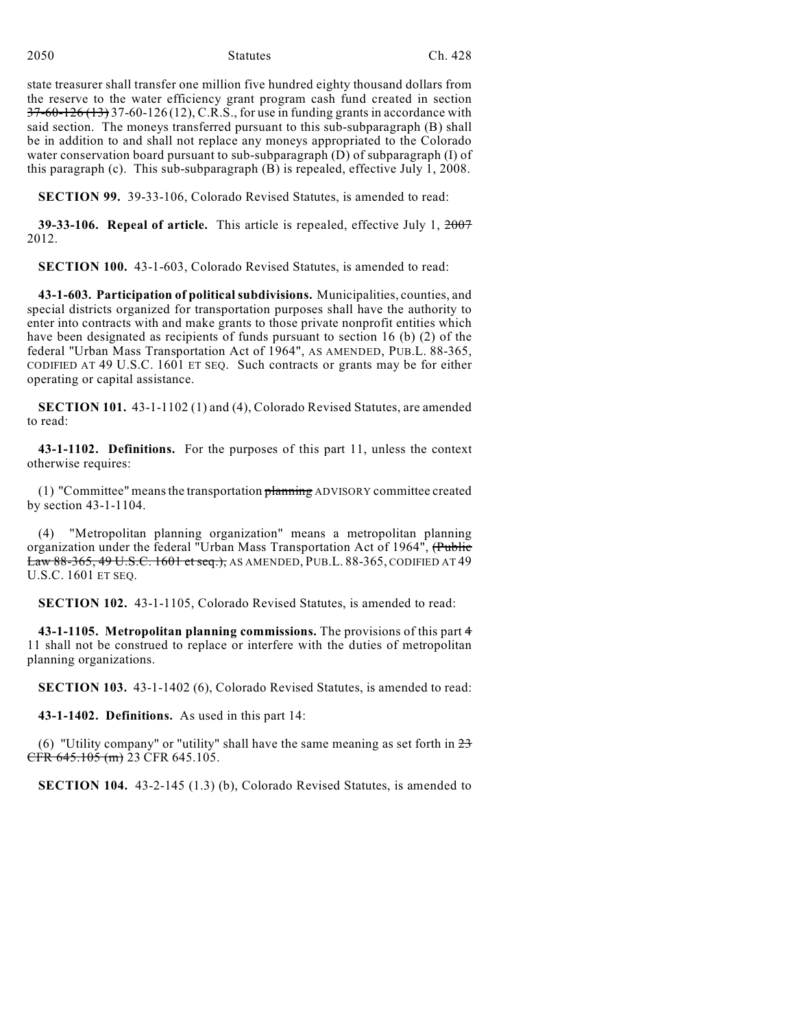2050 Statutes Ch. 428

state treasurer shall transfer one million five hundred eighty thousand dollars from the reserve to the water efficiency grant program cash fund created in section  $37-60-126(13)$  37-60-126 (12), C.R.S., for use in funding grants in accordance with said section. The moneys transferred pursuant to this sub-subparagraph (B) shall be in addition to and shall not replace any moneys appropriated to the Colorado water conservation board pursuant to sub-subparagraph (D) of subparagraph (I) of this paragraph (c). This sub-subparagraph (B) is repealed, effective July 1, 2008.

**SECTION 99.** 39-33-106, Colorado Revised Statutes, is amended to read:

**39-33-106. Repeal of article.** This article is repealed, effective July 1, 2007 2012.

**SECTION 100.** 43-1-603, Colorado Revised Statutes, is amended to read:

**43-1-603. Participation of political subdivisions.** Municipalities, counties, and special districts organized for transportation purposes shall have the authority to enter into contracts with and make grants to those private nonprofit entities which have been designated as recipients of funds pursuant to section 16 (b) (2) of the federal "Urban Mass Transportation Act of 1964", AS AMENDED, PUB.L. 88-365, CODIFIED AT 49 U.S.C. 1601 ET SEQ. Such contracts or grants may be for either operating or capital assistance.

**SECTION 101.** 43-1-1102 (1) and (4), Colorado Revised Statutes, are amended to read:

**43-1-1102. Definitions.** For the purposes of this part 11, unless the context otherwise requires:

(1) "Committee" meansthe transportation planning ADVISORY committee created by section 43-1-1104.

(4) "Metropolitan planning organization" means a metropolitan planning organization under the federal "Urban Mass Transportation Act of 1964", (Public Law 88-365, 49 U.S.C. 1601 et seq.), AS AMENDED, PUB.L. 88-365, CODIFIED AT 49 U.S.C. 1601 ET SEQ.

**SECTION 102.** 43-1-1105, Colorado Revised Statutes, is amended to read:

**43-1-1105. Metropolitan planning commissions.** The provisions of this part 4 11 shall not be construed to replace or interfere with the duties of metropolitan planning organizations.

**SECTION 103.** 43-1-1402 (6), Colorado Revised Statutes, is amended to read:

**43-1-1402. Definitions.** As used in this part 14:

(6) "Utility company" or "utility" shall have the same meaning as set forth in  $23$ CFR 645.105 (m) 23 CFR 645.105.

**SECTION 104.** 43-2-145 (1.3) (b), Colorado Revised Statutes, is amended to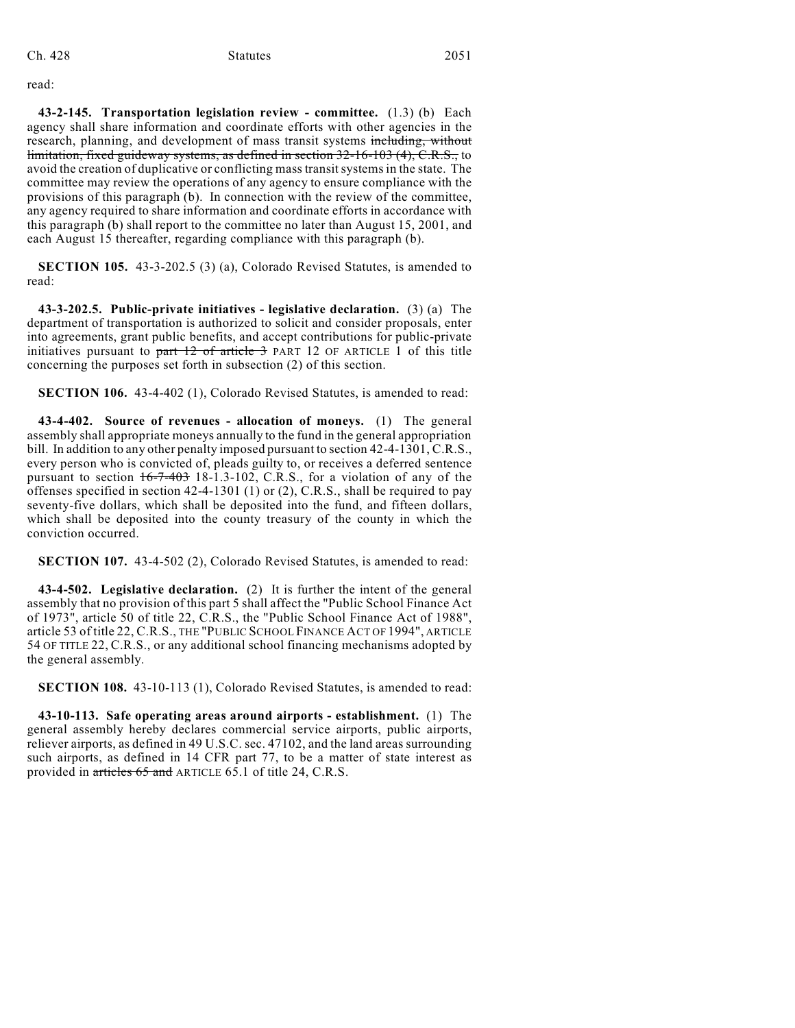read:

**43-2-145. Transportation legislation review - committee.** (1.3) (b) Each agency shall share information and coordinate efforts with other agencies in the research, planning, and development of mass transit systems including, without limitation, fixed guideway systems, as defined in section 32-16-103 (4), C.R.S., to avoid the creation of duplicative or conflicting mass transit systems in the state. The committee may review the operations of any agency to ensure compliance with the provisions of this paragraph (b). In connection with the review of the committee, any agency required to share information and coordinate efforts in accordance with this paragraph (b) shall report to the committee no later than August 15, 2001, and each August 15 thereafter, regarding compliance with this paragraph (b).

**SECTION 105.** 43-3-202.5 (3) (a), Colorado Revised Statutes, is amended to read:

**43-3-202.5. Public-private initiatives - legislative declaration.** (3) (a) The department of transportation is authorized to solicit and consider proposals, enter into agreements, grant public benefits, and accept contributions for public-private initiatives pursuant to part  $12$  of article  $3$  PART 12 OF ARTICLE 1 of this title concerning the purposes set forth in subsection (2) of this section.

**SECTION 106.** 43-4-402 (1), Colorado Revised Statutes, is amended to read:

**43-4-402. Source of revenues - allocation of moneys.** (1) The general assembly shall appropriate moneys annually to the fund in the general appropriation bill. In addition to any other penalty imposed pursuant to section 42-4-1301, C.R.S., every person who is convicted of, pleads guilty to, or receives a deferred sentence pursuant to section 16-7-403 18-1.3-102, C.R.S., for a violation of any of the offenses specified in section 42-4-1301 (1) or (2), C.R.S., shall be required to pay seventy-five dollars, which shall be deposited into the fund, and fifteen dollars, which shall be deposited into the county treasury of the county in which the conviction occurred.

**SECTION 107.** 43-4-502 (2), Colorado Revised Statutes, is amended to read:

**43-4-502. Legislative declaration.** (2) It is further the intent of the general assembly that no provision of this part 5 shall affect the "Public School Finance Act of 1973", article 50 of title 22, C.R.S., the "Public School Finance Act of 1988", article 53 of title 22, C.R.S., THE "PUBLIC SCHOOL FINANCE ACT OF 1994", ARTICLE 54 OF TITLE 22, C.R.S., or any additional school financing mechanisms adopted by the general assembly.

**SECTION 108.** 43-10-113 (1), Colorado Revised Statutes, is amended to read:

**43-10-113. Safe operating areas around airports - establishment.** (1) The general assembly hereby declares commercial service airports, public airports, reliever airports, as defined in 49 U.S.C. sec. 47102, and the land areas surrounding such airports, as defined in 14 CFR part 77, to be a matter of state interest as provided in articles 65 and ARTICLE 65.1 of title 24, C.R.S.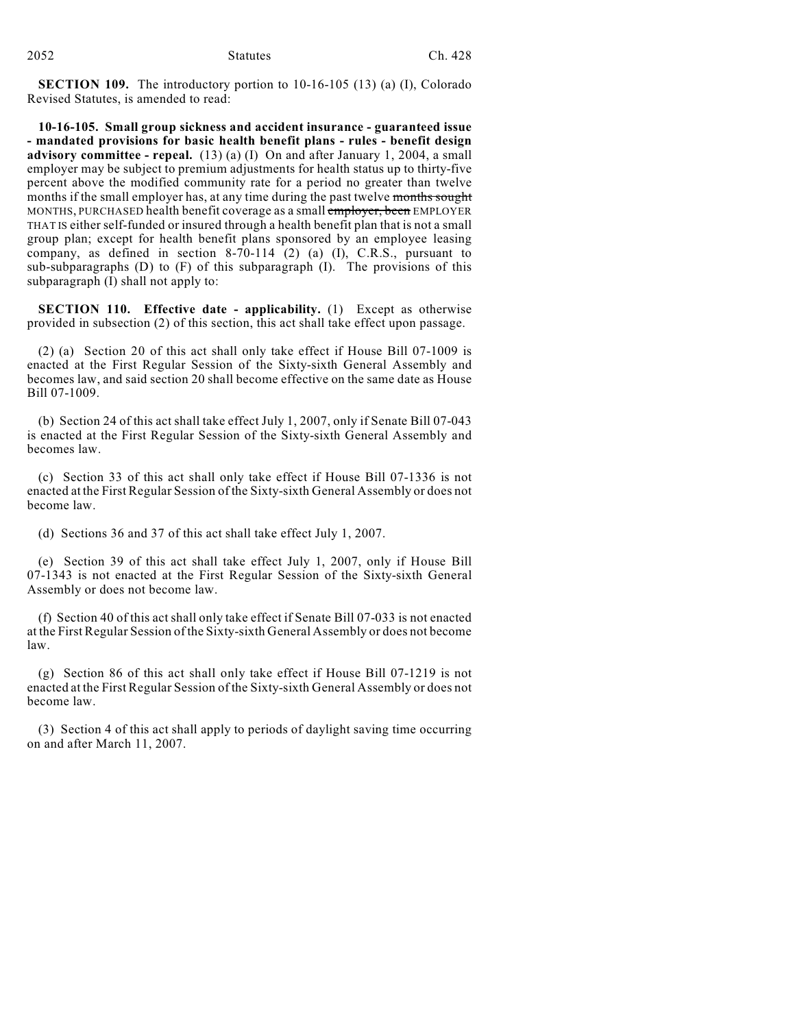**SECTION 109.** The introductory portion to 10-16-105 (13) (a) (I), Colorado Revised Statutes, is amended to read:

**10-16-105. Small group sickness and accident insurance - guaranteed issue - mandated provisions for basic health benefit plans - rules - benefit design advisory committee - repeal.** (13) (a) (I) On and after January 1, 2004, a small employer may be subject to premium adjustments for health status up to thirty-five percent above the modified community rate for a period no greater than twelve months if the small employer has, at any time during the past twelve months sought MONTHS, PURCHASED health benefit coverage as a small employer, been EMPLOYER THAT IS either self-funded or insured through a health benefit plan that is not a small group plan; except for health benefit plans sponsored by an employee leasing company, as defined in section  $8-70-114$  (2) (a) (I), C.R.S., pursuant to sub-subparagraphs (D) to (F) of this subparagraph (I). The provisions of this subparagraph (I) shall not apply to:

**SECTION 110. Effective date - applicability.** (1) Except as otherwise provided in subsection (2) of this section, this act shall take effect upon passage.

(2) (a) Section 20 of this act shall only take effect if House Bill 07-1009 is enacted at the First Regular Session of the Sixty-sixth General Assembly and becomes law, and said section 20 shall become effective on the same date as House Bill 07-1009.

(b) Section 24 of this act shall take effect July 1, 2007, only if Senate Bill 07-043 is enacted at the First Regular Session of the Sixty-sixth General Assembly and becomes law.

(c) Section 33 of this act shall only take effect if House Bill 07-1336 is not enacted at the First Regular Session of the Sixty-sixth General Assembly or does not become law.

(d) Sections 36 and 37 of this act shall take effect July 1, 2007.

(e) Section 39 of this act shall take effect July 1, 2007, only if House Bill 07-1343 is not enacted at the First Regular Session of the Sixty-sixth General Assembly or does not become law.

(f) Section 40 of this act shall only take effect if Senate Bill 07-033 is not enacted at the First Regular Session of the Sixty-sixth General Assembly or does not become law.

(g) Section 86 of this act shall only take effect if House Bill 07-1219 is not enacted at the First Regular Session of the Sixty-sixth General Assembly or does not become law.

(3) Section 4 of this act shall apply to periods of daylight saving time occurring on and after March 11, 2007.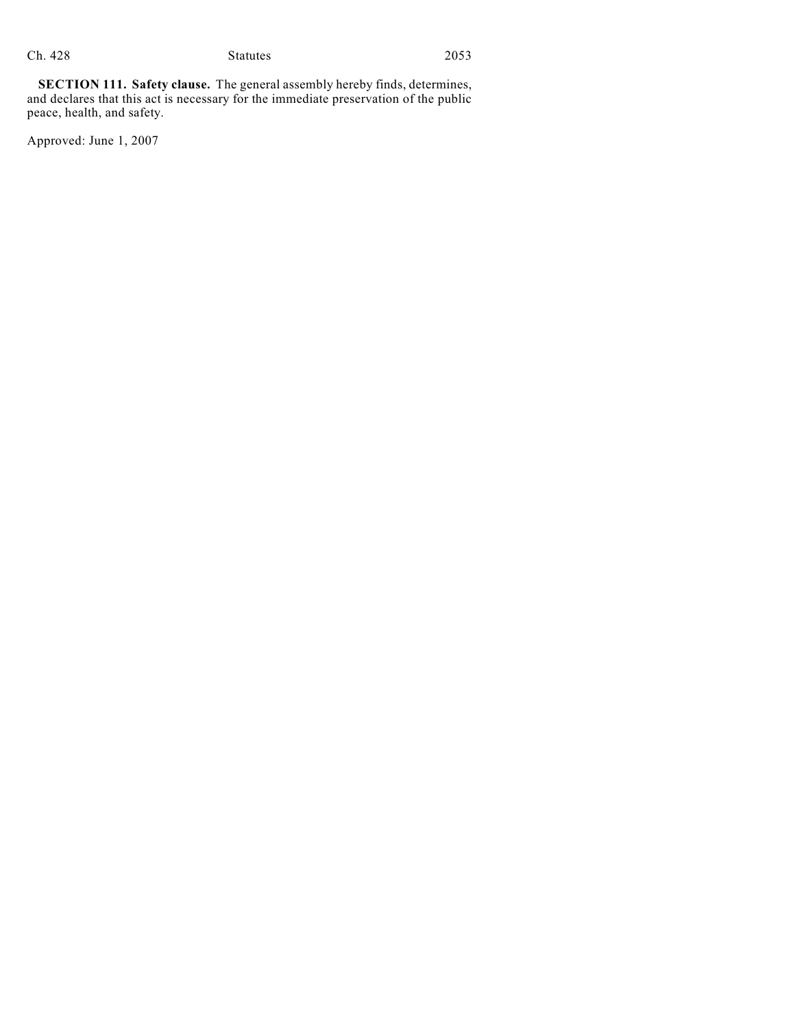**SECTION 111. Safety clause.** The general assembly hereby finds, determines, and declares that this act is necessary for the immediate preservation of the public peace, health, and safety.

Approved: June 1, 2007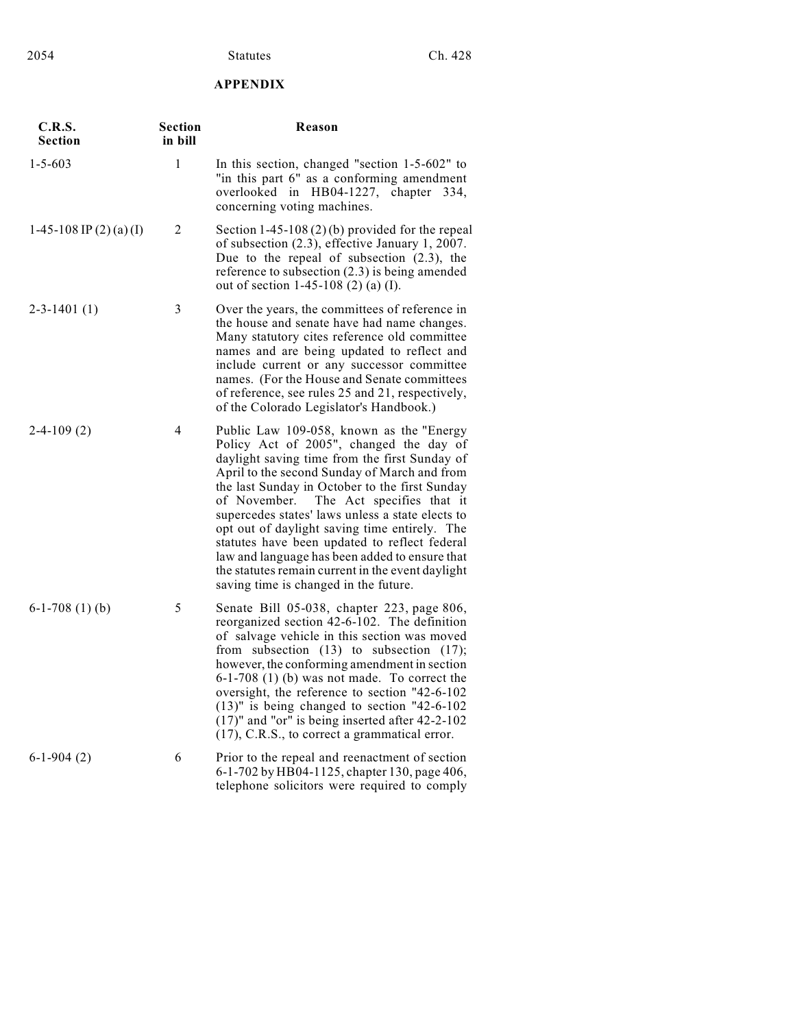## **APPENDIX**

| C.R.S.<br>Section         | <b>Section</b><br>in bill | Reason                                                                                                                                                                                                                                                                                                                                                                                                                                                                                                                                                                                    |
|---------------------------|---------------------------|-------------------------------------------------------------------------------------------------------------------------------------------------------------------------------------------------------------------------------------------------------------------------------------------------------------------------------------------------------------------------------------------------------------------------------------------------------------------------------------------------------------------------------------------------------------------------------------------|
| $1 - 5 - 603$             | 1                         | In this section, changed "section 1-5-602" to<br>"in this part 6" as a conforming amendment<br>overlooked in HB04-1227, chapter 334,<br>concerning voting machines.                                                                                                                                                                                                                                                                                                                                                                                                                       |
| 1-45-108 IP $(2)$ (a) (I) | 2                         | Section $1-45-108(2)(b)$ provided for the repeal<br>of subsection (2.3), effective January 1, 2007.<br>Due to the repeal of subsection $(2.3)$ , the<br>reference to subsection $(2.3)$ is being amended<br>out of section 1-45-108 (2) (a) (I).                                                                                                                                                                                                                                                                                                                                          |
| $2 - 3 - 1401(1)$         | 3                         | Over the years, the committees of reference in<br>the house and senate have had name changes.<br>Many statutory cites reference old committee<br>names and are being updated to reflect and<br>include current or any successor committee<br>names. (For the House and Senate committees<br>of reference, see rules 25 and 21, respectively,<br>of the Colorado Legislator's Handbook.)                                                                                                                                                                                                   |
| $2-4-109(2)$              | $\overline{4}$            | Public Law 109-058, known as the "Energy<br>Policy Act of 2005", changed the day of<br>daylight saving time from the first Sunday of<br>April to the second Sunday of March and from<br>the last Sunday in October to the first Sunday<br>The Act specifies that it<br>of November.<br>supercedes states' laws unless a state elects to<br>opt out of daylight saving time entirely. The<br>statutes have been updated to reflect federal<br>law and language has been added to ensure that<br>the statutes remain current in the event daylight<br>saving time is changed in the future. |
| $6-1-708(1)(b)$           | 5                         | Senate Bill 05-038, chapter 223, page 806,<br>reorganized section 42-6-102. The definition<br>of salvage vehicle in this section was moved<br>from subsection $(13)$ to subsection $(17)$ ;<br>however, the conforming amendment in section<br>$6-1-708$ (1) (b) was not made. To correct the<br>oversight, the reference to section "42-6-102<br>$(13)$ " is being changed to section "42-6-102"<br>$(17)$ " and "or" is being inserted after 42-2-102<br>(17), C.R.S., to correct a grammatical error.                                                                                  |
| $6-1-904(2)$              | 6                         | Prior to the repeal and reenactment of section<br>6-1-702 by HB04-1125, chapter 130, page 406,<br>telephone solicitors were required to comply                                                                                                                                                                                                                                                                                                                                                                                                                                            |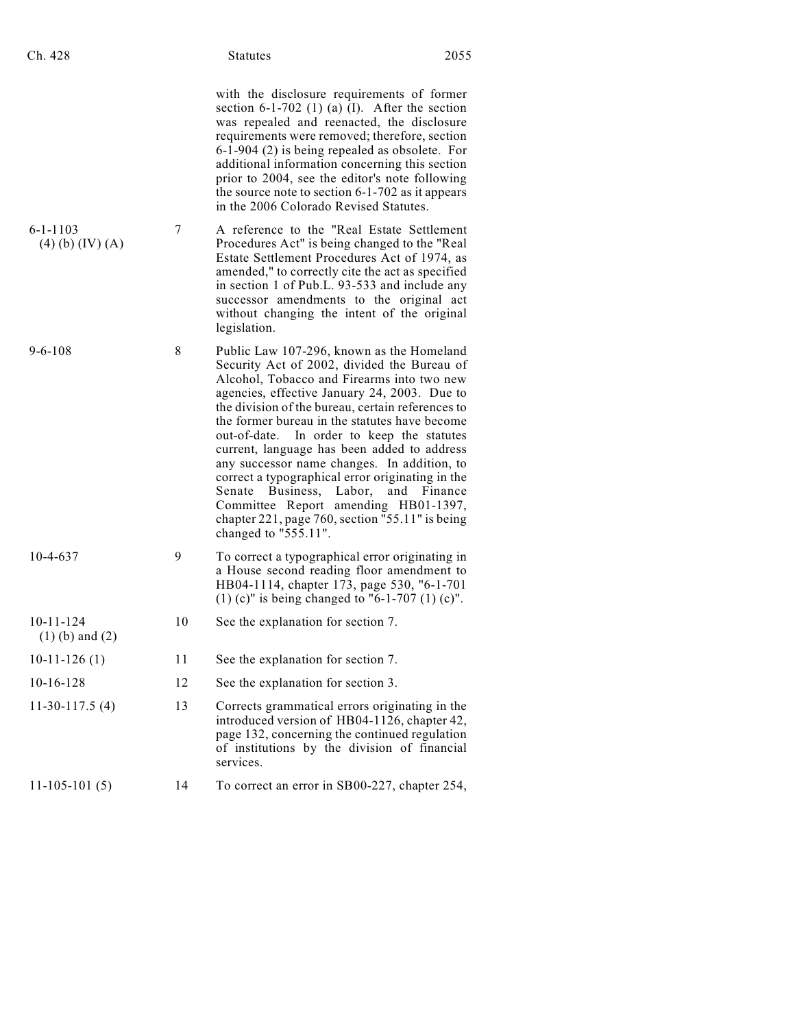| Ch. 428 | <b>Statutes</b> | 2055 |
|---------|-----------------|------|
|         |                 |      |

|  | Statutes |  |
|--|----------|--|
|  |          |  |

with the disclosure requirements of former section 6-1-702 (1) (a)  $(I)$ . After the section was repealed and reenacted, the disclosure requirements were removed; therefore, section 6-1-904 (2) is being repealed as obsolete. For additional information concerning this section prior to 2004, see the editor's note following the source note to section 6-1-702 as it appears in the 2006 Colorado Revised Statutes.

- 6-1-1103 (4) (b) (IV) (A) 7 A reference to the "Real Estate Settlement Procedures Act" is being changed to the "Real Estate Settlement Procedures Act of 1974, as amended," to correctly cite the act as specified in section 1 of Pub.L. 93-533 and include any successor amendments to the original act without changing the intent of the original legislation.
- 9-6-108 8 Public Law 107-296, known as the Homeland Security Act of 2002, divided the Bureau of Alcohol, Tobacco and Firearms into two new agencies, effective January 24, 2003. Due to the division of the bureau, certain references to the former bureau in the statutes have become out-of-date. In order to keep the statutes current, language has been added to address any successor name changes. In addition, to correct a typographical error originating in the Senate Business, Labor, and Finance Committee Report amending HB01-1397, chapter 221, page 760, section "55.11" is being changed to "555.11".
- 10-4-637 9 To correct a typographical error originating in a House second reading floor amendment to HB04-1114, chapter 173, page 530, "6-1-701 (1) (c)" is being changed to "6-1-707 (1) (c)".
- 10-11-124 (1) (b) and (2) 10 See the explanation for section 7.
- 10-11-126 (1) 11 See the explanation for section 7.
- 10-16-128 12 See the explanation for section 3.
- 11-30-117.5 (4) 13 Corrects grammatical errors originating in the introduced version of HB04-1126, chapter 42, page 132, concerning the continued regulation of institutions by the division of financial services.
- 11-105-101 (5) 14 To correct an error in SB00-227, chapter 254,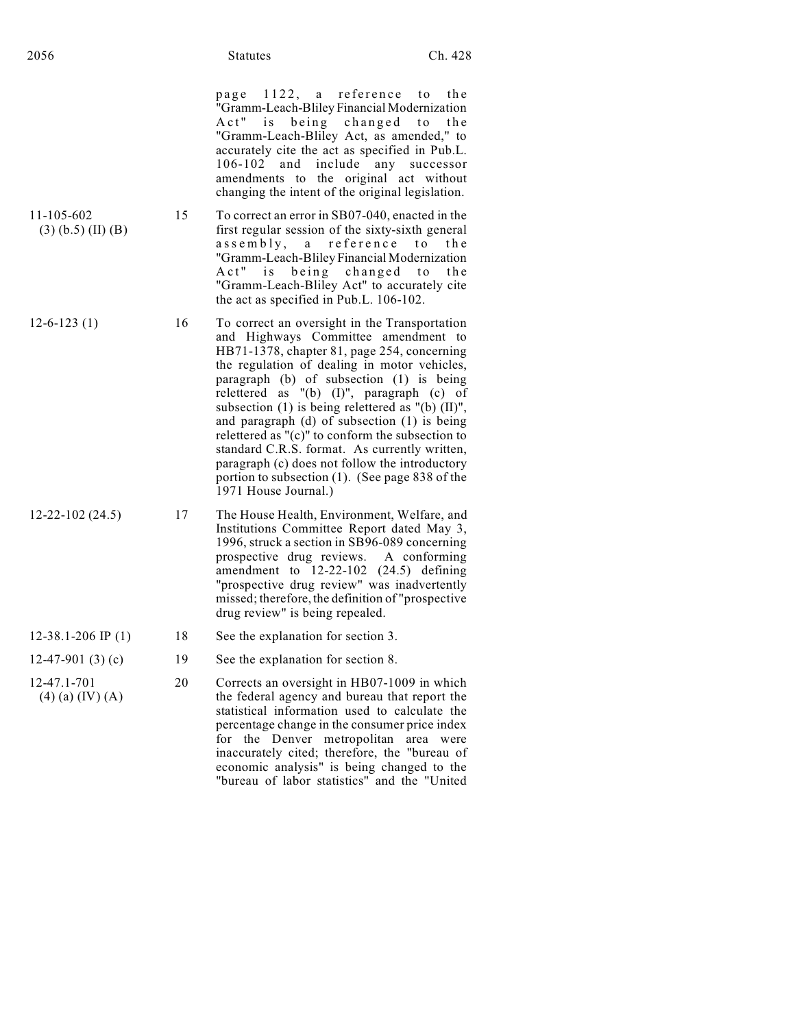page  $1122$ , a reference to the "Gramm-Leach-Bliley Financial Modernization Act" is being changed to the "Gramm-Leach-Bliley Act, as amended," to accurately cite the act as specified in Pub.L. 106-102 and include any successor amendments to the original act without changing the intent of the original legislation.

- 11-105-602 (3) (b.5) (II) (B) 15 To correct an error in SB07-040, enacted in the first regular session of the sixty-sixth general assembly, a reference to the "Gramm-Leach-Bliley Financial Modernization Act" is being changed to the "Gramm-Leach-Bliley Act" to accurately cite the act as specified in Pub.L. 106-102.
- 12-6-123 (1) 16 To correct an oversight in the Transportation and Highways Committee amendment to HB71-1378, chapter 81, page 254, concerning the regulation of dealing in motor vehicles, paragraph (b) of subsection (1) is being relettered as "(b) (I)", paragraph (c) of subsection (1) is being relettered as "(b) (II)", and paragraph (d) of subsection (1) is being relettered as "(c)" to conform the subsection to standard C.R.S. format. As currently written, paragraph (c) does not follow the introductory portion to subsection (1). (See page 838 of the 1971 House Journal.)
- 12-22-102 (24.5) 17 The House Health, Environment, Welfare, and Institutions Committee Report dated May 3, 1996, struck a section in SB96-089 concerning prospective drug reviews. A conforming amendment to 12-22-102 (24.5) defining "prospective drug review" was inadvertently missed; therefore, the definition of "prospective drug review" is being repealed.
- 12-38.1-206 IP (1) 18 See the explanation for section 3.
- 12-47-901 (3) (c) 19 See the explanation for section 8.
- 12-47.1-701 (4) (a) (IV) (A) 20 Corrects an oversight in HB07-1009 in which the federal agency and bureau that report the statistical information used to calculate the percentage change in the consumer price index for the Denver metropolitan area were inaccurately cited; therefore, the "bureau of economic analysis" is being changed to the "bureau of labor statistics" and the "United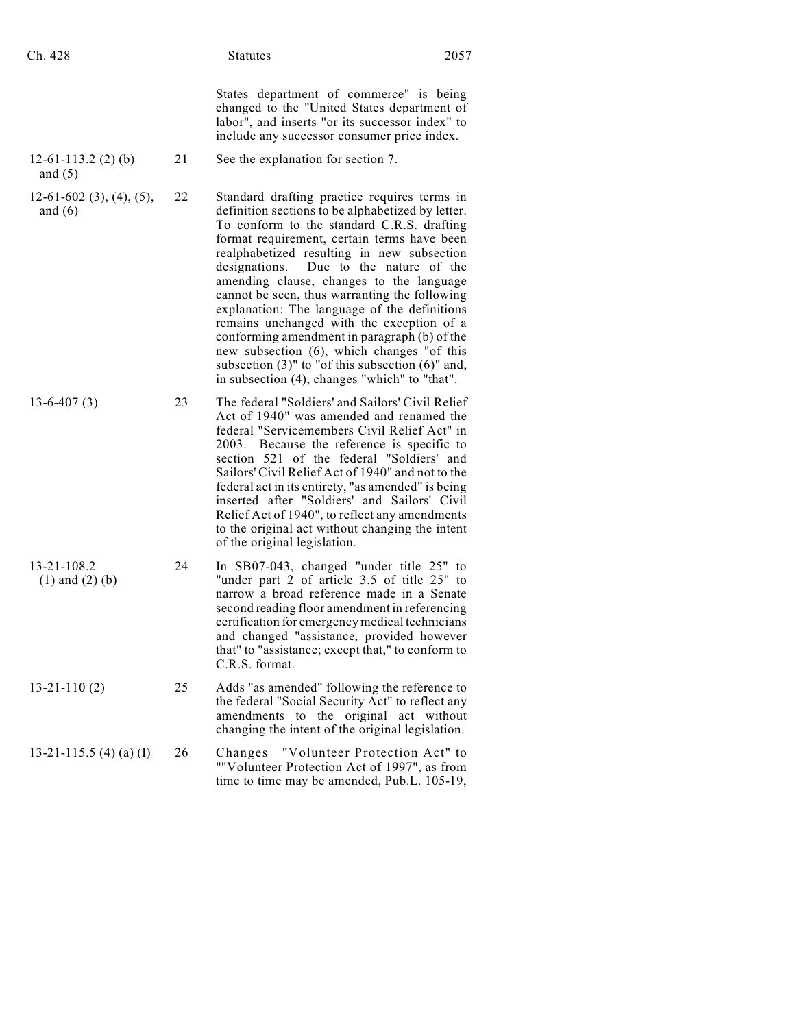| Ch. 428                                 |    | <b>Statutes</b>                                                                                                                                                                                                                                                                                                                                                                                                                                                                                                                                                                                                                                                                              | 2057 |
|-----------------------------------------|----|----------------------------------------------------------------------------------------------------------------------------------------------------------------------------------------------------------------------------------------------------------------------------------------------------------------------------------------------------------------------------------------------------------------------------------------------------------------------------------------------------------------------------------------------------------------------------------------------------------------------------------------------------------------------------------------------|------|
|                                         |    | States department of commerce" is being<br>changed to the "United States department of<br>labor", and inserts "or its successor index" to<br>include any successor consumer price index.                                                                                                                                                                                                                                                                                                                                                                                                                                                                                                     |      |
| $12-61-113.2$ (2) (b)<br>and $(5)$      | 21 | See the explanation for section 7.                                                                                                                                                                                                                                                                                                                                                                                                                                                                                                                                                                                                                                                           |      |
| $12-61-602$ (3), (4), (5),<br>and $(6)$ | 22 | Standard drafting practice requires terms in<br>definition sections to be alphabetized by letter.<br>To conform to the standard C.R.S. drafting<br>format requirement, certain terms have been<br>realphabetized resulting in new subsection<br>Due to the nature of the<br>designations.<br>amending clause, changes to the language<br>cannot be seen, thus warranting the following<br>explanation: The language of the definitions<br>remains unchanged with the exception of a<br>conforming amendment in paragraph (b) of the<br>new subsection (6), which changes "of this<br>subsection $(3)$ " to "of this subsection $(6)$ " and,<br>in subsection (4), changes "which" to "that". |      |
| $13-6-407(3)$                           | 23 | The federal "Soldiers' and Sailors' Civil Relief<br>Act of 1940" was amended and renamed the<br>federal "Servicemembers Civil Relief Act" in<br>2003. Because the reference is specific to<br>section 521 of the federal "Soldiers' and<br>Sailors' Civil Relief Act of 1940" and not to the<br>federal act in its entirety, "as amended" is being<br>inserted after "Soldiers' and Sailors' Civil<br>Relief Act of 1940", to reflect any amendments<br>to the original act without changing the intent<br>of the original legislation.                                                                                                                                                      |      |
| 13-21-108.2<br>$(1)$ and $(2)$ $(b)$    | 24 | In SB07-043, changed "under title 25" to<br>"under part 2 of article 3.5 of title 25" to<br>narrow a broad reference made in a Senate<br>second reading floor amendment in referencing<br>certification for emergency medical technicians<br>and changed "assistance, provided however<br>that" to "assistance; except that," to conform to<br>C.R.S. format.                                                                                                                                                                                                                                                                                                                                |      |
| $13 - 21 - 110(2)$                      | 25 | Adds "as amended" following the reference to<br>the federal "Social Security Act" to reflect any<br>amendments to the original act without<br>changing the intent of the original legislation.                                                                                                                                                                                                                                                                                                                                                                                                                                                                                               |      |
| 13-21-115.5 (4) (a) (I)                 | 26 | Changes<br>"Volunteer Protection Act" to<br>""Volunteer Protection Act of 1997", as from<br>time to time may be amended, Pub.L. 105-19,                                                                                                                                                                                                                                                                                                                                                                                                                                                                                                                                                      |      |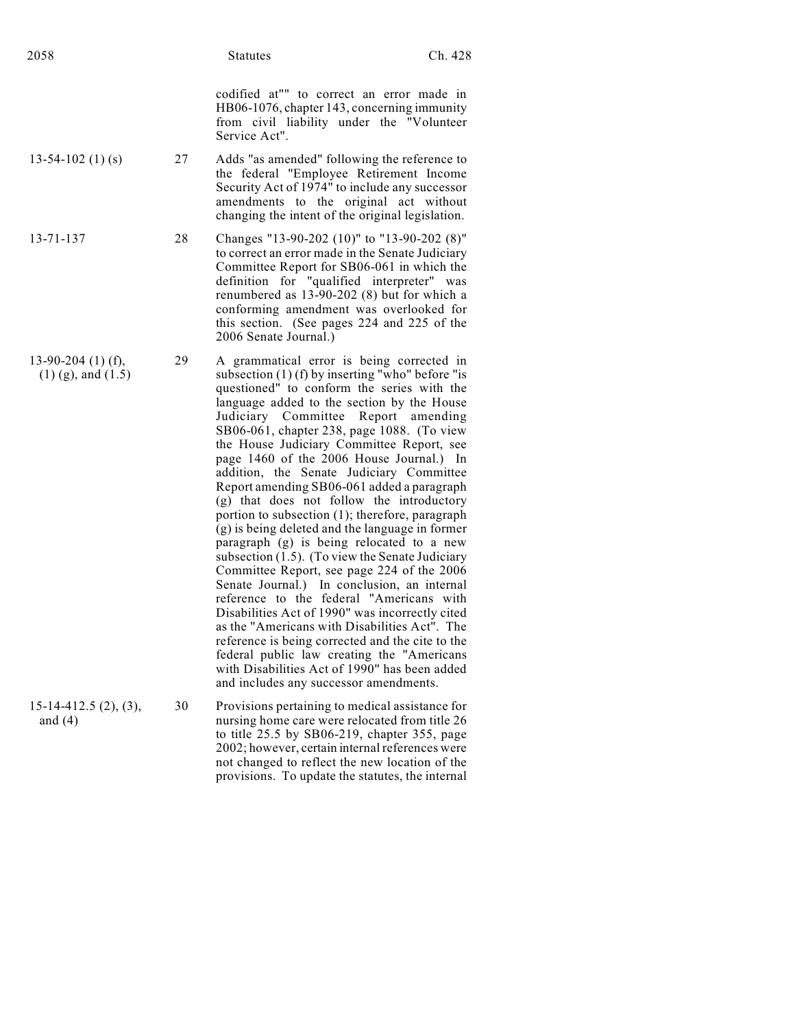codified at"" to correct an error made in HB06-1076, chapter 143, concerning immunity from civil liability under the "Volunteer Service Act".

- 13-54-102 (1) (s) 27 Adds "as amended" following the reference to the federal "Employee Retirement Income Security Act of 1974" to include any successor amendments to the original act without changing the intent of the original legislation.
- 13-71-137 28 Changes "13-90-202 (10)" to "13-90-202 (8)" to correct an error made in the Senate Judiciary Committee Report for SB06-061 in which the definition for "qualified interpreter" was renumbered as 13-90-202 (8) but for which a conforming amendment was overlooked for this section. (See pages 224 and 225 of the 2006 Senate Journal.)
- 13-90-204 (1) (f), (1) (g), and (1.5) 29 A grammatical error is being corrected in subsection (1) (f) by inserting "who" before "is questioned" to conform the series with the language added to the section by the House Judiciary Committee Report amending SB06-061, chapter 238, page 1088. (To view the House Judiciary Committee Report, see page 1460 of the 2006 House Journal.) In addition, the Senate Judiciary Committee Report amending SB06-061 added a paragraph (g) that does not follow the introductory portion to subsection (1); therefore, paragraph (g) is being deleted and the language in former paragraph (g) is being relocated to a new subsection  $(1.5)$ . (To view the Senate Judiciary Committee Report, see page 224 of the 2006 Senate Journal.) In conclusion, an internal reference to the federal "Americans with Disabilities Act of 1990" was incorrectly cited as the "Americans with Disabilities Act". The reference is being corrected and the cite to the federal public law creating the "Americans with Disabilities Act of 1990" has been added and includes any successor amendments. 15-14-412.5 (2), (3), and (4) 30 Provisions pertaining to medical assistance for nursing home care were relocated from title 26 to title 25.5 by SB06-219, chapter 355, page

2002; however, certain internal references were not changed to reflect the new location of the provisions. To update the statutes, the internal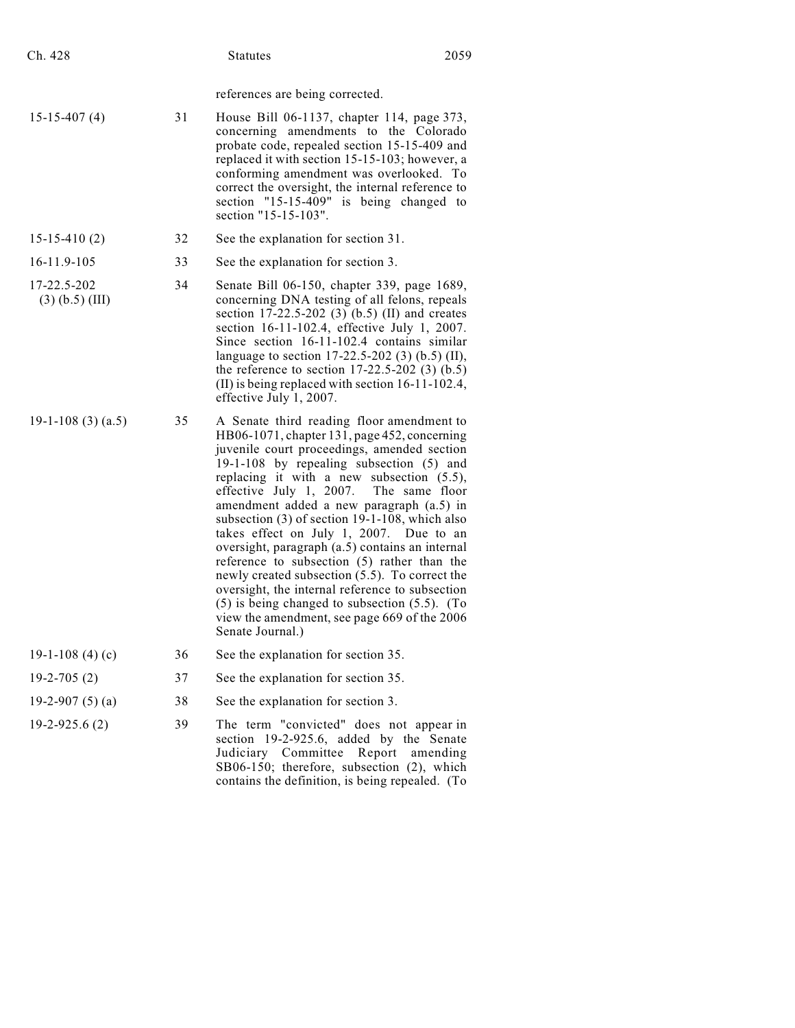| Ch. 428                          |    | <b>Statutes</b>                                                                                                                                                                                                                                                                                                                                                                                                                                                                                                                                                                                                                                                                                                                                               | 2059     |
|----------------------------------|----|---------------------------------------------------------------------------------------------------------------------------------------------------------------------------------------------------------------------------------------------------------------------------------------------------------------------------------------------------------------------------------------------------------------------------------------------------------------------------------------------------------------------------------------------------------------------------------------------------------------------------------------------------------------------------------------------------------------------------------------------------------------|----------|
|                                  |    | references are being corrected.                                                                                                                                                                                                                                                                                                                                                                                                                                                                                                                                                                                                                                                                                                                               |          |
| $15 - 15 - 407(4)$               | 31 | House Bill 06-1137, chapter 114, page 373,<br>concerning amendments to the Colorado<br>probate code, repealed section 15-15-409 and<br>replaced it with section 15-15-103; however, a<br>conforming amendment was overlooked. To<br>correct the oversight, the internal reference to<br>section "15-15-409" is being changed to<br>section "15-15-103".                                                                                                                                                                                                                                                                                                                                                                                                       |          |
| $15 - 15 - 410(2)$               | 32 | See the explanation for section 31.                                                                                                                                                                                                                                                                                                                                                                                                                                                                                                                                                                                                                                                                                                                           |          |
| 16-11.9-105                      | 33 | See the explanation for section 3.                                                                                                                                                                                                                                                                                                                                                                                                                                                                                                                                                                                                                                                                                                                            |          |
| 17-22.5-202<br>$(3)$ (b.5) (III) | 34 | Senate Bill 06-150, chapter 339, page 1689,<br>concerning DNA testing of all felons, repeals<br>section 17-22.5-202 (3) (b.5) (II) and creates<br>section 16-11-102.4, effective July 1, 2007.<br>Since section 16-11-102.4 contains similar<br>language to section 17-22.5-202 (3) (b.5) (II),<br>the reference to section $17-22.5-202$ (3) (b.5)<br>(II) is being replaced with section $16-11-102.4$ ,<br>effective July 1, 2007.                                                                                                                                                                                                                                                                                                                         |          |
| $19-1-108(3)(a.5)$               | 35 | A Senate third reading floor amendment to<br>HB06-1071, chapter 131, page 452, concerning<br>juvenile court proceedings, amended section<br>19-1-108 by repealing subsection (5) and<br>replacing it with a new subsection $(5.5)$ ,<br>effective July 1, 2007.<br>The same floor<br>amendment added a new paragraph (a.5) in<br>subsection $(3)$ of section 19-1-108, which also<br>takes effect on July 1, 2007. Due to an<br>oversight, paragraph (a.5) contains an internal<br>reference to subsection (5) rather than the<br>newly created subsection (5.5). To correct the<br>oversight, the internal reference to subsection<br>$(5)$ is being changed to subsection $(5.5)$ . (To<br>view the amendment, see page 669 of the 2006<br>Senate Journal.) |          |
| 19-1-108 (4) (c)                 | 36 | See the explanation for section 35.                                                                                                                                                                                                                                                                                                                                                                                                                                                                                                                                                                                                                                                                                                                           |          |
| $19-2-705(2)$                    | 37 | See the explanation for section 35.                                                                                                                                                                                                                                                                                                                                                                                                                                                                                                                                                                                                                                                                                                                           |          |
| 19-2-907 $(5)(a)$                | 38 | See the explanation for section 3.                                                                                                                                                                                                                                                                                                                                                                                                                                                                                                                                                                                                                                                                                                                            |          |
| $19-2-925.6(2)$                  | 39 | The term "convicted" does not appear in<br>section 19-2-925.6, added by the Senate<br>Judiciary Committee<br>Report<br>SB06-150; therefore, subsection (2), which<br>contains the definition, is being repealed. (To                                                                                                                                                                                                                                                                                                                                                                                                                                                                                                                                          | amending |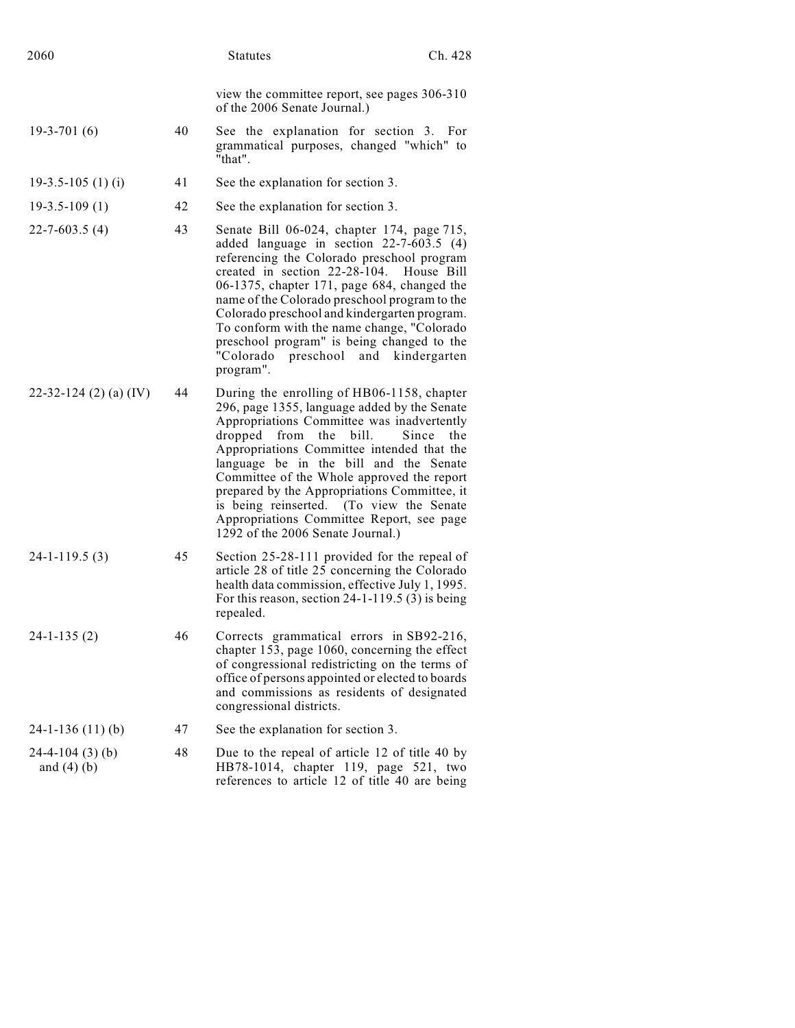| 2060                                 |    | <b>Statutes</b>                                                                                                                                                                                                                                                                                                                                                                                                                                                                                 | Ch. 428      |
|--------------------------------------|----|-------------------------------------------------------------------------------------------------------------------------------------------------------------------------------------------------------------------------------------------------------------------------------------------------------------------------------------------------------------------------------------------------------------------------------------------------------------------------------------------------|--------------|
|                                      |    | view the committee report, see pages 306-310<br>of the 2006 Senate Journal.)                                                                                                                                                                                                                                                                                                                                                                                                                    |              |
| $19-3-701(6)$                        | 40 | See the explanation for section 3. For<br>grammatical purposes, changed "which" to<br>"that".                                                                                                                                                                                                                                                                                                                                                                                                   |              |
| $19-3.5-105(1)$ (i)                  | 41 | See the explanation for section 3.                                                                                                                                                                                                                                                                                                                                                                                                                                                              |              |
| $19-3.5-109(1)$                      | 42 | See the explanation for section 3.                                                                                                                                                                                                                                                                                                                                                                                                                                                              |              |
| $22 - 7 - 603.5(4)$                  | 43 | Senate Bill 06-024, chapter 174, page 715,<br>added language in section 22-7-603.5 (4)<br>referencing the Colorado preschool program<br>created in section 22-28-104. House Bill<br>06-1375, chapter 171, page 684, changed the<br>name of the Colorado preschool program to the<br>Colorado preschool and kindergarten program.<br>To conform with the name change, "Colorado<br>preschool program" is being changed to the<br>"Colorado preschool and<br>program".                            | kindergarten |
| 22-32-124 (2) (a) (IV)               | 44 | During the enrolling of HB06-1158, chapter<br>296, page 1355, language added by the Senate<br>Appropriations Committee was inadvertently<br>dropped<br>from<br>bill.<br>the<br>Appropriations Committee intended that the<br>language be in the bill and the Senate<br>Committee of the Whole approved the report<br>prepared by the Appropriations Committee, it<br>is being reinserted. (To view the Senate<br>Appropriations Committee Report, see page<br>1292 of the 2006 Senate Journal.) | Since<br>the |
| $24-1-119.5(3)$                      | 45 | Section 25-28-111 provided for the repeal of<br>article 28 of title 25 concerning the Colorado<br>health data commission, effective July 1, 1995.<br>For this reason, section $24-1-119.5(3)$ is being<br>repealed.                                                                                                                                                                                                                                                                             |              |
| $24-1-135(2)$                        | 46 | Corrects grammatical errors in SB92-216,<br>chapter 153, page 1060, concerning the effect<br>of congressional redistricting on the terms of<br>office of persons appointed or elected to boards<br>and commissions as residents of designated<br>congressional districts.                                                                                                                                                                                                                       |              |
| $24-1-136(11)(b)$                    | 47 | See the explanation for section 3.                                                                                                                                                                                                                                                                                                                                                                                                                                                              |              |
| $24-4-104(3)$ (b)<br>and $(4)$ $(b)$ | 48 | Due to the repeal of article 12 of title 40 by<br>HB78-1014, chapter 119, page 521, two<br>references to article 12 of title 40 are being                                                                                                                                                                                                                                                                                                                                                       |              |
|                                      |    |                                                                                                                                                                                                                                                                                                                                                                                                                                                                                                 |              |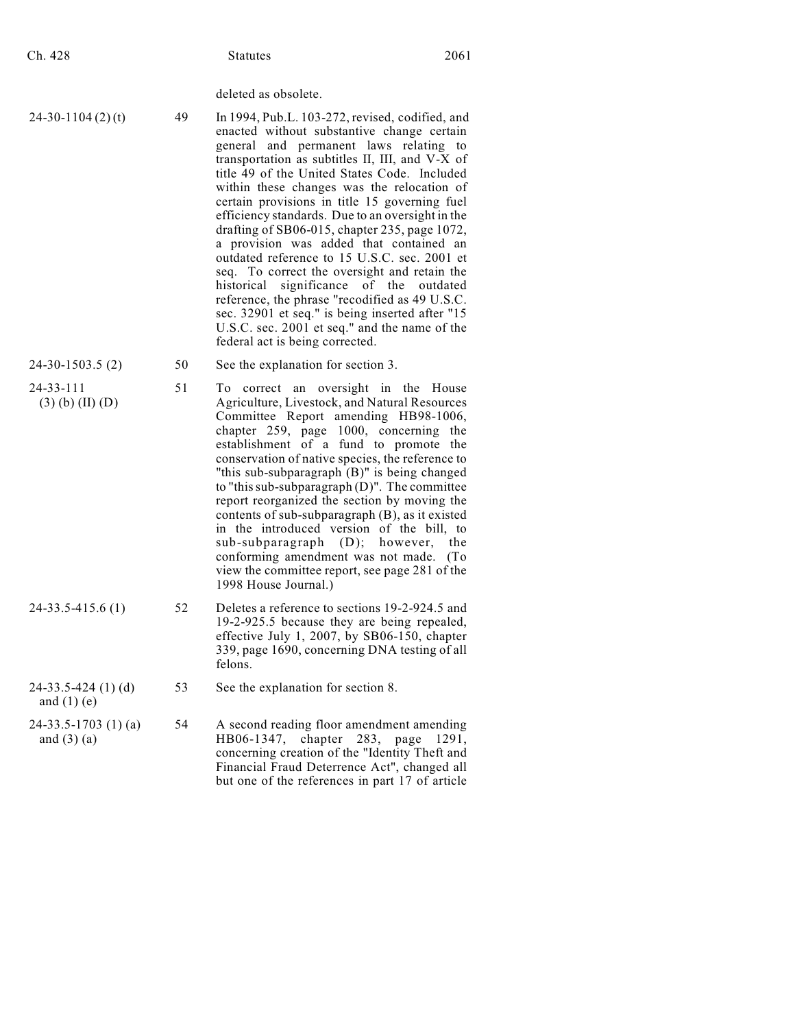| Ch. 428                                   |    | <b>Statutes</b>                                                                                                                                                                                                                                                                                                                                                                                                                                                                                                                                                                                                                                                                                                                                                                                                            | 2061                     |
|-------------------------------------------|----|----------------------------------------------------------------------------------------------------------------------------------------------------------------------------------------------------------------------------------------------------------------------------------------------------------------------------------------------------------------------------------------------------------------------------------------------------------------------------------------------------------------------------------------------------------------------------------------------------------------------------------------------------------------------------------------------------------------------------------------------------------------------------------------------------------------------------|--------------------------|
|                                           |    | deleted as obsolete.                                                                                                                                                                                                                                                                                                                                                                                                                                                                                                                                                                                                                                                                                                                                                                                                       |                          |
| $24-30-1104(2)(t)$                        | 49 | In 1994, Pub.L. 103-272, revised, codified, and<br>enacted without substantive change certain<br>general and permanent laws relating to<br>transportation as subtitles II, III, and V-X of<br>title 49 of the United States Code. Included<br>within these changes was the relocation of<br>certain provisions in title 15 governing fuel<br>efficiency standards. Due to an oversight in the<br>drafting of SB06-015, chapter 235, page 1072,<br>a provision was added that contained an<br>outdated reference to 15 U.S.C. sec. 2001 et<br>seq. To correct the oversight and retain the<br>significance<br>of the<br>historical<br>reference, the phrase "recodified as 49 U.S.C.<br>sec. 32901 et seq." is being inserted after "15<br>U.S.C. sec. 2001 et seq." and the name of the<br>federal act is being corrected. | outdated                 |
| 24-30-1503.5 (2)                          | 50 | See the explanation for section 3.                                                                                                                                                                                                                                                                                                                                                                                                                                                                                                                                                                                                                                                                                                                                                                                         |                          |
| $24 - 33 - 111$<br>$(3)$ (b) (II) (D)     | 51 | correct an oversight in the House<br>Tо<br>Agriculture, Livestock, and Natural Resources<br>Committee Report amending HB98-1006,<br>chapter 259, page 1000, concerning the<br>establishment of a fund to promote the<br>conservation of native species, the reference to<br>"this sub-subparagraph (B)" is being changed<br>to "this sub-subparagraph (D)". The committee<br>report reorganized the section by moving the<br>contents of sub-subparagraph (B), as it existed<br>in the introduced version of the bill, to<br>sub-subparagraph<br>(D);<br>however,<br>conforming amendment was not made.<br>view the committee report, see page 281 of the<br>1998 House Journal.)                                                                                                                                          | the<br>(T <sub>o</sub> ) |
| 24-33.5-415.6 (1)                         | 52 | Deletes a reference to sections 19-2-924.5 and<br>19-2-925.5 because they are being repealed,<br>effective July 1, 2007, by SB06-150, chapter<br>339, page 1690, concerning DNA testing of all<br>felons.                                                                                                                                                                                                                                                                                                                                                                                                                                                                                                                                                                                                                  |                          |
| $24-33.5-424(1)(d)$<br>and $(1)$ (e)      | 53 | See the explanation for section 8.                                                                                                                                                                                                                                                                                                                                                                                                                                                                                                                                                                                                                                                                                                                                                                                         |                          |
| $24-33.5-1703$ (1) (a)<br>and $(3)$ $(a)$ | 54 | A second reading floor amendment amending<br>HB06-1347, chapter 283, page<br>concerning creation of the "Identity Theft and<br>Financial Fraud Deterrence Act", changed all<br>but one of the references in part 17 of article                                                                                                                                                                                                                                                                                                                                                                                                                                                                                                                                                                                             | 1291,                    |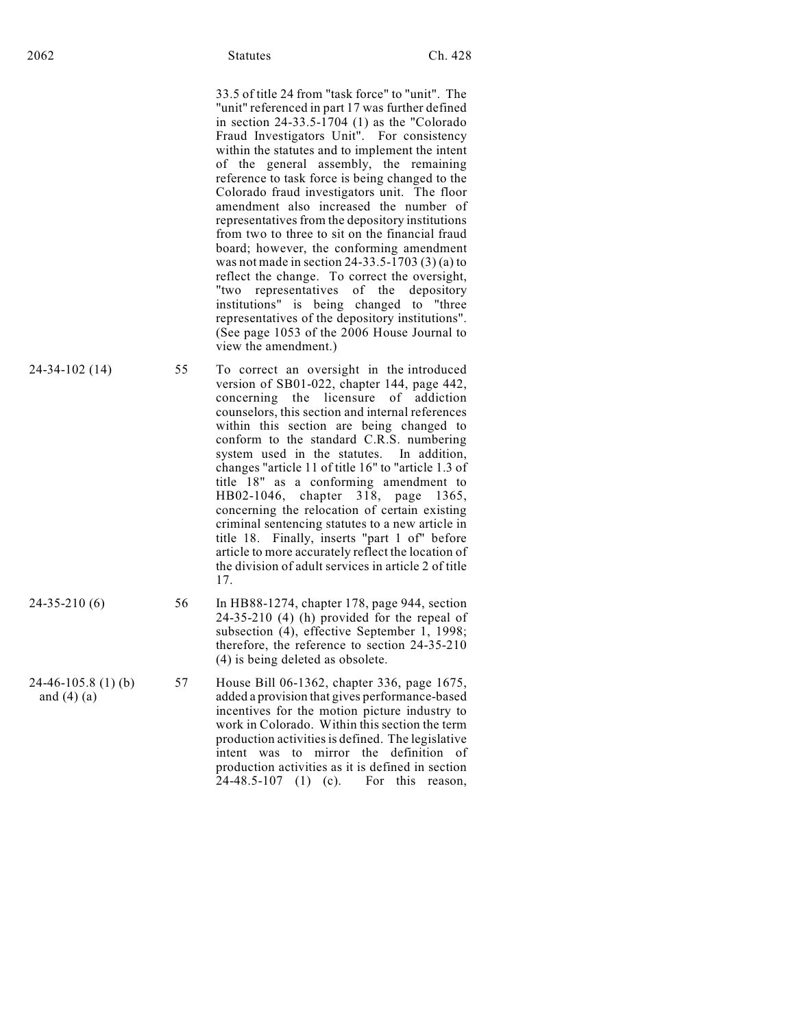33.5 of title 24 from "task force" to "unit". The "unit" referenced in part 17 was further defined in section  $24-33.5-1704$  (1) as the "Colorado" Fraud Investigators Unit". For consistency within the statutes and to implement the intent of the general assembly, the remaining reference to task force is being changed to the Colorado fraud investigators unit. The floor amendment also increased the number of representatives from the depository institutions from two to three to sit on the financial fraud board; however, the conforming amendment was not made in section 24-33.5-1703 (3) (a) to reflect the change. To correct the oversight, "two representatives of the depository institutions" is being changed to "three representatives of the depository institutions". (See page 1053 of the 2006 House Journal to view the amendment.)

- 24-34-102 (14) 55 To correct an oversight in the introduced version of SB01-022, chapter 144, page 442, concerning the licensure of addiction counselors, this section and internal references within this section are being changed to conform to the standard C.R.S. numbering system used in the statutes. In addition, changes "article 11 of title 16" to "article 1.3 of title 18" as a conforming amendment to HB02-1046, chapter 318, page 1365, concerning the relocation of certain existing criminal sentencing statutes to a new article in title 18. Finally, inserts "part 1 of" before article to more accurately reflect the location of the division of adult services in article 2 of title 17.
- 24-35-210 (6) 56 In HB88-1274, chapter 178, page 944, section 24-35-210 (4) (h) provided for the repeal of subsection (4), effective September 1, 1998; therefore, the reference to section 24-35-210 (4) is being deleted as obsolete.
	- 57 House Bill 06-1362, chapter 336, page 1675, added a provision that gives performance-based incentives for the motion picture industry to work in Colorado. Within this section the term production activities is defined. The legislative intent was to mirror the definition of production activities as it is defined in section 24-48.5-107 (1) (c). For this reason,

24-46-105.8 (1) (b) and  $(4)$   $(a)$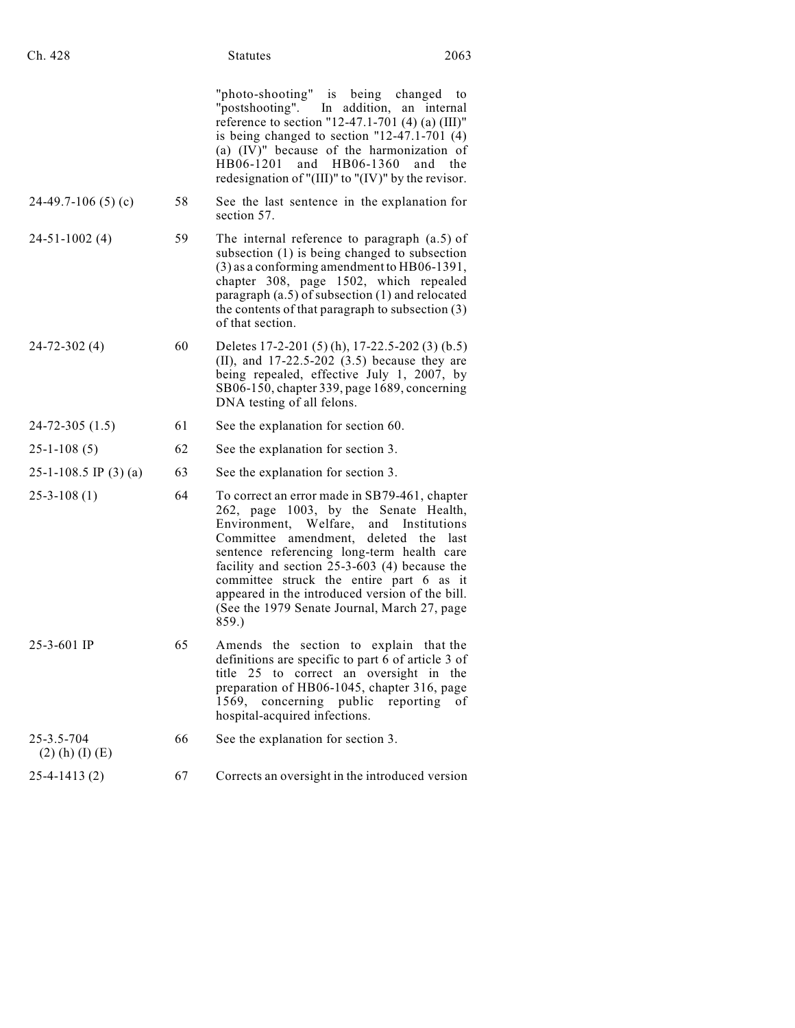| Ch. 428                         |    | 2063<br><b>Statutes</b>                                                                                                                                                                                                                                                                                                                                                                                                               |
|---------------------------------|----|---------------------------------------------------------------------------------------------------------------------------------------------------------------------------------------------------------------------------------------------------------------------------------------------------------------------------------------------------------------------------------------------------------------------------------------|
|                                 |    | "photo-shooting" is being changed<br>to<br>"postshooting". In addition, an internal<br>reference to section "12-47.1-701 (4) (a) $(III)$ "<br>is being changed to section "12-47.1-701 $(4)$<br>(a) (IV)" because of the harmonization of<br>HB06-1360<br>HB06-1201<br>and<br>the<br>and<br>redesignation of "(III)" to "(IV)" by the revisor.                                                                                        |
| $24-49.7-106(5)(c)$             | 58 | See the last sentence in the explanation for<br>section 57.                                                                                                                                                                                                                                                                                                                                                                           |
| $24 - 51 - 1002$ (4)            | 59 | The internal reference to paragraph $(a.5)$ of<br>subsection (1) is being changed to subsection<br>(3) as a conforming amendment to HB06-1391,<br>chapter 308, page 1502, which repealed<br>paragraph $(a.5)$ of subsection $(1)$ and relocated<br>the contents of that paragraph to subsection (3)<br>of that section.                                                                                                               |
| $24 - 72 - 302(4)$              | 60 | Deletes 17-2-201 (5) (h), 17-22.5-202 (3) (b.5)<br>(II), and $17-22.5-202$ (3.5) because they are<br>being repealed, effective July 1, 2007, by<br>SB06-150, chapter 339, page 1689, concerning<br>DNA testing of all felons.                                                                                                                                                                                                         |
| $24 - 72 - 305(1.5)$            | 61 | See the explanation for section 60.                                                                                                                                                                                                                                                                                                                                                                                                   |
| $25 - 1 - 108(5)$               | 62 | See the explanation for section 3.                                                                                                                                                                                                                                                                                                                                                                                                    |
| 25-1-108.5 IP $(3)$ (a)         | 63 | See the explanation for section 3.                                                                                                                                                                                                                                                                                                                                                                                                    |
| $25 - 3 - 108(1)$               | 64 | To correct an error made in SB79-461, chapter<br>262, page 1003, by the Senate Health,<br>Environment, Welfare, and Institutions<br>Committee amendment, deleted the<br>last<br>sentence referencing long-term health care<br>facility and section $25-3-603$ (4) because the<br>committee struck the entire part 6 as it<br>appeared in the introduced version of the bill.<br>(See the 1979 Senate Journal, March 27, page<br>859.) |
| $25-3-601$ IP                   | 65 | Amends the section to explain that the<br>definitions are specific to part 6 of article 3 of<br>title 25 to correct an oversight in the<br>preparation of HB06-1045, chapter 316, page<br>1569, concerning public<br>reporting<br>οf<br>hospital-acquired infections.                                                                                                                                                                 |
| 25-3.5-704<br>$(2)$ (h) (I) (E) | 66 | See the explanation for section 3.                                                                                                                                                                                                                                                                                                                                                                                                    |
| $25-4-1413(2)$                  | 67 | Corrects an oversight in the introduced version                                                                                                                                                                                                                                                                                                                                                                                       |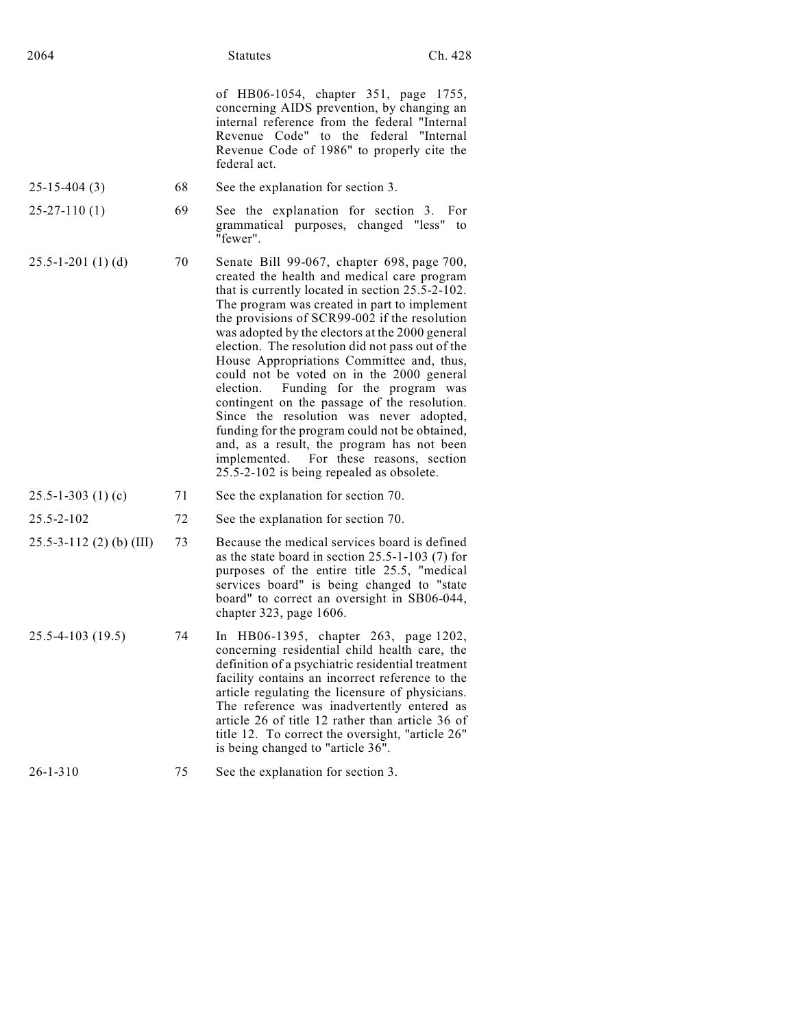of HB06-1054, chapter 351, page 1755, concerning AIDS prevention, by changing an internal reference from the federal "Internal Revenue Code" to the federal "Internal Revenue Code of 1986" to properly cite the federal act.

- 25-15-404 (3) 68 See the explanation for section 3.
- 25-27-110 (1) 69 See the explanation for section 3. For grammatical purposes, changed "less" to "fewer".
- 25.5-1-201 (1) (d) 70 Senate Bill 99-067, chapter 698, page 700, created the health and medical care program that is currently located in section 25.5-2-102. The program was created in part to implement the provisions of SCR99-002 if the resolution was adopted by the electors at the 2000 general election. The resolution did not pass out of the House Appropriations Committee and, thus, could not be voted on in the 2000 general election. Funding for the program was contingent on the passage of the resolution. Since the resolution was never adopted, funding for the program could not be obtained, and, as a result, the program has not been implemented. For these reasons, section 25.5-2-102 is being repealed as obsolete.

### 25.5-1-303 (1) (c) 71 See the explanation for section 70.

- 25.5-2-102 72 See the explanation for section 70.
- 25.5-3-112 (2) (b) (III) 73 Because the medical services board is defined as the state board in section 25.5-1-103 (7) for purposes of the entire title 25.5, "medical services board" is being changed to "state board" to correct an oversight in SB06-044, chapter 323, page 1606.
- 25.5-4-103 (19.5) 74 In HB06-1395, chapter 263, page 1202, concerning residential child health care, the definition of a psychiatric residential treatment facility contains an incorrect reference to the article regulating the licensure of physicians. The reference was inadvertently entered as article 26 of title 12 rather than article 36 of title 12. To correct the oversight, "article 26" is being changed to "article 36".

the explanation for section 3.

$$
26-1-310
$$
 75 See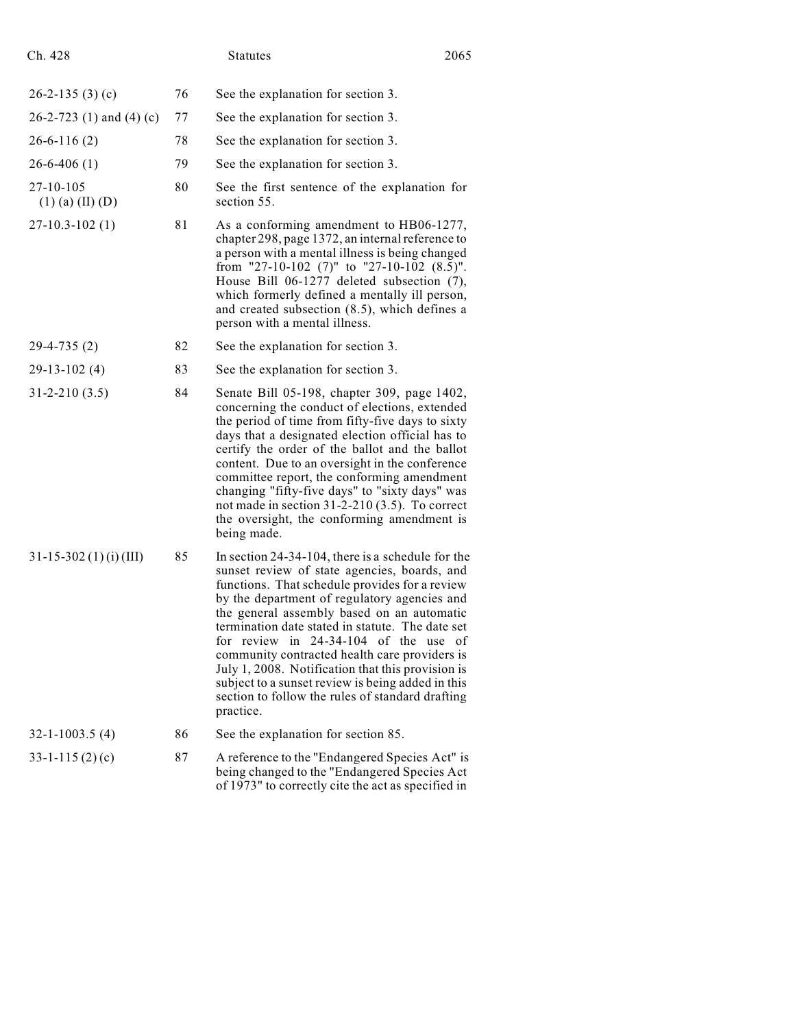| Ch. 428                                 |    | <b>Statutes</b>                                                                                                                                                                                                                                                                                                                                                                                                                                                                                                                                                              | 2065 |
|-----------------------------------------|----|------------------------------------------------------------------------------------------------------------------------------------------------------------------------------------------------------------------------------------------------------------------------------------------------------------------------------------------------------------------------------------------------------------------------------------------------------------------------------------------------------------------------------------------------------------------------------|------|
| $26-2-135(3)(c)$                        | 76 | See the explanation for section 3.                                                                                                                                                                                                                                                                                                                                                                                                                                                                                                                                           |      |
| 26-2-723 (1) and (4) (c)                | 77 | See the explanation for section 3.                                                                                                                                                                                                                                                                                                                                                                                                                                                                                                                                           |      |
| $26-6-116(2)$                           | 78 | See the explanation for section 3.                                                                                                                                                                                                                                                                                                                                                                                                                                                                                                                                           |      |
| $26 - 6 - 406$ (1)                      | 79 | See the explanation for section 3.                                                                                                                                                                                                                                                                                                                                                                                                                                                                                                                                           |      |
| $27 - 10 - 105$<br>$(1)$ (a) $(II)$ (D) | 80 | See the first sentence of the explanation for<br>section 55.                                                                                                                                                                                                                                                                                                                                                                                                                                                                                                                 |      |
| $27 - 10.3 - 102(1)$                    | 81 | As a conforming amendment to HB06-1277,<br>chapter 298, page 1372, an internal reference to<br>a person with a mental illness is being changed<br>from "27-10-102 (7)" to "27-10-102 (8.5)".<br>House Bill 06-1277 deleted subsection (7),<br>which formerly defined a mentally ill person,<br>and created subsection (8.5), which defines a<br>person with a mental illness.                                                                                                                                                                                                |      |
| $29-4-735(2)$                           | 82 | See the explanation for section 3.                                                                                                                                                                                                                                                                                                                                                                                                                                                                                                                                           |      |
| $29-13-102(4)$                          | 83 | See the explanation for section 3.                                                                                                                                                                                                                                                                                                                                                                                                                                                                                                                                           |      |
| $31 - 2 - 210(3.5)$                     | 84 | Senate Bill 05-198, chapter 309, page 1402,<br>concerning the conduct of elections, extended<br>the period of time from fifty-five days to sixty<br>days that a designated election official has to<br>certify the order of the ballot and the ballot<br>content. Due to an oversight in the conference<br>committee report, the conforming amendment<br>changing "fifty-five days" to "sixty days" was<br>not made in section $31-2-210$ $(3.5)$ . To correct<br>the oversight, the conforming amendment is<br>being made.                                                  |      |
| $31-15-302(1)(i)(III)$                  | 85 | In section $24-34-104$ , there is a schedule for the<br>sunset review of state agencies, boards, and<br>functions. That schedule provides for a review<br>by the department of regulatory agencies and<br>the general assembly based on an automatic<br>termination date stated in statute. The date set<br>for review in $24-34-104$ of the use<br>community contracted health care providers is<br>July 1, 2008. Notification that this provision is<br>subject to a sunset review is being added in this<br>section to follow the rules of standard drafting<br>practice. | οf   |
| $32 - 1 - 1003.5(4)$                    | 86 | See the explanation for section 85.                                                                                                                                                                                                                                                                                                                                                                                                                                                                                                                                          |      |
| $33 - 1 - 115(2)(c)$                    | 87 | A reference to the "Endangered Species Act" is<br>being changed to the "Endangered Species Act<br>of 1973" to correctly cite the act as specified in                                                                                                                                                                                                                                                                                                                                                                                                                         |      |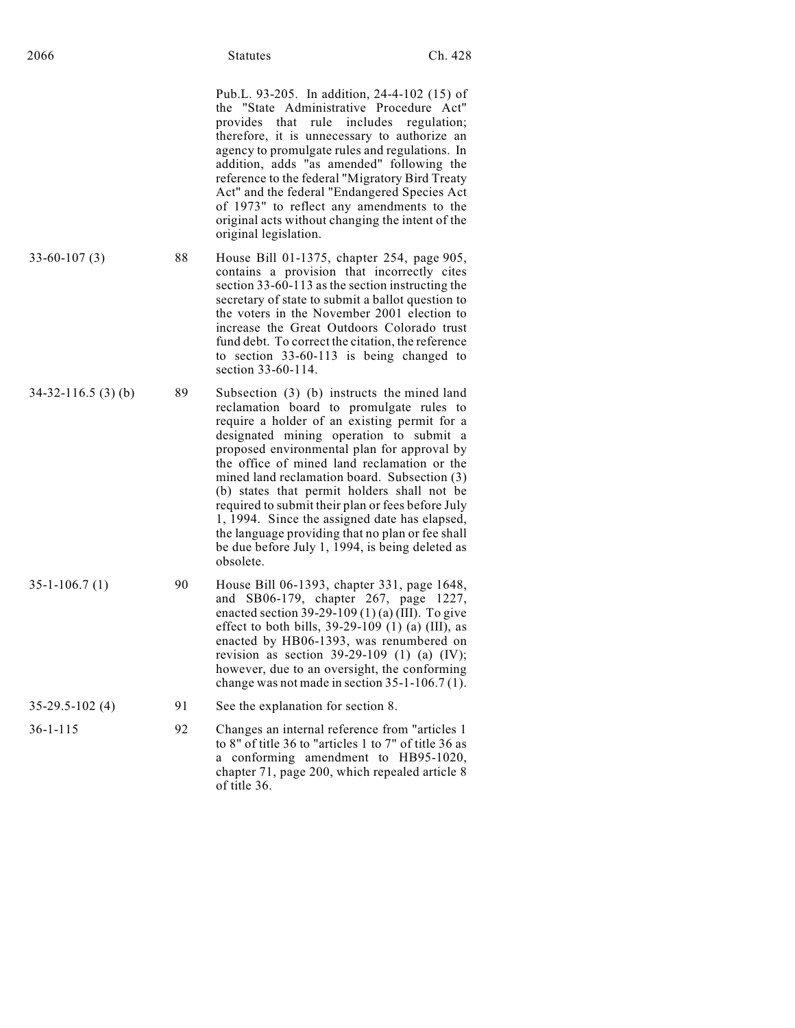Pub.L. 93-205. In addition, 24-4-102 (15) of the "State Administrative Procedure Act" provides that rule includes regulation; therefore, it is unnecessary to authorize an agency to promulgate rules and regulations. In addition, adds "as amended" following the reference to the federal "Migratory Bird Treaty Act" and the federal "Endangered Species Act of 1973" to reflect any amendments to the original acts without changing the intent of the original legislation.

- 33-60-107 (3) 88 House Bill 01-1375, chapter 254, page 905, contains a provision that incorrectly cites section 33-60-113 as the section instructing the secretary of state to submit a ballot question to the voters in the November 2001 election to increase the Great Outdoors Colorado trust fund debt. To correct the citation, the reference to section 33-60-113 is being changed to section 33-60-114.
- $34-32-116.5$  (3) (b)  $89$  Subsection (3) (b) instructs the mined land reclamation board to promulgate rules to require a holder of an existing permit for a designated mining operation to submit a proposed environmental plan for approval by the office of mined land reclamation or the mined land reclamation board. Subsection (3) (b) states that permit holders shall not be required to submit their plan or fees before July 1, 1994. Since the assigned date has elapsed, the language providing that no plan or fee shall be due before July 1, 1994, is being deleted as obsolete.
- 35-1-106.7 (1) 90 House Bill 06-1393, chapter 331, page 1648, and SB06-179, chapter 267, page 1227, enacted section  $39-29-109(1)$  (a) (III). To give effect to both bills,  $39-29-109$  (1) (a) (III), as enacted by HB06-1393, was renumbered on revision as section  $39-29-109$  (1) (a) (IV); however, due to an oversight, the conforming change was not made in section 35-1-106.7 (1).

### 35-29.5-102 (4) 91 See the explanation for section 8.

36-1-115 92 Changes an internal reference from "articles 1 to 8" of title 36 to "articles 1 to 7" of title 36 as a conforming amendment to HB95-1020, chapter 71, page 200, which repealed article 8

of title 36.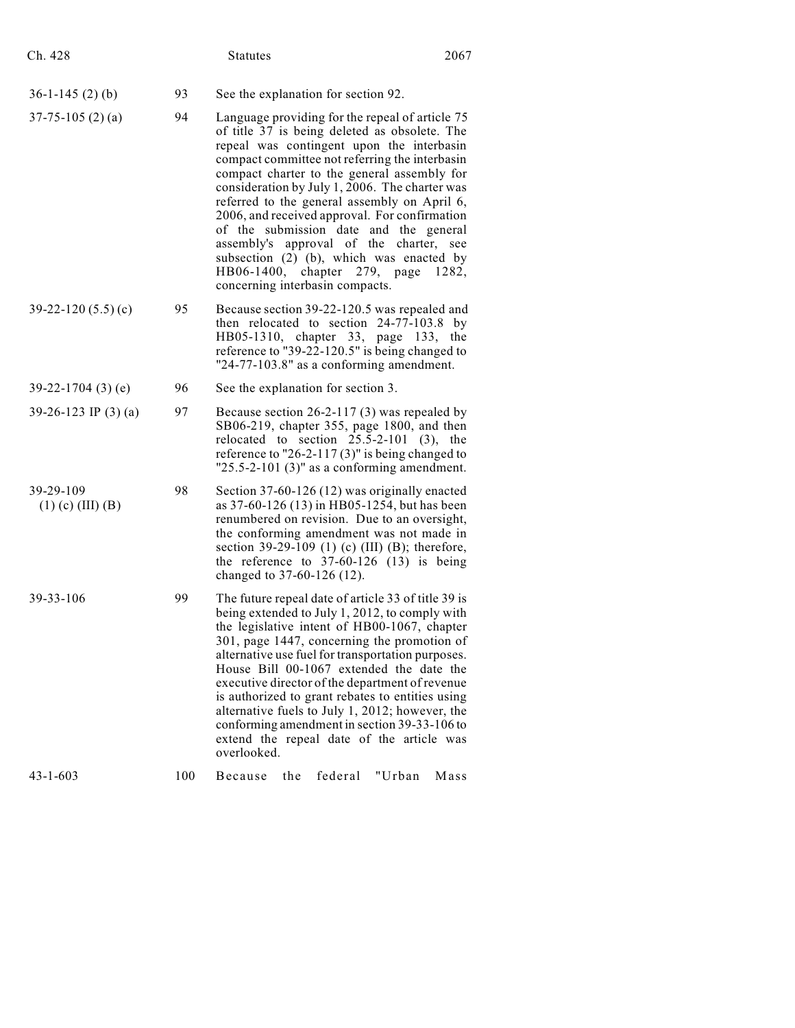| Ch. 428                            |     | <b>Statutes</b>                                                                                                                                                                                                                                                                                                                                                                                                                                                                                                                                                                                                |     | 2067    |                                                                                                                                                                                                                                                                                                                                                                                                                                                                                                                                                              |      |
|------------------------------------|-----|----------------------------------------------------------------------------------------------------------------------------------------------------------------------------------------------------------------------------------------------------------------------------------------------------------------------------------------------------------------------------------------------------------------------------------------------------------------------------------------------------------------------------------------------------------------------------------------------------------------|-----|---------|--------------------------------------------------------------------------------------------------------------------------------------------------------------------------------------------------------------------------------------------------------------------------------------------------------------------------------------------------------------------------------------------------------------------------------------------------------------------------------------------------------------------------------------------------------------|------|
| $36-1-145(2)$ (b)                  | 93  | See the explanation for section 92.                                                                                                                                                                                                                                                                                                                                                                                                                                                                                                                                                                            |     |         |                                                                                                                                                                                                                                                                                                                                                                                                                                                                                                                                                              |      |
| $37 - 75 - 105$ (2) (a)            | 94  | Language providing for the repeal of article 75<br>of title 37 is being deleted as obsolete. The<br>repeal was contingent upon the interbasin<br>compact committee not referring the interbasin<br>compact charter to the general assembly for<br>consideration by July 1, 2006. The charter was<br>referred to the general assembly on April 6,<br>2006, and received approval. For confirmation<br>of the submission date and the general<br>assembly's approval of the charter, see<br>subsection (2) (b), which was enacted by<br>HB06-1400, chapter 279, page<br>1282,<br>concerning interbasin compacts. |     |         |                                                                                                                                                                                                                                                                                                                                                                                                                                                                                                                                                              |      |
| $39-22-120(5.5)(c)$                | 95  | Because section 39-22-120.5 was repealed and                                                                                                                                                                                                                                                                                                                                                                                                                                                                                                                                                                   |     |         | then relocated to section 24-77-103.8 by<br>HB05-1310, chapter 33, page 133, the<br>reference to "39-22-120.5" is being changed to<br>" $24-77-103.8$ " as a conforming amendment.                                                                                                                                                                                                                                                                                                                                                                           |      |
| $39-22-1704(3)$ (e)                | 96  | See the explanation for section 3.                                                                                                                                                                                                                                                                                                                                                                                                                                                                                                                                                                             |     |         |                                                                                                                                                                                                                                                                                                                                                                                                                                                                                                                                                              |      |
| 39-26-123 IP (3) (a)               | 97  | relocated to section $25.5-2-101$ (3), the                                                                                                                                                                                                                                                                                                                                                                                                                                                                                                                                                                     |     |         | Because section $26-2-117(3)$ was repealed by<br>SB06-219, chapter 355, page 1800, and then<br>reference to "26-2-117 $(3)$ " is being changed to<br>" $25.5 - 2 - 101$ (3)" as a conforming amendment.                                                                                                                                                                                                                                                                                                                                                      |      |
| 39-29-109<br>$(1)$ (c) $(III)$ (B) | 98  | changed to 37-60-126 (12).                                                                                                                                                                                                                                                                                                                                                                                                                                                                                                                                                                                     |     |         | Section 37-60-126 (12) was originally enacted<br>as 37-60-126 (13) in HB05-1254, but has been<br>renumbered on revision. Due to an oversight,<br>the conforming amendment was not made in<br>section 39-29-109 (1) (c) (III) (B); therefore,<br>the reference to $37-60-126$ (13) is being                                                                                                                                                                                                                                                                   |      |
| 39-33-106                          | 99  | overlooked.                                                                                                                                                                                                                                                                                                                                                                                                                                                                                                                                                                                                    |     |         | The future repeal date of article 33 of title 39 is<br>being extended to July 1, 2012, to comply with<br>the legislative intent of HB00-1067, chapter<br>301, page 1447, concerning the promotion of<br>alternative use fuel for transportation purposes.<br>House Bill 00-1067 extended the date the<br>executive director of the department of revenue<br>is authorized to grant rebates to entities using<br>alternative fuels to July 1, 2012; however, the<br>conforming amendment in section 39-33-106 to<br>extend the repeal date of the article was |      |
| $43 - 1 - 603$                     | 100 | Because                                                                                                                                                                                                                                                                                                                                                                                                                                                                                                                                                                                                        | the | federal | "Urban                                                                                                                                                                                                                                                                                                                                                                                                                                                                                                                                                       | Mass |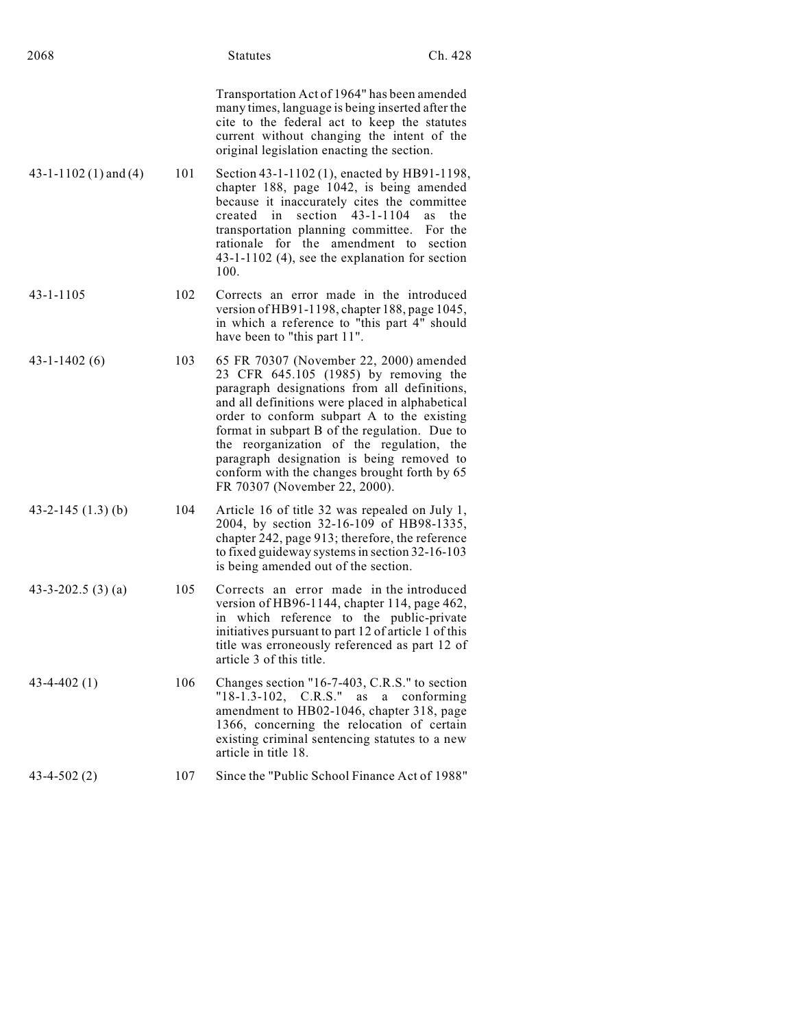| 2068                     |     | Statutes                                                                                                                                                                                                                                                                                                                                                                                                                                                      | Ch. 428                     |
|--------------------------|-----|---------------------------------------------------------------------------------------------------------------------------------------------------------------------------------------------------------------------------------------------------------------------------------------------------------------------------------------------------------------------------------------------------------------------------------------------------------------|-----------------------------|
|                          |     | Transportation Act of 1964" has been amended<br>many times, language is being inserted after the<br>cite to the federal act to keep the statutes<br>current without changing the intent of the<br>original legislation enacting the section.                                                                                                                                                                                                                  |                             |
| $43-1-1102(1)$ and $(4)$ | 101 | Section 43-1-1102 (1), enacted by HB91-1198,<br>chapter 188, page 1042, is being amended<br>because it inaccurately cites the committee<br>section $43 - 1 - 1104$<br>created in<br>transportation planning committee.<br>rationale for the amendment to section<br>43-1-1102 (4), see the explanation for section<br>100.                                                                                                                                    | <b>as</b><br>the<br>For the |
| 43-1-1105                | 102 | Corrects an error made in the introduced<br>version of HB91-1198, chapter 188, page 1045,<br>in which a reference to "this part 4" should<br>have been to "this part 11".                                                                                                                                                                                                                                                                                     |                             |
| $43 - 1 - 1402(6)$       | 103 | 65 FR 70307 (November 22, 2000) amended<br>23 CFR 645.105 (1985) by removing the<br>paragraph designations from all definitions,<br>and all definitions were placed in alphabetical<br>order to conform subpart A to the existing<br>format in subpart B of the regulation. Due to<br>the reorganization of the regulation, the<br>paragraph designation is being removed to<br>conform with the changes brought forth by 65<br>FR 70307 (November 22, 2000). |                             |
| 43-2-145 $(1.3)$ (b)     | 104 | Article 16 of title 32 was repealed on July 1,<br>2004, by section 32-16-109 of HB98-1335,<br>chapter 242, page 913; therefore, the reference<br>to fixed guideway systems in section 32-16-103<br>is being amended out of the section.                                                                                                                                                                                                                       |                             |
| 43-3-202.5 $(3)$ (a)     | 105 | Corrects an error made in the introduced<br>version of HB96-1144, chapter 114, page 462,<br>in which reference to the public-private<br>initiatives pursuant to part 12 of article 1 of this<br>title was erroneously referenced as part 12 of<br>article 3 of this title.                                                                                                                                                                                    |                             |
| $43 - 4 - 402(1)$        | 106 | Changes section "16-7-403, C.R.S." to section<br>$"18-1.3-102, \quad C.R.S."$<br>as<br>a a<br>amendment to HB02-1046, chapter 318, page<br>1366, concerning the relocation of certain<br>existing criminal sentencing statutes to a new<br>article in title 18.                                                                                                                                                                                               | conforming                  |
| $43-4-502(2)$            | 107 | Since the "Public School Finance Act of 1988"                                                                                                                                                                                                                                                                                                                                                                                                                 |                             |